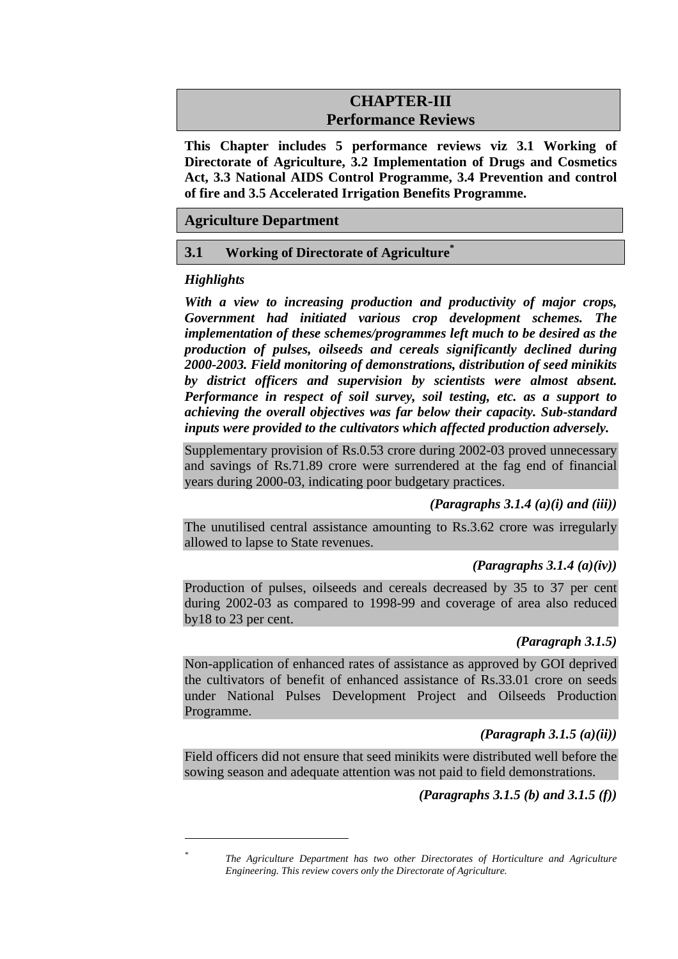# **CHAPTER-III Performance Reviews**

**This Chapter includes 5 performance reviews viz 3.1 Working of Directorate of Agriculture, 3.2 Implementation of Drugs and Cosmetics Act, 3.3 National AIDS Control Programme, 3.4 Prevention and control of fire and 3.5 Accelerated Irrigation Benefits Programme.** 

## **Agriculture Department**

### **3.1 Working of Directorate of Agriculture\***

## *Highlights*

 $\overline{a}$ *\**

*With a view to increasing production and productivity of major crops, Government had initiated various crop development schemes. The implementation of these schemes/programmes left much to be desired as the production of pulses, oilseeds and cereals significantly declined during 2000-2003. Field monitoring of demonstrations, distribution of seed minikits by district officers and supervision by scientists were almost absent. Performance in respect of soil survey, soil testing, etc. as a support to achieving the overall objectives was far below their capacity. Sub-standard inputs were provided to the cultivators which affected production adversely.* 

Supplementary provision of Rs.0.53 crore during 2002-03 proved unnecessary and savings of Rs.71.89 crore were surrendered at the fag end of financial years during 2000-03, indicating poor budgetary practices.

## *(Paragraphs 3.1.4 (a)(i) and (iii))*

The unutilised central assistance amounting to Rs.3.62 crore was irregularly allowed to lapse to State revenues.

## *(Paragraphs 3.1.4 (a)(iv))*

Production of pulses, oilseeds and cereals decreased by 35 to 37 per cent during 2002-03 as compared to 1998-99 and coverage of area also reduced by18 to 23 per cent.

### *(Paragraph 3.1.5)*

Non-application of enhanced rates of assistance as approved by GOI deprived the cultivators of benefit of enhanced assistance of Rs.33.01 crore on seeds under National Pulses Development Project and Oilseeds Production Programme.

## *(Paragraph 3.1.5 (a)(ii))*

Field officers did not ensure that seed minikits were distributed well before the sowing season and adequate attention was not paid to field demonstrations.

## *(Paragraphs 3.1.5 (b) and 3.1.5 (f))*

*The Agriculture Department has two other Directorates of Horticulture and Agriculture Engineering. This review covers only the Directorate of Agriculture.*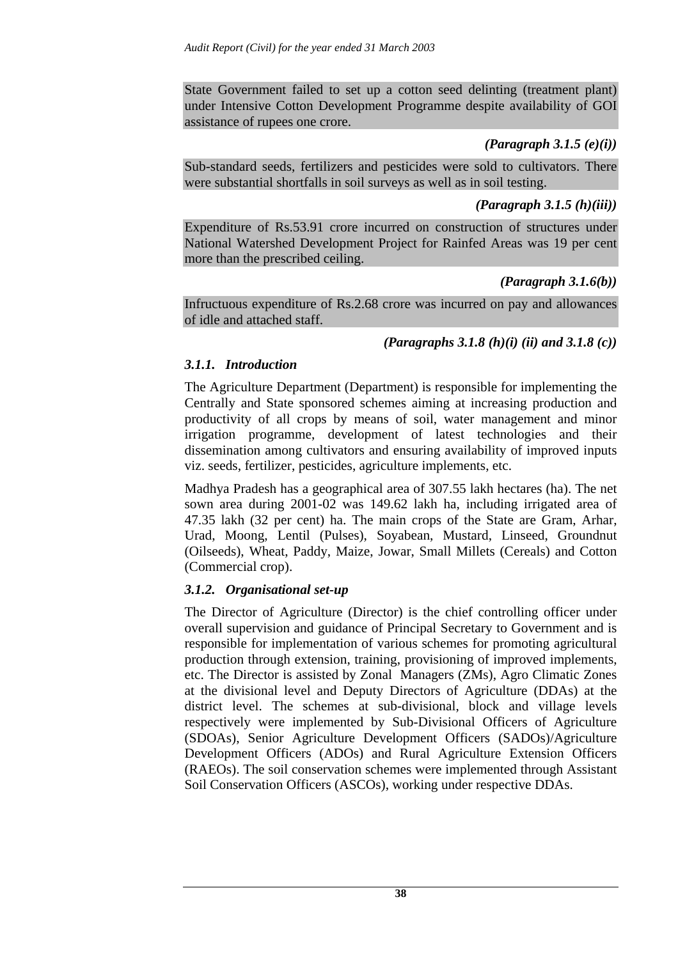State Government failed to set up a cotton seed delinting (treatment plant) under Intensive Cotton Development Programme despite availability of GOI assistance of rupees one crore.

## *(Paragraph 3.1.5 (e)(i))*

Sub-standard seeds, fertilizers and pesticides were sold to cultivators. There were substantial shortfalls in soil surveys as well as in soil testing.

### *(Paragraph 3.1.5 (h)(iii))*

Expenditure of Rs.53.91 crore incurred on construction of structures under National Watershed Development Project for Rainfed Areas was 19 per cent more than the prescribed ceiling.

### *(Paragraph 3.1.6(b))*

Infructuous expenditure of Rs.2.68 crore was incurred on pay and allowances of idle and attached staff.

## *(Paragraphs 3.1.8 (h)(i) (ii) and 3.1.8 (c))*

## *3.1.1. Introduction*

The Agriculture Department (Department) is responsible for implementing the Centrally and State sponsored schemes aiming at increasing production and productivity of all crops by means of soil, water management and minor irrigation programme, development of latest technologies and their dissemination among cultivators and ensuring availability of improved inputs viz. seeds, fertilizer, pesticides, agriculture implements, etc.

Madhya Pradesh has a geographical area of 307.55 lakh hectares (ha). The net sown area during 2001-02 was 149.62 lakh ha, including irrigated area of 47.35 lakh (32 per cent) ha. The main crops of the State are Gram, Arhar, Urad, Moong, Lentil (Pulses), Soyabean, Mustard, Linseed, Groundnut (Oilseeds), Wheat, Paddy, Maize, Jowar, Small Millets (Cereals) and Cotton (Commercial crop).

## *3.1.2. Organisational set-up*

The Director of Agriculture (Director) is the chief controlling officer under overall supervision and guidance of Principal Secretary to Government and is responsible for implementation of various schemes for promoting agricultural production through extension, training, provisioning of improved implements, etc. The Director is assisted by Zonal Managers (ZMs), Agro Climatic Zones at the divisional level and Deputy Directors of Agriculture (DDAs) at the district level. The schemes at sub-divisional, block and village levels respectively were implemented by Sub-Divisional Officers of Agriculture (SDOAs), Senior Agriculture Development Officers (SADOs)/Agriculture Development Officers (ADOs) and Rural Agriculture Extension Officers (RAEOs). The soil conservation schemes were implemented through Assistant Soil Conservation Officers (ASCOs), working under respective DDAs.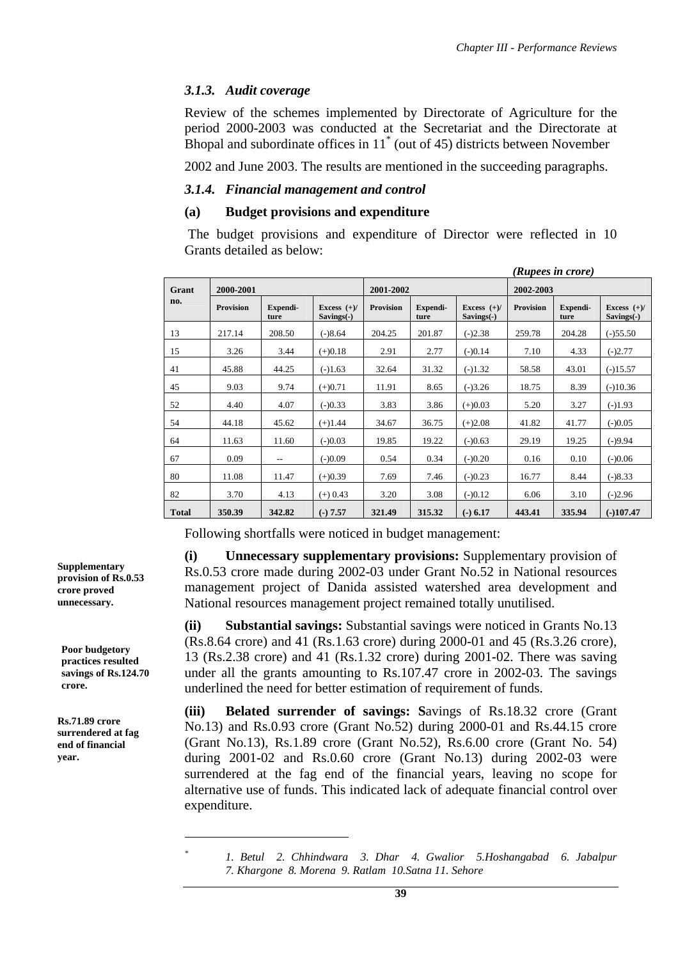## *3.1.3. Audit coverage*

Review of the schemes implemented by Directorate of Agriculture for the period 2000-2003 was conducted at the Secretariat and the Directorate at Bhopal and subordinate offices in 11\* (out of 45) districts between November

2002 and June 2003. The results are mentioned in the succeeding paragraphs.

### *3.1.4. Financial management and control*

#### **(a) Budget provisions and expenditure**

 The budget provisions and expenditure of Director were reflected in 10 Grants detailed as below:

|              |                  |                  |                               | (Rupees in crore) |                  |                               |                  |                  |                             |  |  |
|--------------|------------------|------------------|-------------------------------|-------------------|------------------|-------------------------------|------------------|------------------|-----------------------------|--|--|
| Grant        | 2000-2001        |                  |                               | 2001-2002         |                  |                               | 2002-2003        |                  |                             |  |  |
| no.          | <b>Provision</b> | Expendi-<br>ture | Excess $(+)/$<br>$Savings(-)$ | <b>Provision</b>  | Expendi-<br>ture | Excess $(+)/$<br>$Savings(-)$ | <b>Provision</b> | Expendi-<br>ture | Excess $(+)/$<br>Savings(-) |  |  |
| 13           | 217.14           | 208.50           | $(-)8.64$                     | 204.25            | 201.87           | $(-)2.38$                     | 259.78           | 204.28           | $(-)55.50$                  |  |  |
| 15           | 3.26             | 3.44             | $(+)0.18$                     | 2.91              | 2.77             | $(-)0.14$                     | 7.10             | 4.33             | $(-)2.77$                   |  |  |
| 41           | 45.88            | 44.25            | $(-)1.63$                     | 32.64             | 31.32            | $(-)1.32$                     | 58.58            | 43.01            | $(-)15.57$                  |  |  |
| 45           | 9.03             | 9.74             | $(+)0.71$                     | 11.91             | 8.65             | $(-)3.26$                     | 18.75            | 8.39             | $(-)10.36$                  |  |  |
| 52           | 4.40             | 4.07             | $(-)0.33$                     | 3.83              | 3.86             | $(+)0.03$                     | 5.20             | 3.27             | $(-)1.93$                   |  |  |
| 54           | 44.18            | 45.62            | $(+)1.44$                     | 34.67             | 36.75            | $(+)2.08$                     | 41.82            | 41.77            | $(-)0.05$                   |  |  |
| 64           | 11.63            | 11.60            | $(-)0.03$                     | 19.85             | 19.22            | $(-)0.63$                     | 29.19            | 19.25            | $(-)9.94$                   |  |  |
| 67           | 0.09             | --               | $(-)0.09$                     | 0.54              | 0.34             | $(-)0.20$                     | 0.16             | 0.10             | $(-)0.06$                   |  |  |
| 80           | 11.08            | 11.47            | $(+)0.39$                     | 7.69              | 7.46             | $(-)0.23$                     | 16.77            | 8.44             | $(-)8.33$                   |  |  |
| 82           | 3.70             | 4.13             | $(+) 0.43$                    | 3.20              | 3.08             | $(-)0.12$                     | 6.06             | 3.10             | $(-)2.96$                   |  |  |
| <b>Total</b> | 350.39           | 342.82           | $(-) 7.57$                    | 321.49            | 315.32           | $(-) 6.17$                    | 443.41           | 335.94           | $(-)107.47$                 |  |  |

Following shortfalls were noticed in budget management:

**(i) Unnecessary supplementary provisions:** Supplementary provision of Rs.0.53 crore made during 2002-03 under Grant No.52 in National resources management project of Danida assisted watershed area development and National resources management project remained totally unutilised.

**(ii) Substantial savings:** Substantial savings were noticed in Grants No.13 (Rs.8.64 crore) and 41 (Rs.1.63 crore) during 2000-01 and 45 (Rs.3.26 crore), 13 (Rs.2.38 crore) and 41 (Rs.1.32 crore) during 2001-02. There was saving under all the grants amounting to Rs.107.47 crore in 2002-03. The savings underlined the need for better estimation of requirement of funds.

**(iii) Belated surrender of savings: S**avings of Rs.18.32 crore (Grant No.13) and Rs.0.93 crore (Grant No.52) during 2000-01 and Rs.44.15 crore (Grant No.13), Rs.1.89 crore (Grant No.52), Rs.6.00 crore (Grant No. 54) during 2001-02 and Rs.0.60 crore (Grant No.13) during 2002-03 were surrendered at the fag end of the financial years, leaving no scope for alternative use of funds. This indicated lack of adequate financial control over expenditure.

**Supplementary provision of Rs.0.53 crore proved unnecessary.** 

**Poor budgetory practices resulted savings of Rs.124.70 crore.** 

**Rs.71.89 crore surrendered at fag end of financial year.** 

> $\overline{a}$ *\**

 *<sup>1.</sup> Betul 2. Chhindwara 3. Dhar 4. Gwalior 5.Hoshangabad 6. Jabalpur 7. Khargone 8. Morena 9. Ratlam 10.Satna 11. Sehore*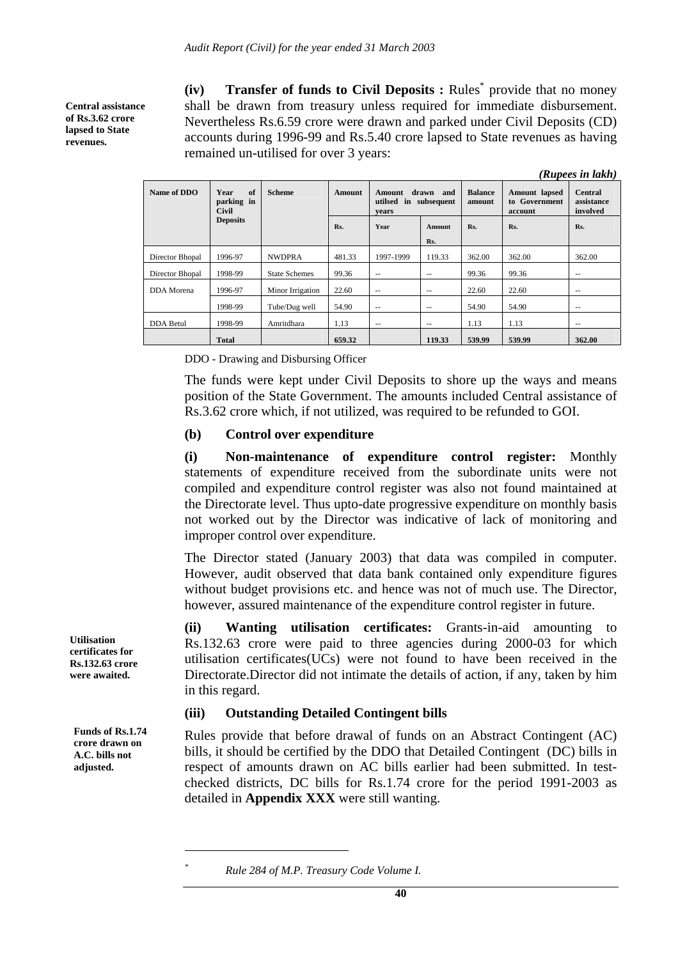**Central assistance of Rs.3.62 crore lapsed to State revenues.** 

**(iv) Transfer of funds to Civil Deposits :** Rules\* provide that no money shall be drawn from treasury unless required for immediate disbursement. Nevertheless Rs.6.59 crore were drawn and parked under Civil Deposits (CD) accounts during 1996-99 and Rs.5.40 crore lapsed to State revenues as having remained un-utilised for over 3 years:

|                   |                                          |                      |               |                                         |                            |        |                                           | (Rupees in lakh)                         |
|-------------------|------------------------------------------|----------------------|---------------|-----------------------------------------|----------------------------|--------|-------------------------------------------|------------------------------------------|
| Name of DDO       | of<br>Year<br>parking in<br><b>Civil</b> | <b>Scheme</b>        | <b>Amount</b> | <b>Amount</b><br>utilsed<br>in<br>vears | drawn<br>and<br>subsequent |        | Amount lapsed<br>to Government<br>account | <b>Central</b><br>assistance<br>involved |
|                   | <b>Deposits</b>                          |                      | Rs.           | Year                                    | Amount<br>Rs.              | Rs.    | Rs.                                       | Rs.                                      |
| Director Bhopal   | 1996-97                                  | <b>NWDPRA</b>        | 481.33        | 1997-1999                               | 119.33                     | 362.00 | 362.00                                    | 362.00                                   |
| Director Bhopal   | 1998-99                                  | <b>State Schemes</b> | 99.36         | $\qquad \qquad -$                       | $- -$                      | 99.36  | 99.36                                     | --                                       |
| <b>DDA</b> Morena | 1996-97                                  | Minor Irrigation     | 22.60         | $- -$                                   | $- -$                      | 22.60  | 22.60                                     | $- -$                                    |
|                   | 1998-99                                  | Tube/Dug well        | 54.90         | $\sim$ $\sim$                           | $\sim$ $\sim$              | 54.90  | 54.90                                     | $- -$                                    |
| <b>DDA</b> Betul  | 1998-99                                  | Amritdhara           | 1.13          | $\sim$ $\sim$                           | $-$                        | 1.13   | 1.13                                      | $\qquad \qquad -$                        |
|                   | Total                                    |                      | 659.32        |                                         | 119.33                     | 539.99 | 539.99                                    | 362.00                                   |

DDO - Drawing and Disbursing Officer

The funds were kept under Civil Deposits to shore up the ways and means position of the State Government. The amounts included Central assistance of Rs.3.62 crore which, if not utilized, was required to be refunded to GOI.

#### **(b) Control over expenditure**

**(i) Non-maintenance of expenditure control register:** Monthly statements of expenditure received from the subordinate units were not compiled and expenditure control register was also not found maintained at the Directorate level. Thus upto-date progressive expenditure on monthly basis not worked out by the Director was indicative of lack of monitoring and improper control over expenditure.

The Director stated (January 2003) that data was compiled in computer. However, audit observed that data bank contained only expenditure figures without budget provisions etc. and hence was not of much use. The Director, however, assured maintenance of the expenditure control register in future.

**(ii) Wanting utilisation certificates:** Grants-in-aid amounting to Rs.132.63 crore were paid to three agencies during 2000-03 for which utilisation certificates(UCs) were not found to have been received in the Directorate.Director did not intimate the details of action, if any, taken by him in this regard.

### **(iii) Outstanding Detailed Contingent bills**

Rules provide that before drawal of funds on an Abstract Contingent (AC) bills, it should be certified by the DDO that Detailed Contingent (DC) bills in respect of amounts drawn on AC bills earlier had been submitted. In testchecked districts, DC bills for Rs.1.74 crore for the period 1991-2003 as detailed in **Appendix XXX** were still wanting.

**Utilisation certificates for Rs.132.63 crore were awaited.** 

**Funds of Rs.1.74 crore drawn on A.C. bills not adjusted.** 

 $\overline{a}$ 

*<sup>\*</sup> Rule 284 of M.P. Treasury Code Volume I.*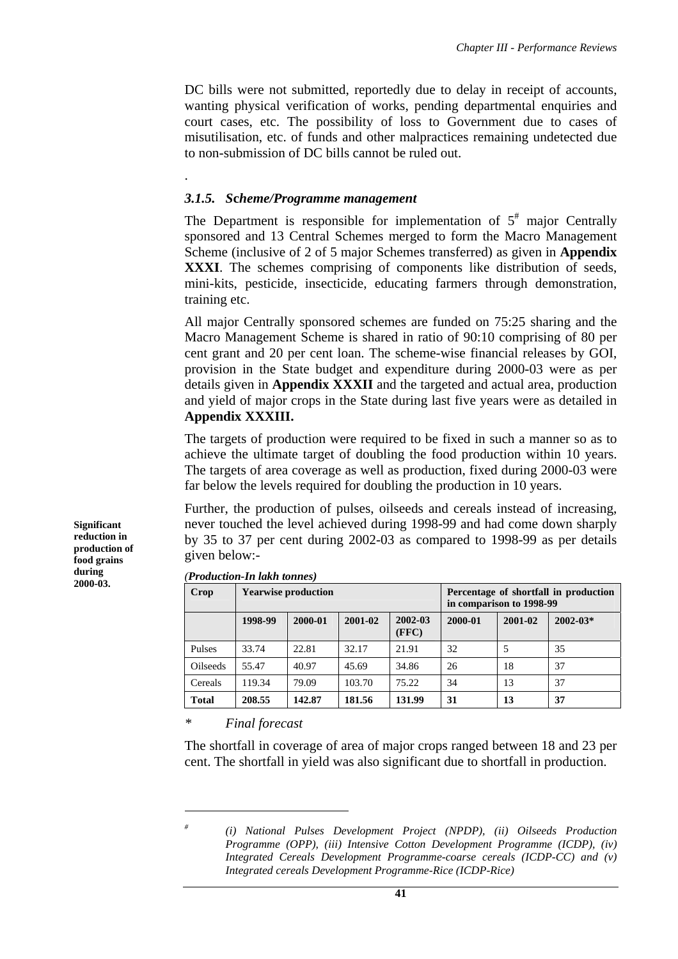DC bills were not submitted, reportedly due to delay in receipt of accounts, wanting physical verification of works, pending departmental enquiries and court cases, etc. The possibility of loss to Government due to cases of misutilisation, etc. of funds and other malpractices remaining undetected due to non-submission of DC bills cannot be ruled out.

### *3.1.5. S***c***heme/Programme management*

.

The Department is responsible for implementation of  $5^{\#}$  major Centrally sponsored and 13 Central Schemes merged to form the Macro Management Scheme (inclusive of 2 of 5 major Schemes transferred) as given in **Appendix XXXI**. The schemes comprising of components like distribution of seeds, mini-kits, pesticide, insecticide, educating farmers through demonstration, training etc.

All major Centrally sponsored schemes are funded on 75:25 sharing and the Macro Management Scheme is shared in ratio of 90:10 comprising of 80 per cent grant and 20 per cent loan. The scheme-wise financial releases by GOI, provision in the State budget and expenditure during 2000-03 were as per details given in **Appendix XXXII** and the targeted and actual area, production and yield of major crops in the State during last five years were as detailed in **Appendix XXXIII.**

The targets of production were required to be fixed in such a manner so as to achieve the ultimate target of doubling the food production within 10 years. The targets of area coverage as well as production, fixed during 2000-03 were far below the levels required for doubling the production in 10 years.

Further, the production of pulses, oilseeds and cereals instead of increasing, never touched the level achieved during 1998-99 and had come down sharply by 35 to 37 per cent during 2002-03 as compared to 1998-99 as per details given below:-

| Crop          |         | <b>Yearwise production</b> |             | Percentage of shortfall in production<br>in comparison to 1998-99 |         |         |              |
|---------------|---------|----------------------------|-------------|-------------------------------------------------------------------|---------|---------|--------------|
|               | 1998-99 | 2000-01                    | $2001 - 02$ | 2002-03<br>(FFC)                                                  | 2000-01 | 2001-02 | $2002 - 03*$ |
| <b>Pulses</b> | 33.74   | 22.81                      | 32.17       | 21.91                                                             | 32      |         | 35           |
| Oilseeds      | 55.47   | 40.97                      | 45.69       | 34.86                                                             | 26      | 18      | 37           |
| Cereals       | 119.34  | 79.09                      | 103.70      | 75.22                                                             | 34      | 13      | 37           |
| Total         | 208.55  | 142.87                     | 181.56      | 131.99                                                            | 31      | 13      | 37           |

*(Production-In lakh tonnes)*

*\* Final forecast* 

 $\overline{a}$ *#*

The shortfall in coverage of area of major crops ranged between 18 and 23 per cent. The shortfall in yield was also significant due to shortfall in production.

**Significant reduction in production of food grains during 2000-03.** 

 *<sup>(</sup>i) National Pulses Development Project (NPDP), (ii) Oilseeds Production Programme (OPP), (iii) Intensive Cotton Development Programme (ICDP), (iv) Integrated Cereals Development Programme-coarse cereals (ICDP-CC) and (v) Integrated cereals Development Programme-Rice (ICDP-Rice)*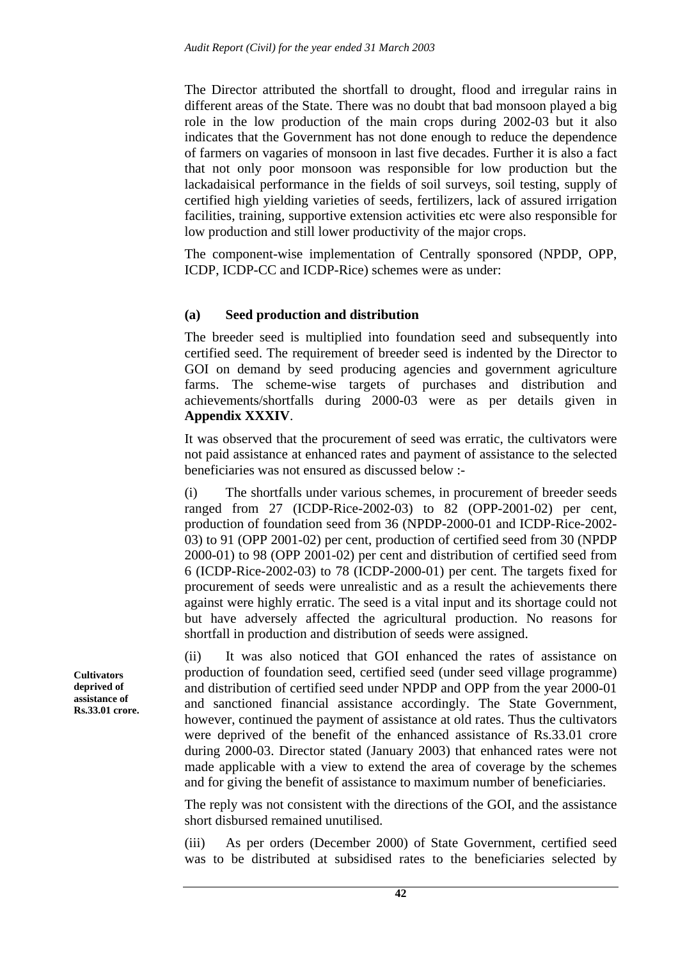The Director attributed the shortfall to drought, flood and irregular rains in different areas of the State. There was no doubt that bad monsoon played a big role in the low production of the main crops during 2002-03 but it also indicates that the Government has not done enough to reduce the dependence of farmers on vagaries of monsoon in last five decades. Further it is also a fact that not only poor monsoon was responsible for low production but the lackadaisical performance in the fields of soil surveys, soil testing, supply of certified high yielding varieties of seeds, fertilizers, lack of assured irrigation facilities, training, supportive extension activities etc were also responsible for low production and still lower productivity of the major crops.

The component-wise implementation of Centrally sponsored (NPDP, OPP, ICDP, ICDP-CC and ICDP-Rice) schemes were as under:

### **(a) Seed production and distribution**

The breeder seed is multiplied into foundation seed and subsequently into certified seed. The requirement of breeder seed is indented by the Director to GOI on demand by seed producing agencies and government agriculture farms. The scheme-wise targets of purchases and distribution and achievements/shortfalls during 2000-03 were as per details given in **Appendix XXXIV**.

It was observed that the procurement of seed was erratic, the cultivators were not paid assistance at enhanced rates and payment of assistance to the selected beneficiaries was not ensured as discussed below :-

(i) The shortfalls under various schemes, in procurement of breeder seeds ranged from 27 (ICDP-Rice-2002-03) to 82 (OPP-2001-02) per cent, production of foundation seed from 36 (NPDP-2000-01 and ICDP-Rice-2002- 03) to 91 (OPP 2001-02) per cent, production of certified seed from 30 (NPDP 2000-01) to 98 (OPP 2001-02) per cent and distribution of certified seed from 6 (ICDP-Rice-2002-03) to 78 (ICDP-2000-01) per cent. The targets fixed for procurement of seeds were unrealistic and as a result the achievements there against were highly erratic. The seed is a vital input and its shortage could not but have adversely affected the agricultural production. No reasons for shortfall in production and distribution of seeds were assigned.

(ii) It was also noticed that GOI enhanced the rates of assistance on production of foundation seed, certified seed (under seed village programme) and distribution of certified seed under NPDP and OPP from the year 2000-01 and sanctioned financial assistance accordingly. The State Government, however, continued the payment of assistance at old rates. Thus the cultivators were deprived of the benefit of the enhanced assistance of Rs.33.01 crore during 2000-03. Director stated (January 2003) that enhanced rates were not made applicable with a view to extend the area of coverage by the schemes and for giving the benefit of assistance to maximum number of beneficiaries.

The reply was not consistent with the directions of the GOI, and the assistance short disbursed remained unutilised.

(iii) As per orders (December 2000) of State Government, certified seed was to be distributed at subsidised rates to the beneficiaries selected by

**Cultivators deprived of assistance of Rs.33.01 crore.**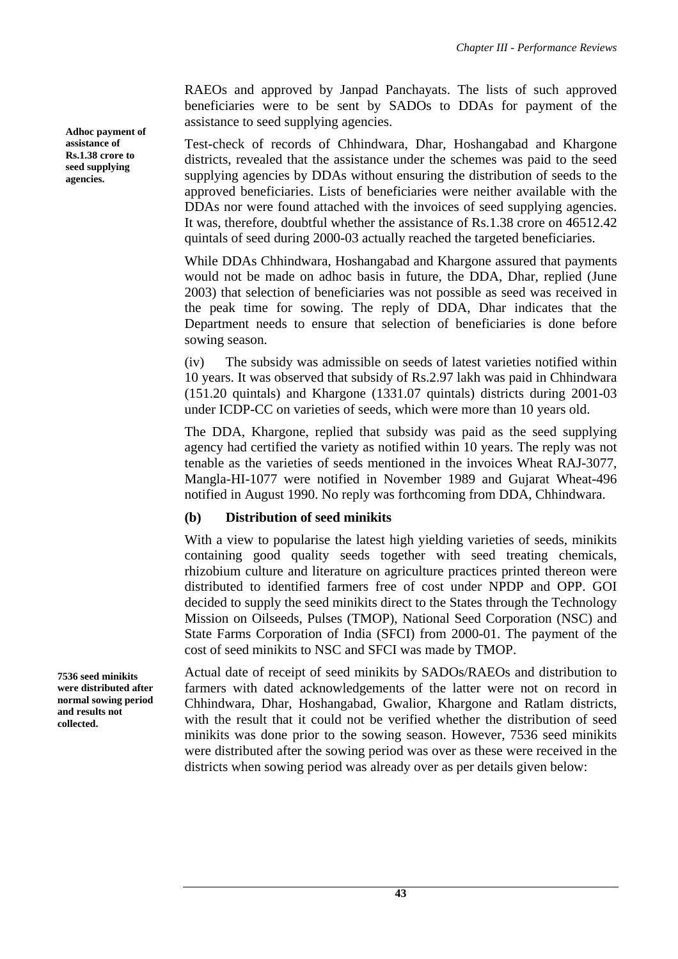RAEOs and approved by Janpad Panchayats. The lists of such approved beneficiaries were to be sent by SADOs to DDAs for payment of the assistance to seed supplying agencies.

Test-check of records of Chhindwara, Dhar, Hoshangabad and Khargone districts, revealed that the assistance under the schemes was paid to the seed supplying agencies by DDAs without ensuring the distribution of seeds to the approved beneficiaries. Lists of beneficiaries were neither available with the DDAs nor were found attached with the invoices of seed supplying agencies. It was, therefore, doubtful whether the assistance of Rs.1.38 crore on 46512.42 quintals of seed during 2000-03 actually reached the targeted beneficiaries.

While DDAs Chhindwara, Hoshangabad and Khargone assured that payments would not be made on adhoc basis in future, the DDA, Dhar, replied (June 2003) that selection of beneficiaries was not possible as seed was received in the peak time for sowing. The reply of DDA, Dhar indicates that the Department needs to ensure that selection of beneficiaries is done before sowing season.

(iv) The subsidy was admissible on seeds of latest varieties notified within 10 years. It was observed that subsidy of Rs.2.97 lakh was paid in Chhindwara (151.20 quintals) and Khargone (1331.07 quintals) districts during 2001-03 under ICDP-CC on varieties of seeds, which were more than 10 years old.

The DDA, Khargone, replied that subsidy was paid as the seed supplying agency had certified the variety as notified within 10 years. The reply was not tenable as the varieties of seeds mentioned in the invoices Wheat RAJ-3077, Mangla-HI-1077 were notified in November 1989 and Gujarat Wheat-496 notified in August 1990. No reply was forthcoming from DDA, Chhindwara.

# **(b) Distribution of seed minikits**

With a view to popularise the latest high yielding varieties of seeds, minikits containing good quality seeds together with seed treating chemicals, rhizobium culture and literature on agriculture practices printed thereon were distributed to identified farmers free of cost under NPDP and OPP. GOI decided to supply the seed minikits direct to the States through the Technology Mission on Oilseeds, Pulses (TMOP), National Seed Corporation (NSC) and State Farms Corporation of India (SFCI) from 2000-01. The payment of the cost of seed minikits to NSC and SFCI was made by TMOP.

Actual date of receipt of seed minikits by SADOs/RAEOs and distribution to farmers with dated acknowledgements of the latter were not on record in Chhindwara, Dhar, Hoshangabad, Gwalior, Khargone and Ratlam districts, with the result that it could not be verified whether the distribution of seed minikits was done prior to the sowing season. However, 7536 seed minikits were distributed after the sowing period was over as these were received in the districts when sowing period was already over as per details given below:

**Adhoc payment of assistance of Rs.1.38 crore to seed supplying agencies.** 

**7536 seed minikits were distributed after normal sowing period and results not collected.**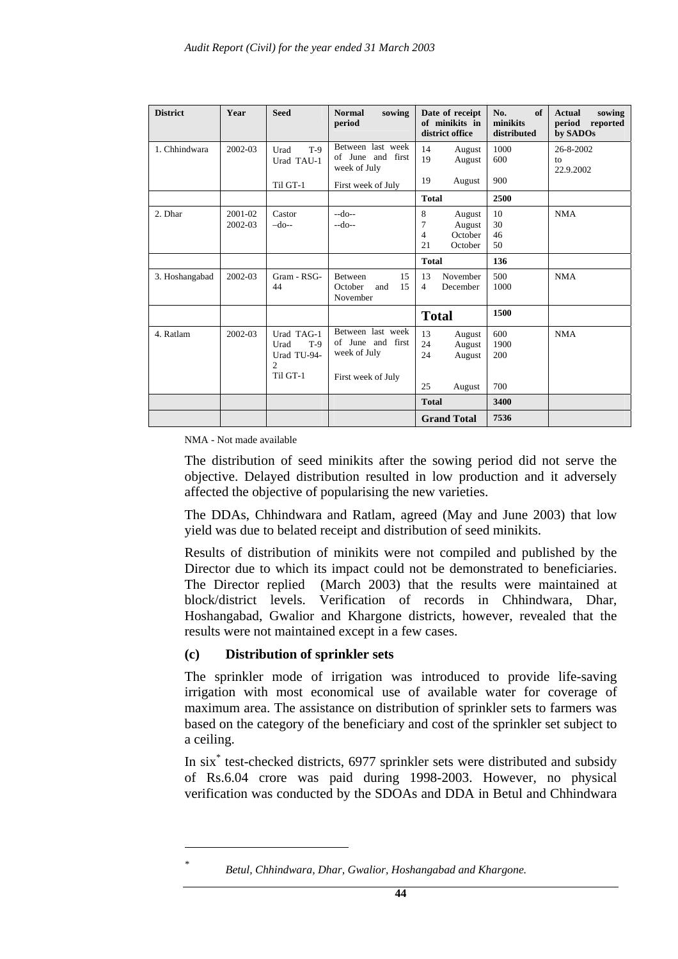| <b>District</b> | Year    | <b>Seed</b>                                                              | <b>Normal</b><br>sowing<br>period                      | Date of receipt<br>of minikits in<br>district office | of<br>No.<br>minikits<br>distributed | <b>Actual</b><br>sowing<br>period<br>reported<br>by SADOs |
|-----------------|---------|--------------------------------------------------------------------------|--------------------------------------------------------|------------------------------------------------------|--------------------------------------|-----------------------------------------------------------|
| 1. Chhindwara   | 2002-03 | $T-9$<br>Urad<br>Urad TAU-1                                              | Between last week<br>of June and first<br>week of July | 14<br>August<br>19<br>August                         | 1000<br>600                          | 26-8-2002<br>to<br>22.9.2002                              |
|                 |         | Til GT-1                                                                 | First week of July                                     | 19<br>August                                         | 900                                  |                                                           |
|                 |         |                                                                          |                                                        | <b>Total</b>                                         | 2500                                 |                                                           |
| 2. Dhar         | 2001-02 | Castor                                                                   | $-do-$                                                 | 8<br>August<br>7                                     | 10                                   | <b>NMA</b>                                                |
|                 | 2002-03 | $-do-$                                                                   | --do--                                                 | August<br>$\overline{4}$<br>October                  | 30<br>46                             |                                                           |
|                 |         |                                                                          |                                                        | 21<br>October                                        | 50                                   |                                                           |
|                 |         |                                                                          |                                                        | <b>Total</b>                                         | 136                                  |                                                           |
| 3. Hoshangabad  | 2002-03 | Gram - RSG-                                                              | 15<br>Between                                          | 13<br>November                                       | 500                                  | <b>NMA</b>                                                |
|                 |         | 44                                                                       | October<br>15<br>and<br>November                       | $\overline{4}$<br>December                           | 1000                                 |                                                           |
|                 |         |                                                                          |                                                        | <b>Total</b>                                         | 1500                                 |                                                           |
| 4. Ratlam       | 2002-03 | Urad TAG-1<br>$T-9$<br>Urad<br>Urad TU-94-<br>$\overline{c}$<br>Til GT-1 | Between last week<br>of June and first<br>week of July | 13<br>August<br>24<br>August<br>24<br>August         | 600<br>1900<br>200                   | <b>NMA</b>                                                |
|                 |         |                                                                          | First week of July                                     | 25<br>August                                         | 700                                  |                                                           |
|                 |         |                                                                          |                                                        | <b>Total</b>                                         | 3400                                 |                                                           |
|                 |         |                                                                          |                                                        | <b>Grand Total</b>                                   | 7536                                 |                                                           |

NMA - Not made available

The distribution of seed minikits after the sowing period did not serve the objective. Delayed distribution resulted in low production and it adversely affected the objective of popularising the new varieties.

The DDAs, Chhindwara and Ratlam, agreed (May and June 2003) that low yield was due to belated receipt and distribution of seed minikits.

Results of distribution of minikits were not compiled and published by the Director due to which its impact could not be demonstrated to beneficiaries. The Director replied (March 2003) that the results were maintained at block/district levels. Verification of records in Chhindwara, Dhar, Hoshangabad, Gwalior and Khargone districts, however, revealed that the results were not maintained except in a few cases.

### **(c) Distribution of sprinkler sets**

The sprinkler mode of irrigation was introduced to provide life-saving irrigation with most economical use of available water for coverage of maximum area. The assistance on distribution of sprinkler sets to farmers was based on the category of the beneficiary and cost of the sprinkler set subject to a ceiling.

In six\* test-checked districts, 6977 sprinkler sets were distributed and subsidy of Rs.6.04 crore was paid during 1998-2003. However, no physical verification was conducted by the SDOAs and DDA in Betul and Chhindwara

 $\overline{a}$ 

*<sup>\*</sup> Betul, Chhindwara, Dhar, Gwalior, Hoshangabad and Khargone.*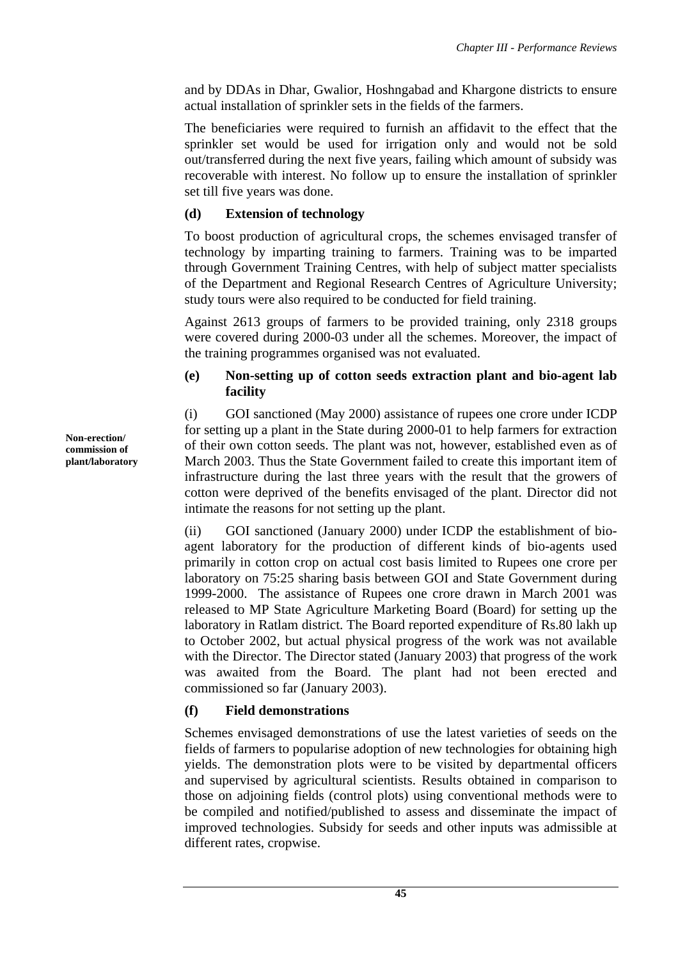and by DDAs in Dhar, Gwalior, Hoshngabad and Khargone districts to ensure actual installation of sprinkler sets in the fields of the farmers.

The beneficiaries were required to furnish an affidavit to the effect that the sprinkler set would be used for irrigation only and would not be sold out/transferred during the next five years, failing which amount of subsidy was recoverable with interest. No follow up to ensure the installation of sprinkler set till five years was done.

## **(d) Extension of technology**

To boost production of agricultural crops, the schemes envisaged transfer of technology by imparting training to farmers. Training was to be imparted through Government Training Centres, with help of subject matter specialists of the Department and Regional Research Centres of Agriculture University; study tours were also required to be conducted for field training.

Against 2613 groups of farmers to be provided training, only 2318 groups were covered during 2000-03 under all the schemes. Moreover, the impact of the training programmes organised was not evaluated.

## **(e) Non-setting up of cotton seeds extraction plant and bio-agent lab facility**

(i) GOI sanctioned (May 2000) assistance of rupees one crore under ICDP for setting up a plant in the State during 2000-01 to help farmers for extraction of their own cotton seeds. The plant was not, however, established even as of March 2003. Thus the State Government failed to create this important item of infrastructure during the last three years with the result that the growers of cotton were deprived of the benefits envisaged of the plant. Director did not intimate the reasons for not setting up the plant.

(ii) GOI sanctioned (January 2000) under ICDP the establishment of bioagent laboratory for the production of different kinds of bio-agents used primarily in cotton crop on actual cost basis limited to Rupees one crore per laboratory on 75:25 sharing basis between GOI and State Government during 1999-2000. The assistance of Rupees one crore drawn in March 2001 was released to MP State Agriculture Marketing Board (Board) for setting up the laboratory in Ratlam district. The Board reported expenditure of Rs.80 lakh up to October 2002, but actual physical progress of the work was not available with the Director. The Director stated (January 2003) that progress of the work was awaited from the Board. The plant had not been erected and commissioned so far (January 2003).

## **(f) Field demonstrations**

Schemes envisaged demonstrations of use the latest varieties of seeds on the fields of farmers to popularise adoption of new technologies for obtaining high yields. The demonstration plots were to be visited by departmental officers and supervised by agricultural scientists. Results obtained in comparison to those on adjoining fields (control plots) using conventional methods were to be compiled and notified/published to assess and disseminate the impact of improved technologies. Subsidy for seeds and other inputs was admissible at different rates, cropwise.

**Non-erection/ commission of plant/laboratory**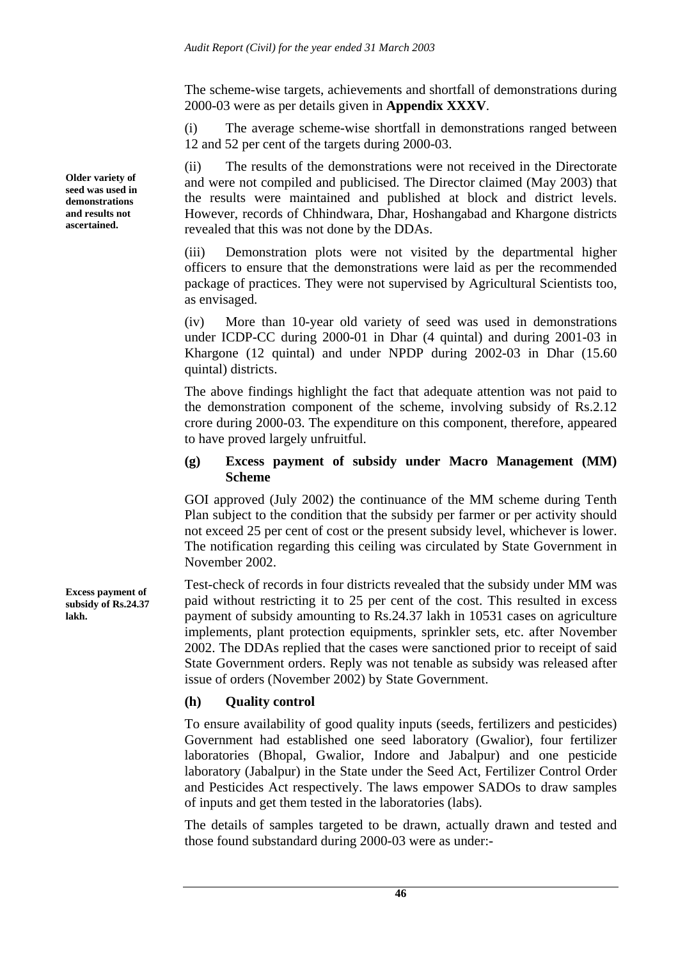The scheme-wise targets, achievements and shortfall of demonstrations during 2000-03 were as per details given in **Appendix XXXV**.

(i) The average scheme-wise shortfall in demonstrations ranged between 12 and 52 per cent of the targets during 2000-03.

(ii) The results of the demonstrations were not received in the Directorate and were not compiled and publicised. The Director claimed (May 2003) that the results were maintained and published at block and district levels. However, records of Chhindwara, Dhar, Hoshangabad and Khargone districts revealed that this was not done by the DDAs.

(iii) Demonstration plots were not visited by the departmental higher officers to ensure that the demonstrations were laid as per the recommended package of practices. They were not supervised by Agricultural Scientists too, as envisaged.

(iv) More than 10-year old variety of seed was used in demonstrations under ICDP-CC during 2000-01 in Dhar (4 quintal) and during 2001-03 in Khargone (12 quintal) and under NPDP during 2002-03 in Dhar (15.60 quintal) districts.

The above findings highlight the fact that adequate attention was not paid to the demonstration component of the scheme, involving subsidy of Rs.2.12 crore during 2000-03. The expenditure on this component, therefore, appeared to have proved largely unfruitful.

### **(g) Excess payment of subsidy under Macro Management (MM) Scheme**

GOI approved (July 2002) the continuance of the MM scheme during Tenth Plan subject to the condition that the subsidy per farmer or per activity should not exceed 25 per cent of cost or the present subsidy level, whichever is lower. The notification regarding this ceiling was circulated by State Government in November 2002.

Test-check of records in four districts revealed that the subsidy under MM was paid without restricting it to 25 per cent of the cost. This resulted in excess payment of subsidy amounting to Rs.24.37 lakh in 10531 cases on agriculture implements, plant protection equipments, sprinkler sets, etc. after November 2002. The DDAs replied that the cases were sanctioned prior to receipt of said State Government orders. Reply was not tenable as subsidy was released after issue of orders (November 2002) by State Government.

## **(h) Quality control**

To ensure availability of good quality inputs (seeds, fertilizers and pesticides) Government had established one seed laboratory (Gwalior), four fertilizer laboratories (Bhopal, Gwalior, Indore and Jabalpur) and one pesticide laboratory (Jabalpur) in the State under the Seed Act, Fertilizer Control Order and Pesticides Act respectively. The laws empower SADOs to draw samples of inputs and get them tested in the laboratories (labs).

The details of samples targeted to be drawn, actually drawn and tested and those found substandard during 2000-03 were as under:-

**Older variety of seed was used in demonstrations and results not ascertained.** 

**Excess payment of subsidy of Rs.24.37 lakh.**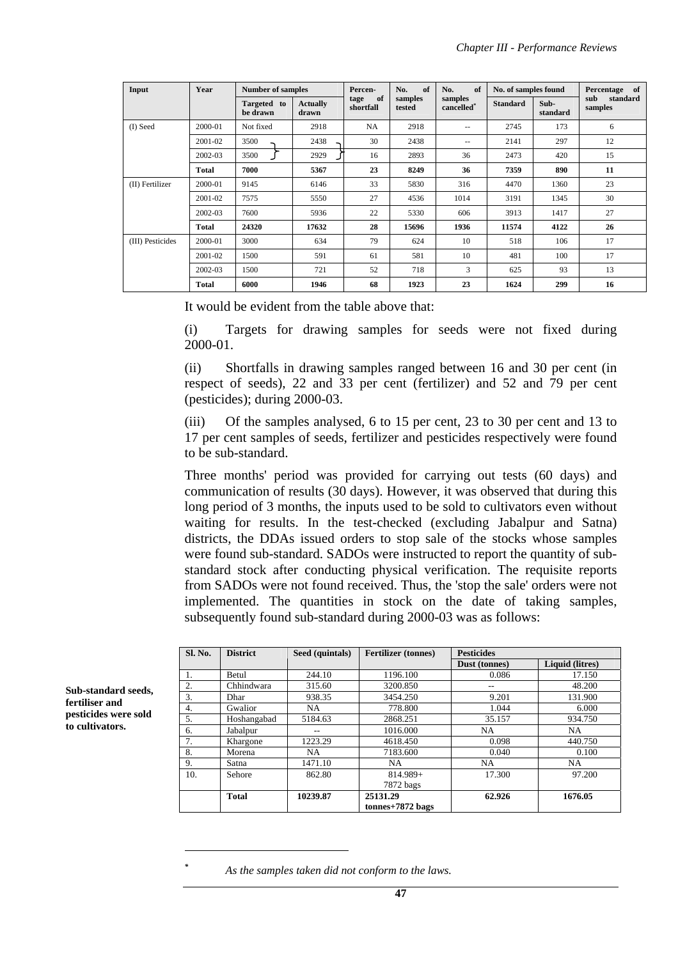| Input            | Year         | <b>Number of samples</b> |                          | Percen-                 | No.<br>of         | of<br>No.                         | No. of samples found |                  | of<br>Percentage           |
|------------------|--------------|--------------------------|--------------------------|-------------------------|-------------------|-----------------------------------|----------------------|------------------|----------------------------|
|                  |              | Targeted to<br>be drawn  | <b>Actually</b><br>drawn | of<br>tage<br>shortfall | samples<br>tested | samples<br>cancelled <sup>*</sup> | <b>Standard</b>      | Sub-<br>standard | sub<br>standard<br>samples |
| (I) Seed         | 2000-01      | Not fixed                | 2918                     | NA                      | 2918              | $\overline{\phantom{a}}$          | 2745                 | 173              | 6                          |
|                  | 2001-02      | 3500                     | 2438                     | 30                      | 2438              | $\overline{\phantom{a}}$          | 2141                 | 297              | 12                         |
|                  | 2002-03      | 3500                     | 2929                     | 16                      | 2893              | 36                                | 2473                 | 420              | 15                         |
|                  | <b>Total</b> | 7000                     | 5367                     | 23                      | 8249              | 36                                | 7359                 | 890              | 11                         |
| (II) Fertilizer  | 2000-01      | 9145                     | 6146                     | 33                      | 5830              | 316                               | 4470                 | 1360             | 23                         |
|                  | 2001-02      | 7575                     | 5550                     | 27                      | 4536              | 1014                              | 3191                 | 1345             | 30                         |
|                  | 2002-03      | 7600                     | 5936                     | 22                      | 5330              | 606                               | 3913                 | 1417             | 27                         |
|                  | <b>Total</b> | 24320                    | 17632                    | 28                      | 15696             | 1936                              | 11574                | 4122             | 26                         |
| (III) Pesticides | 2000-01      | 3000                     | 634                      | 79                      | 624               | 10                                | 518                  | 106              | 17                         |
|                  | 2001-02      | 1500                     | 591                      | 61                      | 581               | 10                                | 481                  | 100              | 17                         |
|                  | 2002-03      | 1500                     | 721                      | 52                      | 718               | 3                                 | 625                  | 93               | 13                         |
|                  | <b>Total</b> | 6000                     | 1946                     | 68                      | 1923              | 23                                | 1624                 | 299              | 16                         |

It would be evident from the table above that:

(i) Targets for drawing samples for seeds were not fixed during 2000-01.

(ii) Shortfalls in drawing samples ranged between 16 and 30 per cent (in respect of seeds), 22 and 33 per cent (fertilizer) and 52 and 79 per cent (pesticides); during 2000-03.

(iii) Of the samples analysed, 6 to 15 per cent, 23 to 30 per cent and 13 to 17 per cent samples of seeds, fertilizer and pesticides respectively were found to be sub-standard.

Three months' period was provided for carrying out tests (60 days) and communication of results (30 days). However, it was observed that during this long period of 3 months, the inputs used to be sold to cultivators even without waiting for results. In the test-checked (excluding Jabalpur and Satna) districts, the DDAs issued orders to stop sale of the stocks whose samples were found sub-standard. SADOs were instructed to report the quantity of substandard stock after conducting physical verification. The requisite reports from SADOs were not found received. Thus, the 'stop the sale' orders were not implemented. The quantities in stock on the date of taking samples, subsequently found sub-standard during 2000-03 was as follows:

| <b>Sl. No.</b> | <b>District</b> | Seed (quintals) | <b>Fertilizer</b> (tonnes)     | <b>Pesticides</b> |                 |
|----------------|-----------------|-----------------|--------------------------------|-------------------|-----------------|
|                |                 |                 |                                | Dust (tonnes)     | Liquid (litres) |
| 1.             | <b>Betul</b>    | 244.10          | 1196.100                       | 0.086             | 17.150          |
| 2.             | Chhindwara      | 315.60          | 3200.850                       |                   | 48.200          |
| 3.             | <b>Dhar</b>     | 938.35          | 3454.250                       | 9.201             | 131.900         |
| 4.             | Gwalior         | NA.             | 778.800                        | 1.044             | 6.000           |
| 5.             | Hoshangabad     | 5184.63         | 2868.251                       | 35.157            | 934.750         |
| 6.             | Jabalpur        | --              | 1016.000                       | NA.               | NA.             |
| 7.             | Khargone        | 1223.29         | 4618.450                       | 0.098             | 440.750         |
| 8.             | Morena          | NA.             | 7183.600                       | 0.040             | 0.100           |
| 9.             | Satna           | 1471.10         | <b>NA</b>                      | <b>NA</b>         | NA.             |
| 10.            | Sehore          | 862.80          | 814.989+                       | 17.300            | 97.200          |
|                |                 |                 | 7872 bags                      |                   |                 |
|                | Total           | 10239.87        | 25131.29<br>$tonnes+7872$ bags | 62.926            | 1676.05         |

**Sub-standard seeds, fertiliser and pesticides were sold to cultivators.** 

 $\overline{a}$ 

*<sup>\*</sup> As the samples taken did not conform to the laws.*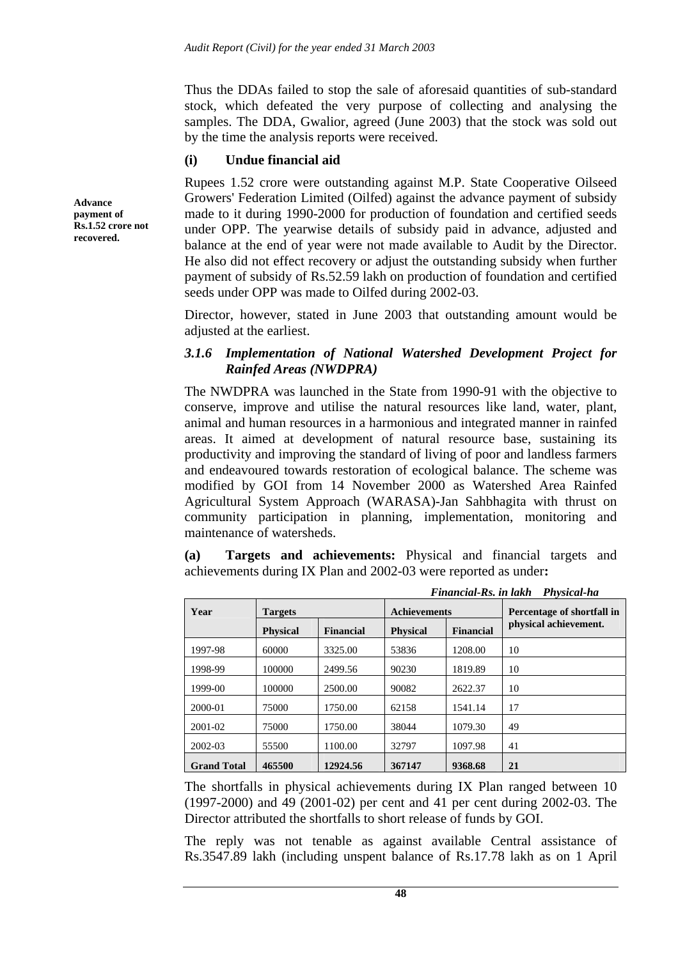Thus the DDAs failed to stop the sale of aforesaid quantities of sub-standard stock, which defeated the very purpose of collecting and analysing the samples. The DDA, Gwalior, agreed (June 2003) that the stock was sold out by the time the analysis reports were received.

### **(i) Undue financial aid**

Rupees 1.52 crore were outstanding against M.P. State Cooperative Oilseed Growers' Federation Limited (Oilfed) against the advance payment of subsidy made to it during 1990-2000 for production of foundation and certified seeds under OPP. The yearwise details of subsidy paid in advance, adjusted and balance at the end of year were not made available to Audit by the Director. He also did not effect recovery or adjust the outstanding subsidy when further payment of subsidy of Rs.52.59 lakh on production of foundation and certified seeds under OPP was made to Oilfed during 2002-03.

Director, however, stated in June 2003 that outstanding amount would be adjusted at the earliest.

### *3.1.6 Implementation of National Watershed Development Project for Rainfed Areas (NWDPRA)*

The NWDPRA was launched in the State from 1990-91 with the objective to conserve, improve and utilise the natural resources like land, water, plant, animal and human resources in a harmonious and integrated manner in rainfed areas. It aimed at development of natural resource base, sustaining its productivity and improving the standard of living of poor and landless farmers and endeavoured towards restoration of ecological balance. The scheme was modified by GOI from 14 November 2000 as Watershed Area Rainfed Agricultural System Approach (WARASA)-Jan Sahbhagita with thrust on community participation in planning, implementation, monitoring and maintenance of watersheds.

**(a) Targets and achievements:** Physical and financial targets and achievements during IX Plan and 2002-03 were reported as under**:** 

|                    |                 |                  | Financial-Rs. in lakh<br>Physical-ha |                  |                            |  |  |  |  |
|--------------------|-----------------|------------------|--------------------------------------|------------------|----------------------------|--|--|--|--|
| Year               | <b>Targets</b>  |                  | <b>Achievements</b>                  |                  | Percentage of shortfall in |  |  |  |  |
|                    | <b>Physical</b> | <b>Financial</b> | <b>Physical</b>                      | <b>Financial</b> | physical achievement.      |  |  |  |  |
| 1997-98            | 60000           | 3325.00          | 53836                                | 1208.00          | 10                         |  |  |  |  |
| 1998-99            | 100000          | 2499.56          | 90230                                | 1819.89          | 10                         |  |  |  |  |
| $1999-00$          | 100000          | 2500.00          | 90082                                | 2622.37          | 10                         |  |  |  |  |
| 2000-01            | 75000           | 1750.00          | 62158                                | 1541.14          | 17                         |  |  |  |  |
| 2001-02            | 75000           | 1750.00          | 38044                                | 1079.30          | 49                         |  |  |  |  |
| 2002-03            | 55500           | 1100.00          | 32797                                | 1097.98          | 41                         |  |  |  |  |
| <b>Grand Total</b> | 465500          | 12924.56         | 367147                               | 9368.68          | 21                         |  |  |  |  |

The shortfalls in physical achievements during IX Plan ranged between 10 (1997-2000) and 49 (2001-02) per cent and 41 per cent during 2002-03. The Director attributed the shortfalls to short release of funds by GOI.

The reply was not tenable as against available Central assistance of Rs.3547.89 lakh (including unspent balance of Rs.17.78 lakh as on 1 April

**Advance payment of Rs.1.52 crore not recovered.**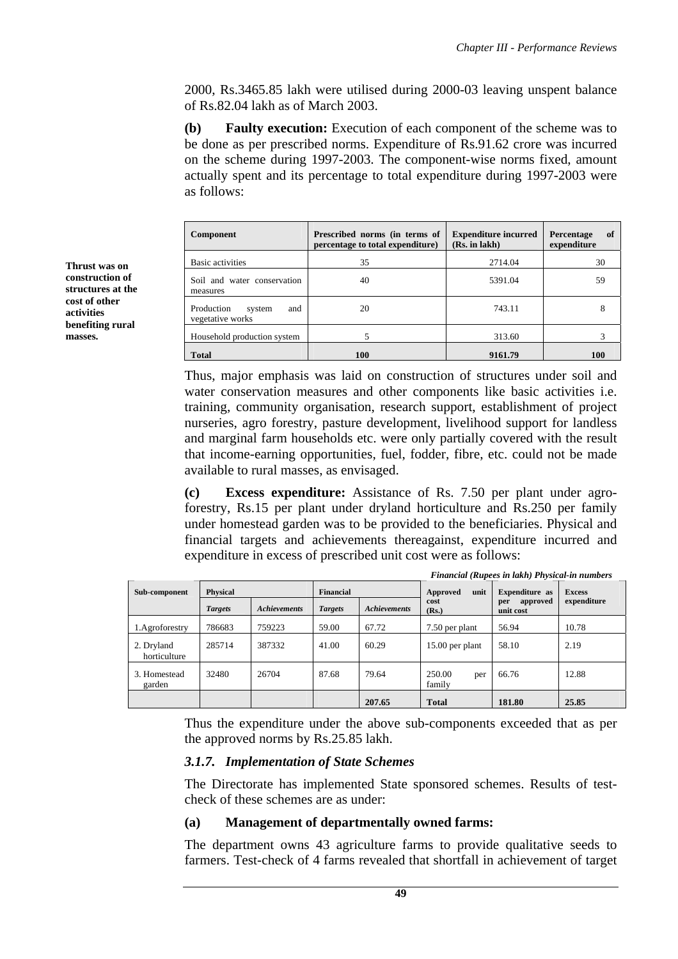2000, Rs.3465.85 lakh were utilised during 2000-03 leaving unspent balance of Rs.82.04 lakh as of March 2003.

**(b) Faulty execution:** Execution of each component of the scheme was to be done as per prescribed norms. Expenditure of Rs.91.62 crore was incurred on the scheme during 1997-2003. The component-wise norms fixed, amount actually spent and its percentage to total expenditure during 1997-2003 were as follows:

| Component                                       | Prescribed norms (in terms of<br>percentage to total expenditure) | <b>Expenditure incurred</b><br>(Rs. in lakh) | Percentage<br>of<br>expenditure |  |
|-------------------------------------------------|-------------------------------------------------------------------|----------------------------------------------|---------------------------------|--|
| Basic activities                                | 35                                                                | 2714.04                                      | 30                              |  |
| Soil and water conservation<br>measures         | 40                                                                | 5391.04                                      | 59                              |  |
| Production<br>and<br>system<br>vegetative works | 20                                                                | 743.11                                       |                                 |  |
| Household production system                     |                                                                   | 313.60                                       |                                 |  |
| <b>Total</b>                                    | <b>100</b>                                                        | 9161.79                                      | 100                             |  |

Thus, major emphasis was laid on construction of structures under soil and water conservation measures and other components like basic activities i.e. training, community organisation, research support, establishment of project nurseries, agro forestry, pasture development, livelihood support for landless and marginal farm households etc. were only partially covered with the result that income-earning opportunities, fuel, fodder, fibre, etc. could not be made available to rural masses, as envisaged.

**(c) Excess expenditure:** Assistance of Rs. 7.50 per plant under agroforestry, Rs.15 per plant under dryland horticulture and Rs.250 per family under homestead garden was to be provided to the beneficiaries. Physical and financial targets and achievements thereagainst, expenditure incurred and expenditure in excess of prescribed unit cost were as follows:

|                            |                 |                     |                |                     |                         | Financial (Rupees in lakh) Physical-in numbers |               |
|----------------------------|-----------------|---------------------|----------------|---------------------|-------------------------|------------------------------------------------|---------------|
| Sub-component              | <b>Physical</b> |                     | Financial      |                     | unit<br>Approved        | Expenditure as                                 | <b>Excess</b> |
|                            | <b>Targets</b>  | <b>Achievements</b> | <b>Targets</b> | <b>Achievements</b> | cost<br>(Rs.)           | approved<br>per<br>unit cost                   | expenditure   |
| 1. Agroforestry            | 786683          | 759223              | 59.00          | 67.72               | 7.50 per plant          | 56.94                                          | 10.78         |
| 2. Dryland<br>horticulture | 285714          | 387332              | 41.00          | 60.29               | 15.00 per plant         | 58.10                                          | 2.19          |
| 3. Homestead<br>garden     | 32480           | 26704               | 87.68          | 79.64               | 250.00<br>per<br>family | 66.76                                          | 12.88         |
|                            |                 |                     |                | 207.65              | <b>Total</b>            | 181.80                                         | 25.85         |

Thus the expenditure under the above sub-components exceeded that as per the approved norms by Rs.25.85 lakh.

### *3.1.7. Implementation of State Schemes*

The Directorate has implemented State sponsored schemes. Results of testcheck of these schemes are as under:

### **(a) Management of departmentally owned farms:**

The department owns 43 agriculture farms to provide qualitative seeds to farmers. Test-check of 4 farms revealed that shortfall in achievement of target

**Thrust was on construction of structures at the cost of other activities benefiting rural masses.**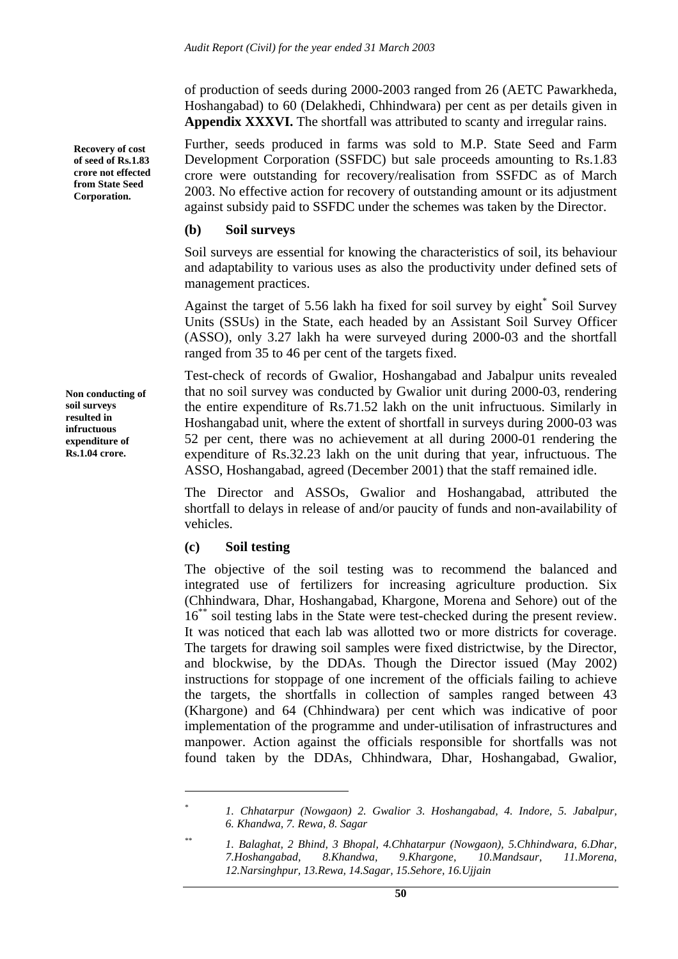of production of seeds during 2000-2003 ranged from 26 (AETC Pawarkheda, Hoshangabad) to 60 (Delakhedi, Chhindwara) per cent as per details given in **Appendix XXXVI.** The shortfall was attributed to scanty and irregular rains.

Further, seeds produced in farms was sold to M.P. State Seed and Farm Development Corporation (SSFDC) but sale proceeds amounting to Rs.1.83 crore were outstanding for recovery/realisation from SSFDC as of March 2003. No effective action for recovery of outstanding amount or its adjustment against subsidy paid to SSFDC under the schemes was taken by the Director.

#### **(b) Soil surveys**

Soil surveys are essential for knowing the characteristics of soil, its behaviour and adaptability to various uses as also the productivity under defined sets of management practices.

Against the target of 5.56 lakh ha fixed for soil survey by eight\* Soil Survey Units (SSUs) in the State, each headed by an Assistant Soil Survey Officer (ASSO), only 3.27 lakh ha were surveyed during 2000-03 and the shortfall ranged from 35 to 46 per cent of the targets fixed.

Test-check of records of Gwalior, Hoshangabad and Jabalpur units revealed that no soil survey was conducted by Gwalior unit during 2000-03, rendering the entire expenditure of Rs.71.52 lakh on the unit infructuous. Similarly in Hoshangabad unit, where the extent of shortfall in surveys during 2000-03 was 52 per cent, there was no achievement at all during 2000-01 rendering the expenditure of Rs.32.23 lakh on the unit during that year, infructuous. The ASSO, Hoshangabad, agreed (December 2001) that the staff remained idle.

The Director and ASSOs, Gwalior and Hoshangabad, attributed the shortfall to delays in release of and/or paucity of funds and non-availability of vehicles.

### **(c) Soil testing**

 $\overline{a}$ 

The objective of the soil testing was to recommend the balanced and integrated use of fertilizers for increasing agriculture production. Six (Chhindwara, Dhar, Hoshangabad, Khargone, Morena and Sehore) out of the 16<sup>\*\*</sup> soil testing labs in the State were test-checked during the present review. It was noticed that each lab was allotted two or more districts for coverage. The targets for drawing soil samples were fixed districtwise, by the Director, and blockwise, by the DDAs. Though the Director issued (May 2002) instructions for stoppage of one increment of the officials failing to achieve the targets, the shortfalls in collection of samples ranged between 43 (Khargone) and 64 (Chhindwara) per cent which was indicative of poor implementation of the programme and under-utilisation of infrastructures and manpower. Action against the officials responsible for shortfalls was not found taken by the DDAs, Chhindwara, Dhar, Hoshangabad, Gwalior,

**Recovery of cost of seed of Rs.1.83 crore not effected from State Seed Corporation.** 

**Non conducting of soil surveys resulted in infructuous expenditure of Rs.1.04 crore.** 

*<sup>\*</sup> 1. Chhatarpur (Nowgaon) 2. Gwalior 3. Hoshangabad, 4. Indore, 5. Jabalpur, 6. Khandwa, 7. Rewa, 8. Sagar* 

*<sup>\*\* 1.</sup> Balaghat, 2 Bhind, 3 Bhopal, 4.Chhatarpur (Nowgaon), 5.Chhindwara, 6.Dhar, 7.Hoshangabad, 8.Khandwa, 9.Khargone, 10.Mandsaur, 11.Morena, 12.Narsinghpur, 13.Rewa, 14.Sagar, 15.Sehore, 16.Ujjain*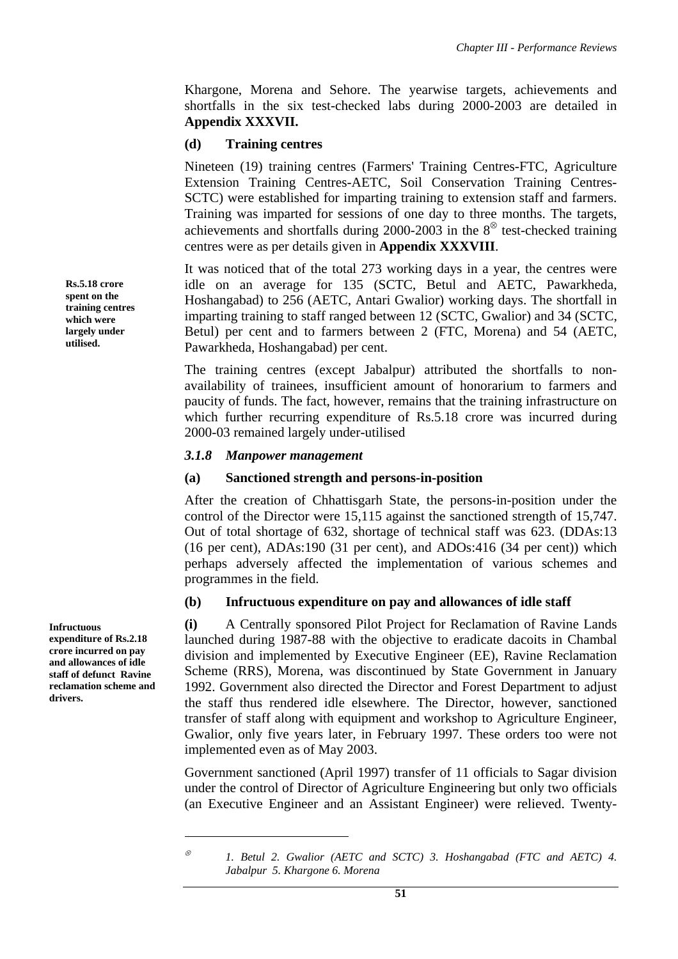Khargone, Morena and Sehore. The yearwise targets, achievements and shortfalls in the six test-checked labs during 2000-2003 are detailed in **Appendix XXXVII.**

### **(d) Training centres**

Nineteen (19) training centres (Farmers' Training Centres-FTC, Agriculture Extension Training Centres-AETC, Soil Conservation Training Centres-SCTC) were established for imparting training to extension staff and farmers. Training was imparted for sessions of one day to three months. The targets, achievements and shortfalls during 2000-2003 in the  $8^{\circ}$  test-checked training centres were as per details given in **Appendix XXXVIII**.

It was noticed that of the total 273 working days in a year, the centres were idle on an average for 135 (SCTC, Betul and AETC, Pawarkheda, Hoshangabad) to 256 (AETC, Antari Gwalior) working days. The shortfall in imparting training to staff ranged between 12 (SCTC, Gwalior) and 34 (SCTC, Betul) per cent and to farmers between 2 (FTC, Morena) and 54 (AETC, Pawarkheda, Hoshangabad) per cent.

The training centres (except Jabalpur) attributed the shortfalls to nonavailability of trainees, insufficient amount of honorarium to farmers and paucity of funds. The fact, however, remains that the training infrastructure on which further recurring expenditure of Rs.5.18 crore was incurred during 2000-03 remained largely under-utilised

#### *3.1.8 Manpower management*

#### **(a) Sanctioned strength and persons-in-position**

After the creation of Chhattisgarh State, the persons-in-position under the control of the Director were 15,115 against the sanctioned strength of 15,747. Out of total shortage of 632, shortage of technical staff was 623. (DDAs:13 (16 per cent), ADAs:190 (31 per cent), and ADOs:416 (34 per cent)) which perhaps adversely affected the implementation of various schemes and programmes in the field.

### **(b) Infructuous expenditure on pay and allowances of idle staff**

**(i)** A Centrally sponsored Pilot Project for Reclamation of Ravine Lands launched during 1987-88 with the objective to eradicate dacoits in Chambal division and implemented by Executive Engineer (EE), Ravine Reclamation Scheme (RRS), Morena, was discontinued by State Government in January 1992. Government also directed the Director and Forest Department to adjust the staff thus rendered idle elsewhere. The Director, however, sanctioned transfer of staff along with equipment and workshop to Agriculture Engineer, Gwalior, only five years later, in February 1997. These orders too were not implemented even as of May 2003.

Government sanctioned (April 1997) transfer of 11 officials to Sagar division under the control of Director of Agriculture Engineering but only two officials (an Executive Engineer and an Assistant Engineer) were relieved. Twenty-

**Rs.5.18 crore spent on the training centres which were largely under utilised.** 

**Infructuous** 

**expenditure of Rs.2.18 crore incurred on pay and allowances of idle staff of defunct Ravine reclamation scheme and drivers.** 

 $\overline{a}$ 

<sup>⊗</sup> *1. Betul 2. Gwalior (AETC and SCTC) 3. Hoshangabad (FTC and AETC) 4. Jabalpur 5. Khargone 6. Morena*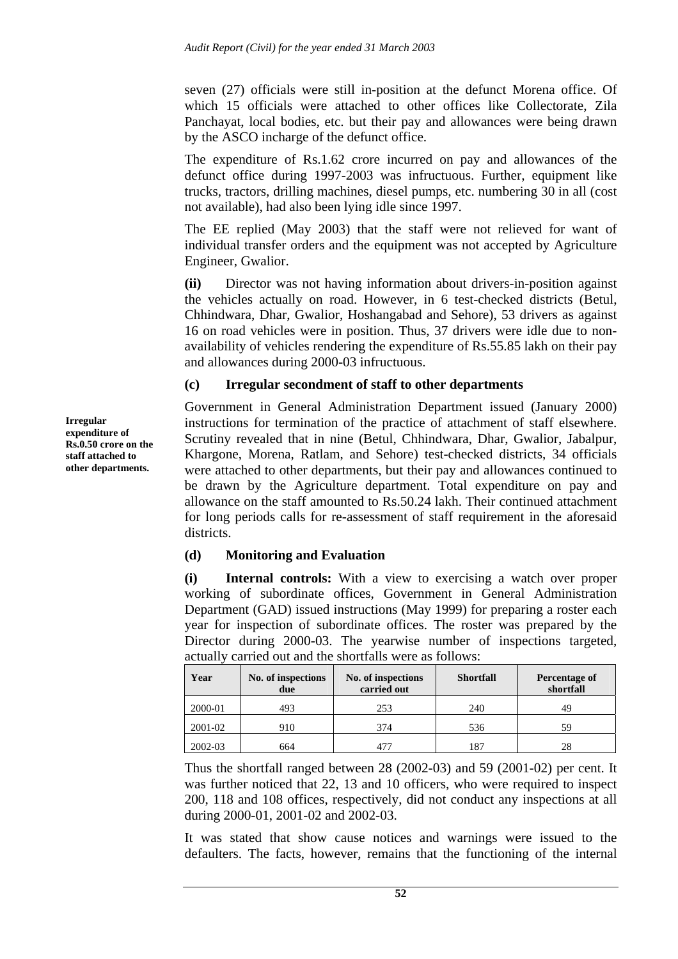seven (27) officials were still in-position at the defunct Morena office. Of which 15 officials were attached to other offices like Collectorate, Zila Panchayat, local bodies, etc. but their pay and allowances were being drawn by the ASCO incharge of the defunct office.

The expenditure of Rs.1.62 crore incurred on pay and allowances of the defunct office during 1997-2003 was infructuous. Further, equipment like trucks, tractors, drilling machines, diesel pumps, etc. numbering 30 in all (cost not available), had also been lying idle since 1997.

The EE replied (May 2003) that the staff were not relieved for want of individual transfer orders and the equipment was not accepted by Agriculture Engineer, Gwalior.

**(ii)** Director was not having information about drivers-in-position against the vehicles actually on road. However, in 6 test-checked districts (Betul, Chhindwara, Dhar, Gwalior, Hoshangabad and Sehore), 53 drivers as against 16 on road vehicles were in position. Thus, 37 drivers were idle due to nonavailability of vehicles rendering the expenditure of Rs.55.85 lakh on their pay and allowances during 2000-03 infructuous.

### **(c) Irregular secondment of staff to other departments**

Government in General Administration Department issued (January 2000) instructions for termination of the practice of attachment of staff elsewhere. Scrutiny revealed that in nine (Betul, Chhindwara, Dhar, Gwalior, Jabalpur, Khargone, Morena, Ratlam, and Sehore) test-checked districts, 34 officials were attached to other departments, but their pay and allowances continued to be drawn by the Agriculture department. Total expenditure on pay and allowance on the staff amounted to Rs.50.24 lakh. Their continued attachment for long periods calls for re-assessment of staff requirement in the aforesaid districts.

## **(d) Monitoring and Evaluation**

**(i) Internal controls:** With a view to exercising a watch over proper working of subordinate offices, Government in General Administration Department (GAD) issued instructions (May 1999) for preparing a roster each year for inspection of subordinate offices. The roster was prepared by the Director during 2000-03. The yearwise number of inspections targeted, actually carried out and the shortfalls were as follows:

| Year    | No. of inspections<br>due | No. of inspections<br>carried out | <b>Shortfall</b> | Percentage of<br>shortfall |
|---------|---------------------------|-----------------------------------|------------------|----------------------------|
| 2000-01 | 493                       | 253                               | 240              | 49                         |
| 2001-02 | 910                       | 374                               | 536              | 59                         |
| 2002-03 | 664                       | 47′                               | 187              | 28                         |

Thus the shortfall ranged between 28 (2002-03) and 59 (2001-02) per cent. It was further noticed that 22, 13 and 10 officers, who were required to inspect 200, 118 and 108 offices, respectively, did not conduct any inspections at all during 2000-01, 2001-02 and 2002-03.

It was stated that show cause notices and warnings were issued to the defaulters. The facts, however, remains that the functioning of the internal

**Irregular expenditure of Rs.0.50 crore on the staff attached to other departments.**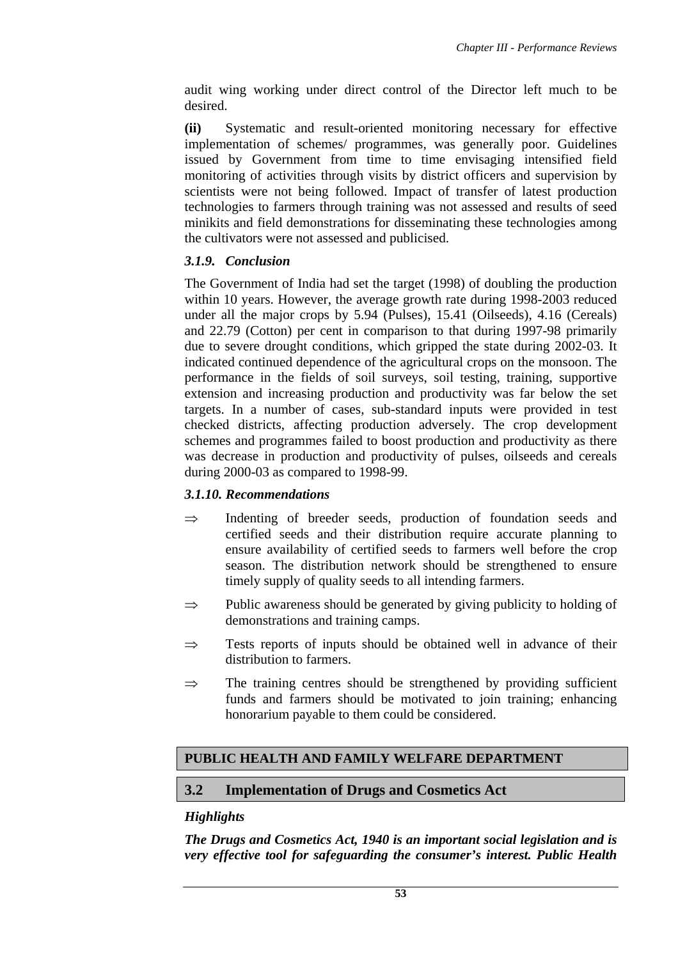audit wing working under direct control of the Director left much to be desired.

**(ii)** Systematic and result-oriented monitoring necessary for effective implementation of schemes/ programmes, was generally poor. Guidelines issued by Government from time to time envisaging intensified field monitoring of activities through visits by district officers and supervision by scientists were not being followed. Impact of transfer of latest production technologies to farmers through training was not assessed and results of seed minikits and field demonstrations for disseminating these technologies among the cultivators were not assessed and publicised.

# *3.1.9. Conclusion*

The Government of India had set the target (1998) of doubling the production within 10 years. However, the average growth rate during 1998-2003 reduced under all the major crops by 5.94 (Pulses), 15.41 (Oilseeds), 4.16 (Cereals) and 22.79 (Cotton) per cent in comparison to that during 1997-98 primarily due to severe drought conditions, which gripped the state during 2002-03. It indicated continued dependence of the agricultural crops on the monsoon. The performance in the fields of soil surveys, soil testing, training, supportive extension and increasing production and productivity was far below the set targets. In a number of cases, sub-standard inputs were provided in test checked districts, affecting production adversely. The crop development schemes and programmes failed to boost production and productivity as there was decrease in production and productivity of pulses, oilseeds and cereals during 2000-03 as compared to 1998-99.

# *3.1.10. Recommendations*

- ⇒ Indenting of breeder seeds, production of foundation seeds and certified seeds and their distribution require accurate planning to ensure availability of certified seeds to farmers well before the crop season. The distribution network should be strengthened to ensure timely supply of quality seeds to all intending farmers.
- $\Rightarrow$  Public awareness should be generated by giving publicity to holding of demonstrations and training camps.
- $\Rightarrow$  Tests reports of inputs should be obtained well in advance of their distribution to farmers.
- $\Rightarrow$  The training centres should be strengthened by providing sufficient funds and farmers should be motivated to join training; enhancing honorarium payable to them could be considered.

# **PUBLIC HEALTH AND FAMILY WELFARE DEPARTMENT**

# **3.2 Implementation of Drugs and Cosmetics Act**

## *Highlights*

*The Drugs and Cosmetics Act, 1940 is an important social legislation and is very effective tool for safeguarding the consumer's interest. Public Health*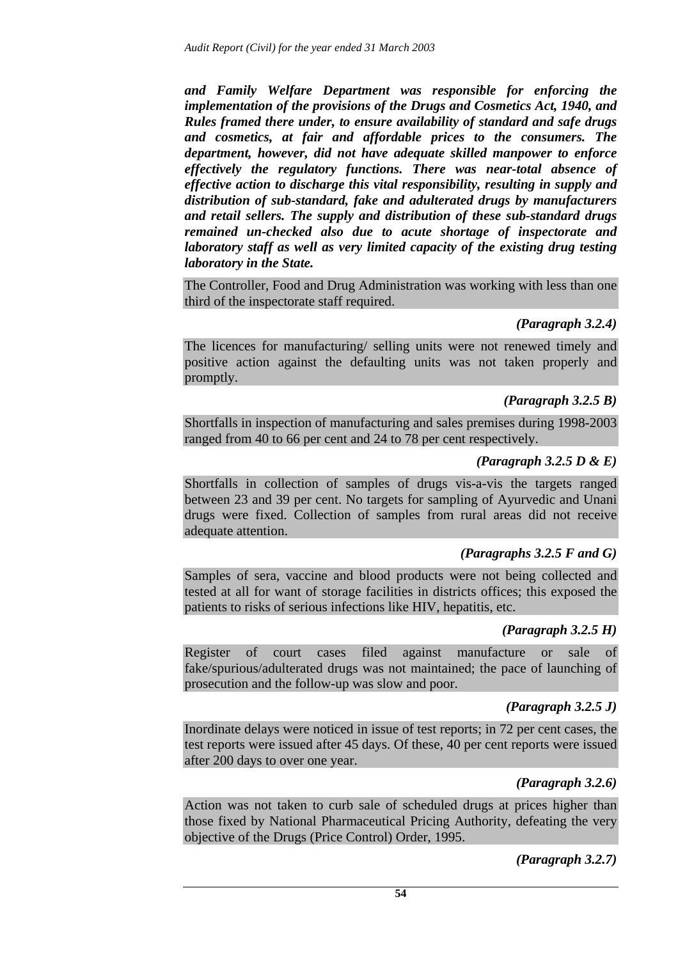*and Family Welfare Department was responsible for enforcing the implementation of the provisions of the Drugs and Cosmetics Act, 1940, and Rules framed there under, to ensure availability of standard and safe drugs and cosmetics, at fair and affordable prices to the consumers. The department, however, did not have adequate skilled manpower to enforce effectively the regulatory functions. There was near-total absence of effective action to discharge this vital responsibility, resulting in supply and distribution of sub-standard, fake and adulterated drugs by manufacturers and retail sellers. The supply and distribution of these sub-standard drugs remained un-checked also due to acute shortage of inspectorate and laboratory staff as well as very limited capacity of the existing drug testing laboratory in the State.* 

The Controller, Food and Drug Administration was working with less than one third of the inspectorate staff required.

### *(Paragraph 3.2.4)*

The licences for manufacturing/ selling units were not renewed timely and positive action against the defaulting units was not taken properly and promptly.

## *(Paragraph 3.2.5 B)*

Shortfalls in inspection of manufacturing and sales premises during 1998-2003 ranged from 40 to 66 per cent and 24 to 78 per cent respectively.

### *(Paragraph 3.2.5 D & E)*

Shortfalls in collection of samples of drugs vis-a-vis the targets ranged between 23 and 39 per cent. No targets for sampling of Ayurvedic and Unani drugs were fixed. Collection of samples from rural areas did not receive adequate attention.

## *(Paragraphs 3.2.5 F and G)*

Samples of sera, vaccine and blood products were not being collected and tested at all for want of storage facilities in districts offices; this exposed the patients to risks of serious infections like HIV, hepatitis, etc.

## *(Paragraph 3.2.5 H)*

Register of court cases filed against manufacture or sale of fake/spurious/adulterated drugs was not maintained; the pace of launching of prosecution and the follow-up was slow and poor.

## *(Paragraph 3.2.5 J)*

Inordinate delays were noticed in issue of test reports; in 72 per cent cases, the test reports were issued after 45 days. Of these, 40 per cent reports were issued after 200 days to over one year.

## *(Paragraph 3.2.6)*

Action was not taken to curb sale of scheduled drugs at prices higher than those fixed by National Pharmaceutical Pricing Authority, defeating the very objective of the Drugs (Price Control) Order, 1995.

## *(Paragraph 3.2.7)*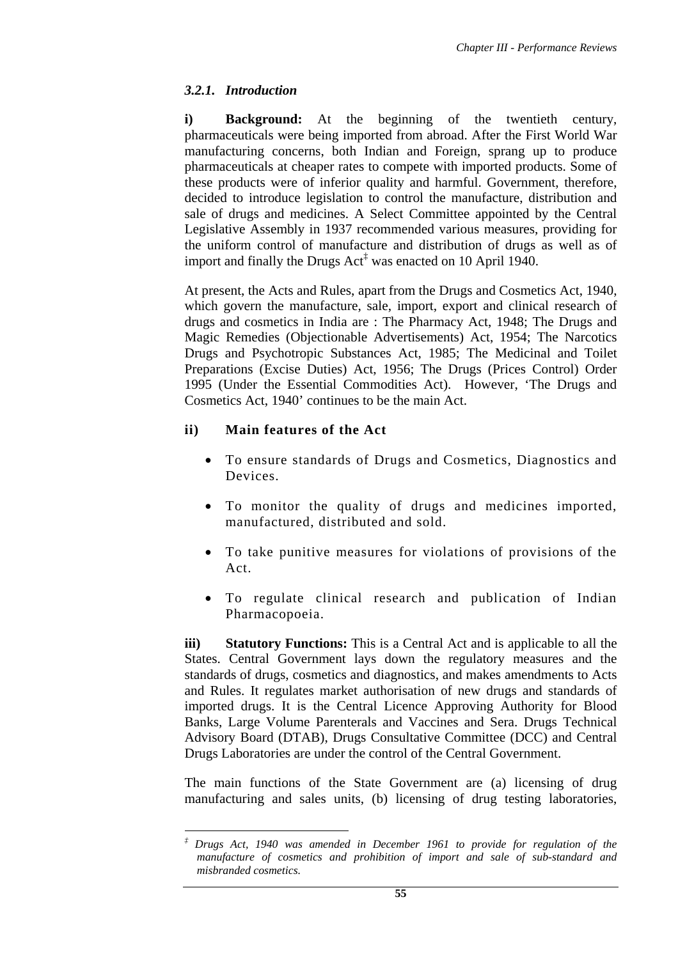# *3.2.1. Introduction*

**i) Background:** At the beginning of the twentieth century, pharmaceuticals were being imported from abroad. After the First World War manufacturing concerns, both Indian and Foreign, sprang up to produce pharmaceuticals at cheaper rates to compete with imported products. Some of these products were of inferior quality and harmful. Government, therefore, decided to introduce legislation to control the manufacture, distribution and sale of drugs and medicines. A Select Committee appointed by the Central Legislative Assembly in 1937 recommended various measures, providing for the uniform control of manufacture and distribution of drugs as well as of import and finally the Drugs Act<sup>‡</sup> was enacted on 10 April 1940.

At present, the Acts and Rules, apart from the Drugs and Cosmetics Act, 1940, which govern the manufacture, sale, import, export and clinical research of drugs and cosmetics in India are : The Pharmacy Act, 1948; The Drugs and Magic Remedies (Objectionable Advertisements) Act, 1954; The Narcotics Drugs and Psychotropic Substances Act, 1985; The Medicinal and Toilet Preparations (Excise Duties) Act, 1956; The Drugs (Prices Control) Order 1995 (Under the Essential Commodities Act). However, 'The Drugs and Cosmetics Act, 1940' continues to be the main Act.

# **ii) Main features of the Act**

- To ensure standards of Drugs and Cosmetics, Diagnostics and Devices.
- To monitor the quality of drugs and medicines imported, manufactured, distributed and sold.
- To take punitive measures for violations of provisions of the Act.
- To regulate clinical research and publication of Indian Pharmacopoeia.

**iii) Statutory Functions:** This is a Central Act and is applicable to all the States. Central Government lays down the regulatory measures and the standards of drugs, cosmetics and diagnostics, and makes amendments to Acts and Rules. It regulates market authorisation of new drugs and standards of imported drugs. It is the Central Licence Approving Authority for Blood Banks, Large Volume Parenterals and Vaccines and Sera. Drugs Technical Advisory Board (DTAB), Drugs Consultative Committee (DCC) and Central Drugs Laboratories are under the control of the Central Government.

The main functions of the State Government are (a) licensing of drug manufacturing and sales units, (b) licensing of drug testing laboratories,

 $\overline{a}$ *‡ Drugs Act, 1940 was amended in December 1961 to provide for regulation of the manufacture of cosmetics and prohibition of import and sale of sub-standard and misbranded cosmetics.*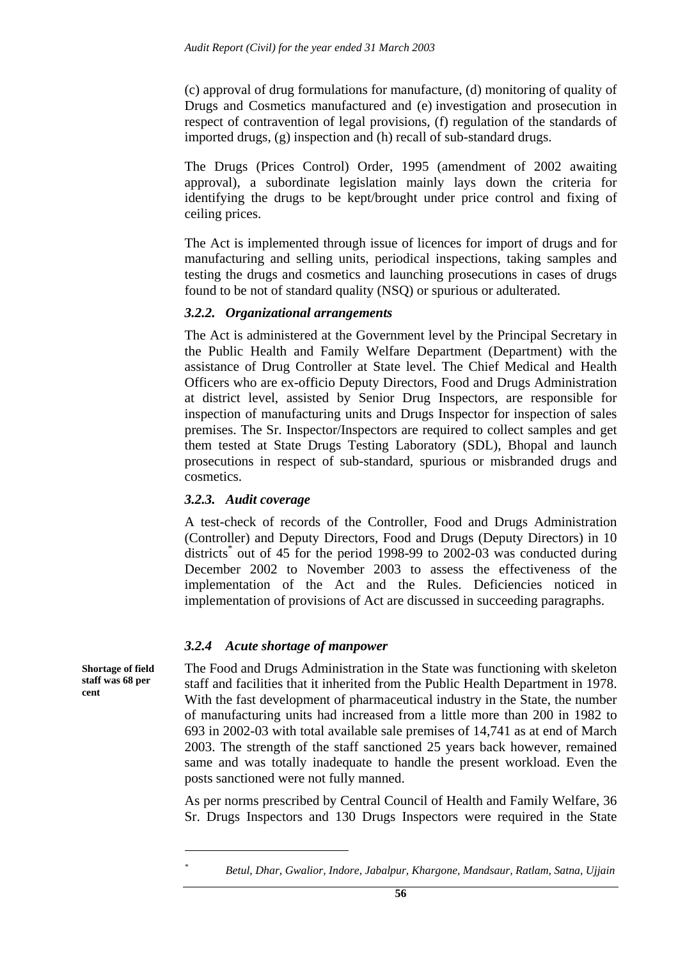(c) approval of drug formulations for manufacture, (d) monitoring of quality of Drugs and Cosmetics manufactured and (e) investigation and prosecution in respect of contravention of legal provisions, (f) regulation of the standards of imported drugs, (g) inspection and (h) recall of sub-standard drugs.

The Drugs (Prices Control) Order, 1995 (amendment of 2002 awaiting approval), a subordinate legislation mainly lays down the criteria for identifying the drugs to be kept/brought under price control and fixing of ceiling prices.

The Act is implemented through issue of licences for import of drugs and for manufacturing and selling units, periodical inspections, taking samples and testing the drugs and cosmetics and launching prosecutions in cases of drugs found to be not of standard quality (NSQ) or spurious or adulterated.

### *3.2.2. Organizational arrangements*

The Act is administered at the Government level by the Principal Secretary in the Public Health and Family Welfare Department (Department) with the assistance of Drug Controller at State level. The Chief Medical and Health Officers who are ex-officio Deputy Directors, Food and Drugs Administration at district level, assisted by Senior Drug Inspectors, are responsible for inspection of manufacturing units and Drugs Inspector for inspection of sales premises. The Sr. Inspector/Inspectors are required to collect samples and get them tested at State Drugs Testing Laboratory (SDL), Bhopal and launch prosecutions in respect of sub-standard, spurious or misbranded drugs and cosmetics.

### *3.2.3. Audit coverage*

A test-check of records of the Controller, Food and Drugs Administration (Controller) and Deputy Directors, Food and Drugs (Deputy Directors) in 10 districts<sup>\*</sup> out of 45 for the period 1998-99 to 2002-03 was conducted during December 2002 to November 2003 to assess the effectiveness of the implementation of the Act and the Rules. Deficiencies noticed in implementation of provisions of Act are discussed in succeeding paragraphs.

### *3.2.4 Acute shortage of manpower*

The Food and Drugs Administration in the State was functioning with skeleton staff and facilities that it inherited from the Public Health Department in 1978. With the fast development of pharmaceutical industry in the State, the number of manufacturing units had increased from a little more than 200 in 1982 to 693 in 2002-03 with total available sale premises of 14,741 as at end of March 2003. The strength of the staff sanctioned 25 years back however, remained same and was totally inadequate to handle the present workload. Even the posts sanctioned were not fully manned.

As per norms prescribed by Central Council of Health and Family Welfare, 36 Sr. Drugs Inspectors and 130 Drugs Inspectors were required in the State

**Shortage of field staff was 68 per cent** 

> $\overline{a}$ *\**

*Betul, Dhar, Gwalior, Indore, Jabalpur, Khargone, Mandsaur, Ratlam, Satna, Ujjain*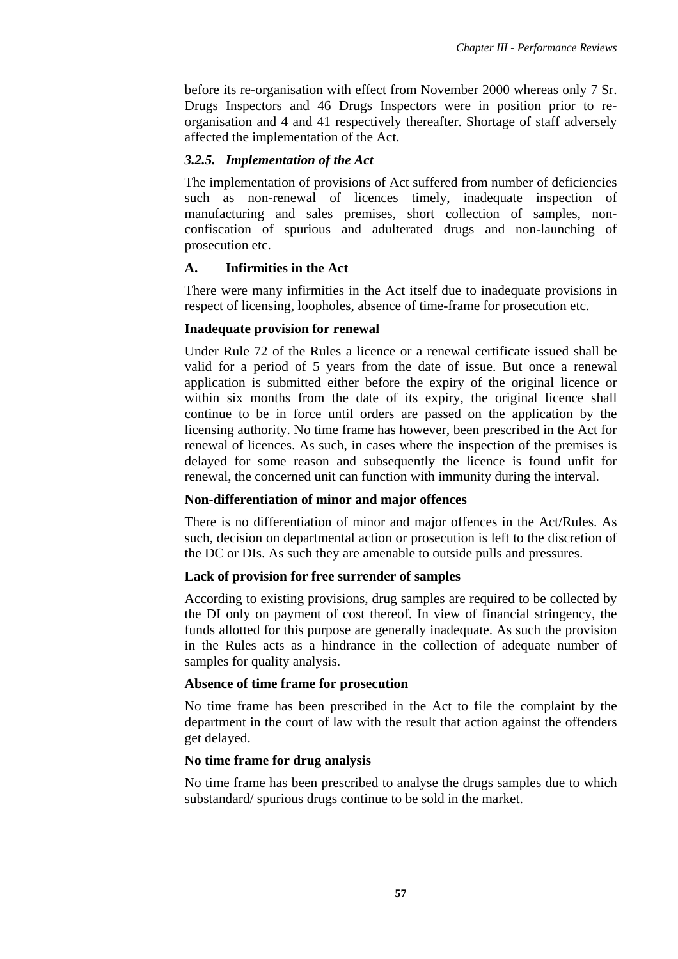before its re-organisation with effect from November 2000 whereas only 7 Sr. Drugs Inspectors and 46 Drugs Inspectors were in position prior to reorganisation and 4 and 41 respectively thereafter. Shortage of staff adversely affected the implementation of the Act.

## *3.2.5. Implementation of the Act*

The implementation of provisions of Act suffered from number of deficiencies such as non-renewal of licences timely, inadequate inspection of manufacturing and sales premises, short collection of samples, nonconfiscation of spurious and adulterated drugs and non-launching of prosecution etc.

## **A. Infirmities in the Act**

There were many infirmities in the Act itself due to inadequate provisions in respect of licensing, loopholes, absence of time-frame for prosecution etc.

## **Inadequate provision for renewal**

Under Rule 72 of the Rules a licence or a renewal certificate issued shall be valid for a period of 5 years from the date of issue. But once a renewal application is submitted either before the expiry of the original licence or within six months from the date of its expiry, the original licence shall continue to be in force until orders are passed on the application by the licensing authority. No time frame has however, been prescribed in the Act for renewal of licences. As such, in cases where the inspection of the premises is delayed for some reason and subsequently the licence is found unfit for renewal, the concerned unit can function with immunity during the interval.

## **Non-differentiation of minor and major offences**

There is no differentiation of minor and major offences in the Act/Rules. As such, decision on departmental action or prosecution is left to the discretion of the DC or DIs. As such they are amenable to outside pulls and pressures.

## **Lack of provision for free surrender of samples**

According to existing provisions, drug samples are required to be collected by the DI only on payment of cost thereof. In view of financial stringency, the funds allotted for this purpose are generally inadequate. As such the provision in the Rules acts as a hindrance in the collection of adequate number of samples for quality analysis.

## **Absence of time frame for prosecution**

No time frame has been prescribed in the Act to file the complaint by the department in the court of law with the result that action against the offenders get delayed.

# **No time frame for drug analysis**

No time frame has been prescribed to analyse the drugs samples due to which substandard/ spurious drugs continue to be sold in the market.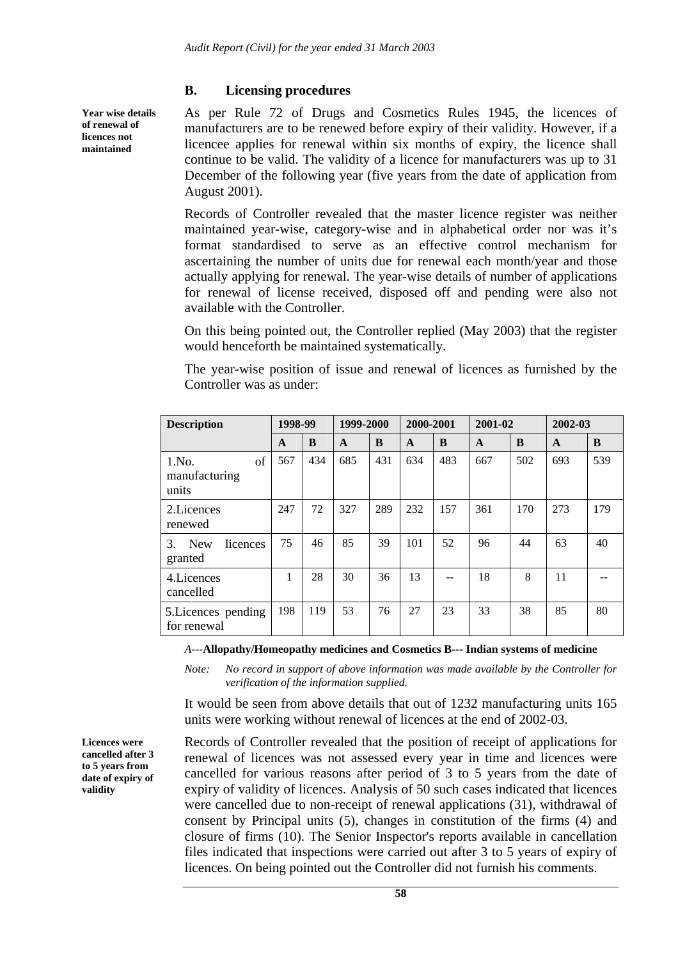### **B. Licensing procedures**

As per Rule 72 of Drugs and Cosmetics Rules 1945, the licences of manufacturers are to be renewed before expiry of their validity. However, if a licencee applies for renewal within six months of expiry, the licence shall continue to be valid. The validity of a licence for manufacturers was up to 31 December of the following year (five years from the date of application from August 2001).

Records of Controller revealed that the master licence register was neither maintained year-wise, category-wise and in alphabetical order nor was it's format standardised to serve as an effective control mechanism for ascertaining the number of units due for renewal each month/year and those actually applying for renewal. The year-wise details of number of applications for renewal of license received, disposed off and pending were also not available with the Controller.

On this being pointed out, the Controller replied (May 2003) that the register would henceforth be maintained systematically.

The year-wise position of issue and renewal of licences as furnished by the Controller was as under:

| <b>Description</b>                      | 1998-99 |     | 1999-2000    |     | 2000-2001    |     | 2001-02      |     | 2002-03      |     |
|-----------------------------------------|---------|-----|--------------|-----|--------------|-----|--------------|-----|--------------|-----|
|                                         | A       | B   | $\mathbf{A}$ | B   | $\mathbf{A}$ | B   | $\mathbf{A}$ | B   | $\mathbf{A}$ | B   |
| of<br>1.No.<br>manufacturing<br>units   | 567     | 434 | 685          | 431 | 634          | 483 | 667          | 502 | 693          | 539 |
| 2. Licences<br>renewed                  | 247     | 72  | 327          | 289 | 232          | 157 | 361          | 170 | 273          | 179 |
| <b>New</b><br>licences<br>3.<br>granted | 75      | 46  | 85           | 39  | 101          | 52  | 96           | 44  | 63           | 40  |
| 4. Licences<br>cancelled                | 1       | 28  | 30           | 36  | 13           |     | 18           | 8   | 11           |     |
| 5. Licences pending<br>for renewal      | 198     | 119 | 53           | 76  | 27           | 23  | 33           | 38  | 85           | 80  |

 *A---***Allopathy/Homeopathy medicines and Cosmetics B--- Indian systems of medicine**

*Note: No record in support of above information was made available by the Controller for verification of the information supplied.* 

It would be seen from above details that out of 1232 manufacturing units 165 units were working without renewal of licences at the end of 2002-03.

**Licences were cancelled after 3 to 5 years from date of expiry of validity** 

Records of Controller revealed that the position of receipt of applications for renewal of licences was not assessed every year in time and licences were cancelled for various reasons after period of 3 to 5 years from the date of expiry of validity of licences. Analysis of 50 such cases indicated that licences were cancelled due to non-receipt of renewal applications (31), withdrawal of consent by Principal units (5), changes in constitution of the firms (4) and closure of firms (10). The Senior Inspector's reports available in cancellation files indicated that inspections were carried out after 3 to 5 years of expiry of licences. On being pointed out the Controller did not furnish his comments.

**Year wise details of renewal of licences not maintained**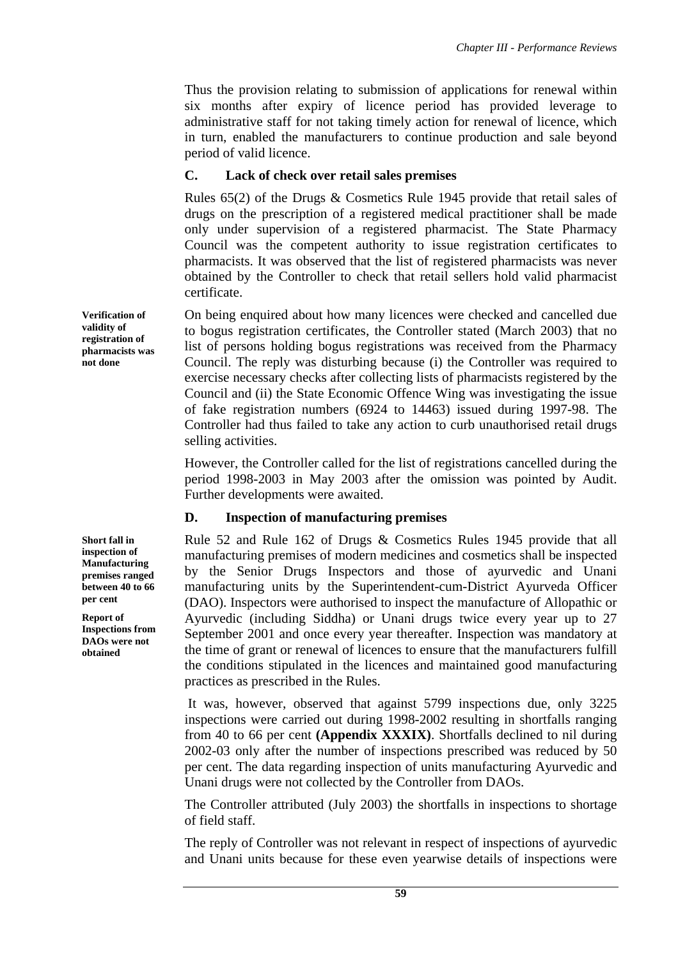Thus the provision relating to submission of applications for renewal within six months after expiry of licence period has provided leverage to administrative staff for not taking timely action for renewal of licence, which in turn, enabled the manufacturers to continue production and sale beyond period of valid licence.

## **C. Lack of check over retail sales premises**

Rules 65(2) of the Drugs & Cosmetics Rule 1945 provide that retail sales of drugs on the prescription of a registered medical practitioner shall be made only under supervision of a registered pharmacist. The State Pharmacy Council was the competent authority to issue registration certificates to pharmacists. It was observed that the list of registered pharmacists was never obtained by the Controller to check that retail sellers hold valid pharmacist certificate.

On being enquired about how many licences were checked and cancelled due to bogus registration certificates, the Controller stated (March 2003) that no list of persons holding bogus registrations was received from the Pharmacy Council. The reply was disturbing because (i) the Controller was required to exercise necessary checks after collecting lists of pharmacists registered by the Council and (ii) the State Economic Offence Wing was investigating the issue of fake registration numbers (6924 to 14463) issued during 1997-98. The Controller had thus failed to take any action to curb unauthorised retail drugs selling activities.

However, the Controller called for the list of registrations cancelled during the period 1998-2003 in May 2003 after the omission was pointed by Audit. Further developments were awaited.

# **D. Inspection of manufacturing premises**

Rule 52 and Rule 162 of Drugs & Cosmetics Rules 1945 provide that all manufacturing premises of modern medicines and cosmetics shall be inspected by the Senior Drugs Inspectors and those of ayurvedic and Unani manufacturing units by the Superintendent-cum-District Ayurveda Officer (DAO). Inspectors were authorised to inspect the manufacture of Allopathic or Ayurvedic (including Siddha) or Unani drugs twice every year up to 27 September 2001 and once every year thereafter. Inspection was mandatory at the time of grant or renewal of licences to ensure that the manufacturers fulfill the conditions stipulated in the licences and maintained good manufacturing practices as prescribed in the Rules.

 It was, however, observed that against 5799 inspections due, only 3225 inspections were carried out during 1998-2002 resulting in shortfalls ranging from 40 to 66 per cent **(Appendix XXXIX)**. Shortfalls declined to nil during 2002-03 only after the number of inspections prescribed was reduced by 50 per cent. The data regarding inspection of units manufacturing Ayurvedic and Unani drugs were not collected by the Controller from DAOs.

The Controller attributed (July 2003) the shortfalls in inspections to shortage of field staff.

The reply of Controller was not relevant in respect of inspections of ayurvedic and Unani units because for these even yearwise details of inspections were

**Verification of validity of registration of pharmacists was not done** 

**Short fall in inspection of Manufacturing premises ranged between 40 to 66 per cent** 

**Report of Inspections from DAOs were not obtained**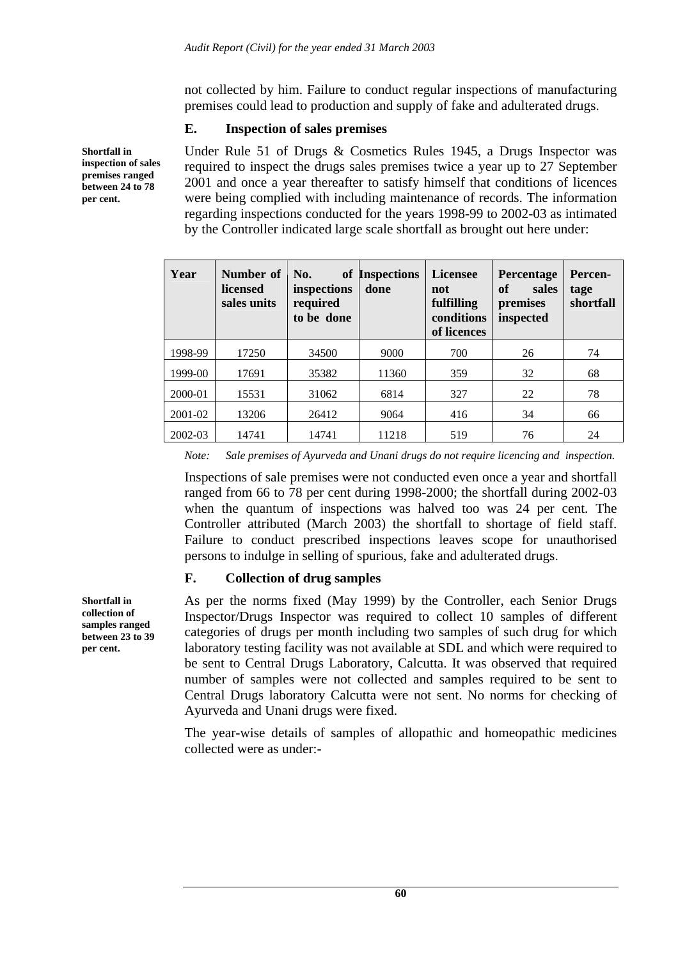not collected by him. Failure to conduct regular inspections of manufacturing premises could lead to production and supply of fake and adulterated drugs.

### **E. Inspection of sales premises**

**Shortfall in inspection of sales premises ranged between 24 to 78 per cent.** 

Under Rule 51 of Drugs & Cosmetics Rules 1945, a Drugs Inspector was required to inspect the drugs sales premises twice a year up to 27 September 2001 and once a year thereafter to satisfy himself that conditions of licences were being complied with including maintenance of records. The information regarding inspections conducted for the years 1998-99 to 2002-03 as intimated by the Controller indicated large scale shortfall as brought out here under:

| Year    | Number of<br>licensed<br>sales units | No.<br>inspections<br>required<br>to be done | <b>Licensee</b><br>of Inspections<br>done<br>not<br>fulfilling<br>conditions<br>of licences |     | Percentage<br>of<br>sales<br>premises<br>inspected | Percen-<br>tage<br>shortfall |
|---------|--------------------------------------|----------------------------------------------|---------------------------------------------------------------------------------------------|-----|----------------------------------------------------|------------------------------|
| 1998-99 | 17250                                | 34500                                        | 9000                                                                                        | 700 | 26                                                 | 74                           |
| 1999-00 | 17691                                | 35382                                        | 11360                                                                                       | 359 | 32                                                 | 68                           |
| 2000-01 | 15531                                | 31062                                        | 6814                                                                                        | 327 | 22                                                 | 78                           |
| 2001-02 | 13206                                | 26412                                        | 9064                                                                                        | 416 | 34                                                 | 66                           |
| 2002-03 | 14741                                | 14741                                        | 11218                                                                                       | 519 | 76                                                 | 24                           |

*Note: Sale premises of Ayurveda and Unani drugs do not require licencing and inspection.* 

Inspections of sale premises were not conducted even once a year and shortfall ranged from 66 to 78 per cent during 1998-2000; the shortfall during 2002-03 when the quantum of inspections was halved too was 24 per cent. The Controller attributed (March 2003) the shortfall to shortage of field staff. Failure to conduct prescribed inspections leaves scope for unauthorised persons to indulge in selling of spurious, fake and adulterated drugs.

## **F. Collection of drug samples**

As per the norms fixed (May 1999) by the Controller, each Senior Drugs Inspector/Drugs Inspector was required to collect 10 samples of different categories of drugs per month including two samples of such drug for which laboratory testing facility was not available at SDL and which were required to be sent to Central Drugs Laboratory, Calcutta. It was observed that required number of samples were not collected and samples required to be sent to Central Drugs laboratory Calcutta were not sent. No norms for checking of Ayurveda and Unani drugs were fixed.

The year-wise details of samples of allopathic and homeopathic medicines collected were as under:-

**Shortfall in collection of samples ranged between 23 to 39 per cent.**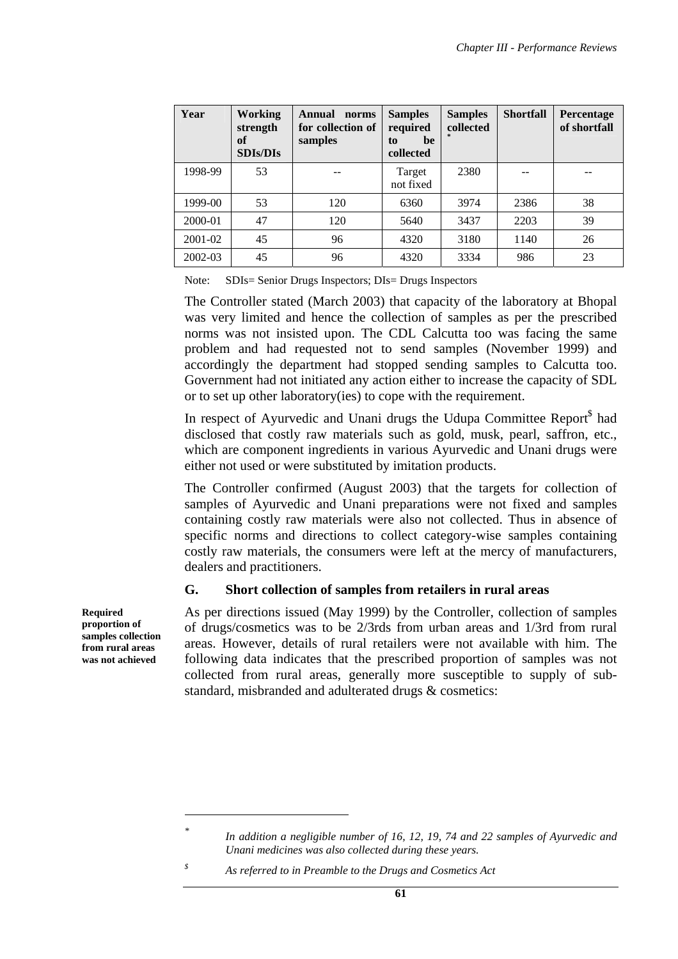| Year    | Working<br>strength<br>of<br><b>SDIs/DIs</b> | Annual<br>norms<br>for collection of<br>samples | <b>Samples</b><br>required<br>be<br>to<br>collected | <b>Samples</b><br>collected | <b>Shortfall</b> | Percentage<br>of shortfall |
|---------|----------------------------------------------|-------------------------------------------------|-----------------------------------------------------|-----------------------------|------------------|----------------------------|
| 1998-99 | 53                                           |                                                 | Target<br>not fixed                                 | 2380                        |                  |                            |
| 1999-00 | 53                                           | 120                                             | 6360                                                | 3974                        | 2386             | 38                         |
| 2000-01 | 47                                           | 120                                             | 5640                                                | 3437                        | 2203             | 39                         |
| 2001-02 | 45                                           | 96                                              | 4320                                                | 3180                        | 1140             | 26                         |
| 2002-03 | 45                                           | 96                                              | 4320                                                | 3334                        | 986              | 23                         |

Note: SDIs= Senior Drugs Inspectors; DIs= Drugs Inspectors

The Controller stated (March 2003) that capacity of the laboratory at Bhopal was very limited and hence the collection of samples as per the prescribed norms was not insisted upon. The CDL Calcutta too was facing the same problem and had requested not to send samples (November 1999) and accordingly the department had stopped sending samples to Calcutta too. Government had not initiated any action either to increase the capacity of SDL or to set up other laboratory(ies) to cope with the requirement.

In respect of Ayurvedic and Unani drugs the Udupa Committee Report<sup>§</sup> had disclosed that costly raw materials such as gold, musk, pearl, saffron, etc., which are component ingredients in various Ayurvedic and Unani drugs were either not used or were substituted by imitation products.

The Controller confirmed (August 2003) that the targets for collection of samples of Ayurvedic and Unani preparations were not fixed and samples containing costly raw materials were also not collected. Thus in absence of specific norms and directions to collect category-wise samples containing costly raw materials, the consumers were left at the mercy of manufacturers, dealers and practitioners.

## **G. Short collection of samples from retailers in rural areas**

As per directions issued (May 1999) by the Controller, collection of samples of drugs/cosmetics was to be 2/3rds from urban areas and 1/3rd from rural areas. However, details of rural retailers were not available with him. The following data indicates that the prescribed proportion of samples was not collected from rural areas, generally more susceptible to supply of substandard, misbranded and adulterated drugs & cosmetics:

*\$ As referred to in Preamble to the Drugs and Cosmetics Act* 

**Required proportion of samples collection from rural areas was not achieved** 

 $\overline{a}$ 

*<sup>\*</sup> In addition a negligible number of 16, 12, 19, 74 and 22 samples of Ayurvedic and Unani medicines was also collected during these years.*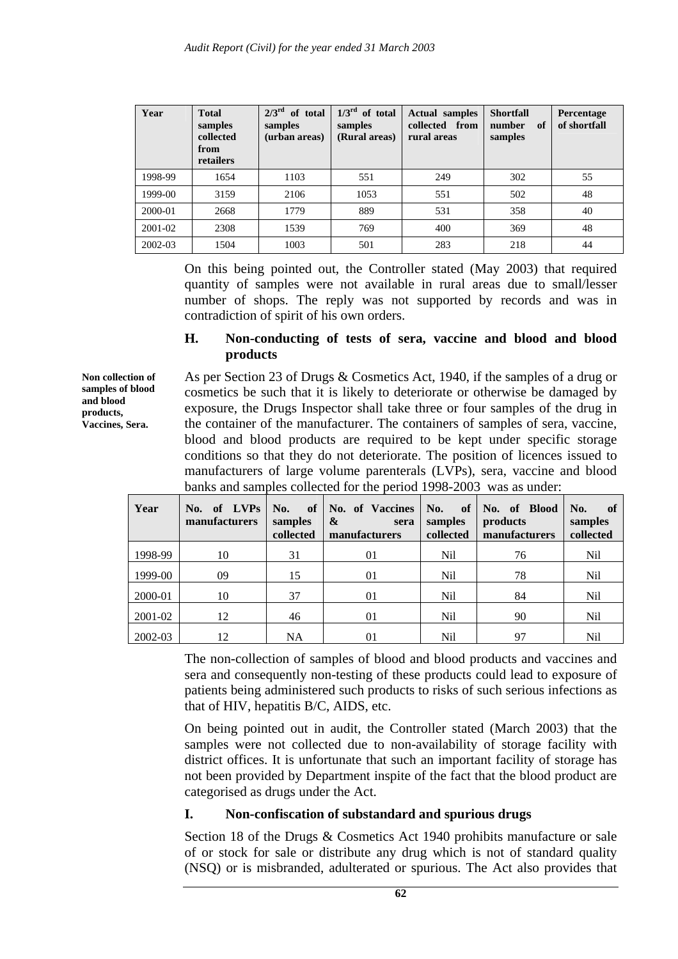| Year    | <b>Total</b><br>samples<br>collected<br>from<br>retailers | $2/3^{\text{rd}}$ of total<br>samples<br>(urban areas) | $1/3^{rd}$ of total<br>samples<br>(Rural areas) | <b>Actual samples</b><br>collected from<br>rural areas | <b>Shortfall</b><br>of<br>number<br>samples | Percentage<br>of shortfall |
|---------|-----------------------------------------------------------|--------------------------------------------------------|-------------------------------------------------|--------------------------------------------------------|---------------------------------------------|----------------------------|
| 1998-99 | 1654                                                      | 1103                                                   | 551                                             | 249                                                    | 302                                         | 55                         |
| 1999-00 | 3159                                                      | 2106                                                   | 1053                                            | 551                                                    | 502                                         | 48                         |
| 2000-01 | 2668                                                      | 1779                                                   | 889                                             | 531                                                    | 358                                         | 40                         |
| 2001-02 | 2308                                                      | 1539                                                   | 769                                             | 400                                                    | 369                                         | 48                         |
| 2002-03 | 1504                                                      | 1003                                                   | 501                                             | 283                                                    | 218                                         | 44                         |

On this being pointed out, the Controller stated (May 2003) that required quantity of samples were not available in rural areas due to small/lesser number of shops. The reply was not supported by records and was in contradiction of spirit of his own orders.

### **H. Non-conducting of tests of sera, vaccine and blood and blood products**

**Non collection of samples of blood and blood products, Vaccines, Sera.** 

As per Section 23 of Drugs & Cosmetics Act, 1940, if the samples of a drug or cosmetics be such that it is likely to deteriorate or otherwise be damaged by exposure, the Drugs Inspector shall take three or four samples of the drug in the container of the manufacturer. The containers of samples of sera, vaccine, blood and blood products are required to be kept under specific storage conditions so that they do not deteriorate. The position of licences issued to manufacturers of large volume parenterals (LVPs), sera, vaccine and blood banks and samples collected for the period 1998-2003 was as under:

| Year    | No. of LVPs<br>manufacturers | No.<br>of <sub>1</sub><br>samples<br>collected | No. of Vaccines<br>$\boldsymbol{\alpha}$<br>sera<br>manufacturers | No.<br><sub>of</sub><br>samples<br>collected | No. of Blood<br>products<br>manufacturers | No.<br>-of<br>samples<br>collected |
|---------|------------------------------|------------------------------------------------|-------------------------------------------------------------------|----------------------------------------------|-------------------------------------------|------------------------------------|
| 1998-99 | 10                           | 31                                             | 01                                                                | <b>Nil</b>                                   | 76                                        | Nil                                |
| 1999-00 | 09                           | 15                                             | 01                                                                | Nil                                          | 78                                        | Nil                                |
| 2000-01 | 10                           | 37                                             | 01                                                                | <b>Nil</b>                                   | 84                                        | Nil                                |
| 2001-02 | 12                           | 46                                             | 01                                                                | Nil                                          | 90                                        | Nil                                |
| 2002-03 | 12                           | <b>NA</b>                                      | 01                                                                | Nil                                          | 97                                        | Nil                                |

The non-collection of samples of blood and blood products and vaccines and sera and consequently non-testing of these products could lead to exposure of patients being administered such products to risks of such serious infections as that of HIV, hepatitis B/C, AIDS, etc.

On being pointed out in audit, the Controller stated (March 2003) that the samples were not collected due to non-availability of storage facility with district offices. It is unfortunate that such an important facility of storage has not been provided by Department inspite of the fact that the blood product are categorised as drugs under the Act.

## **I. Non-confiscation of substandard and spurious drugs**

Section 18 of the Drugs & Cosmetics Act 1940 prohibits manufacture or sale of or stock for sale or distribute any drug which is not of standard quality (NSQ) or is misbranded, adulterated or spurious. The Act also provides that

**62**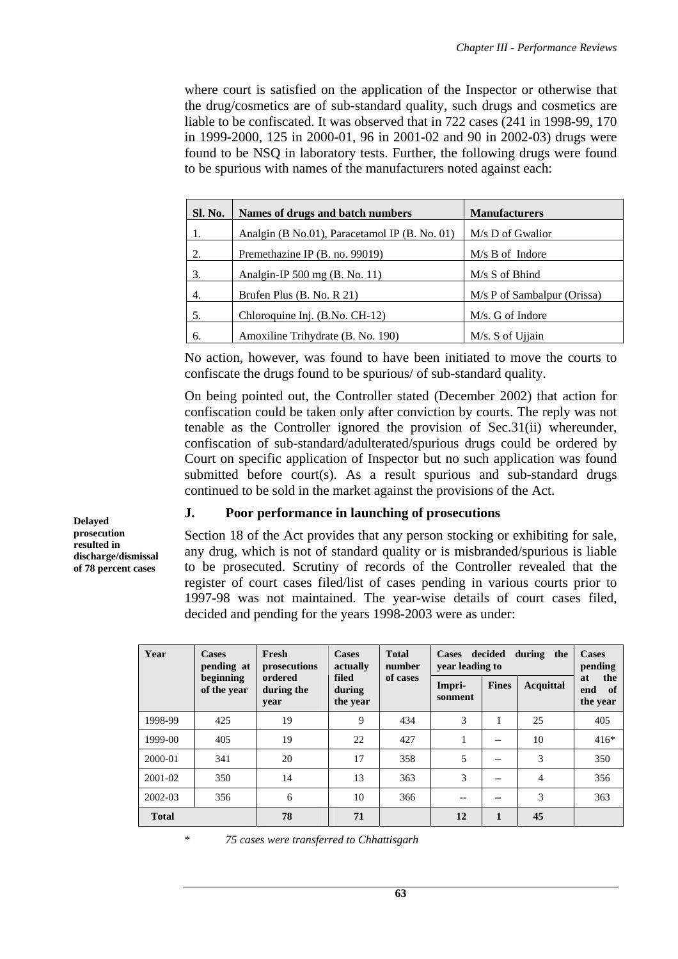where court is satisfied on the application of the Inspector or otherwise that the drug/cosmetics are of sub-standard quality, such drugs and cosmetics are liable to be confiscated. It was observed that in 722 cases (241 in 1998-99, 170 in 1999-2000, 125 in 2000-01, 96 in 2001-02 and 90 in 2002-03) drugs were found to be NSQ in laboratory tests. Further, the following drugs were found to be spurious with names of the manufacturers noted against each:

| Sl. No. | Names of drugs and batch numbers              | <b>Manufacturers</b>        |
|---------|-----------------------------------------------|-----------------------------|
| 1.      | Analgin (B No.01), Paracetamol IP (B. No. 01) | M/s D of Gwalior            |
| 2.      | Premethazine IP (B. no. 99019)                | $M/s$ B of Indore           |
| 3.      | Analgin-IP 500 mg $(B. No. 11)$               | $M/s$ S of Bhind            |
| 4.      | Brufen Plus (B. No. R 21)                     | M/s P of Sambalpur (Orissa) |
| 5.      | Chloroquine Inj. (B.No. CH-12)                | M/s. G of Indore            |
| 6.      | Amoxiline Trihydrate (B. No. 190)             | M/s. S of Ujiain            |

No action, however, was found to have been initiated to move the courts to confiscate the drugs found to be spurious/ of sub-standard quality.

On being pointed out, the Controller stated (December 2002) that action for confiscation could be taken only after conviction by courts. The reply was not tenable as the Controller ignored the provision of Sec.31(ii) whereunder, confiscation of sub-standard/adulterated/spurious drugs could be ordered by Court on specific application of Inspector but no such application was found submitted before court(s). As a result spurious and sub-standard drugs continued to be sold in the market against the provisions of the Act.

### **J. Poor performance in launching of prosecutions**

Section 18 of the Act provides that any person stocking or exhibiting for sale, any drug, which is not of standard quality or is misbranded/spurious is liable to be prosecuted. Scrutiny of records of the Controller revealed that the register of court cases filed/list of cases pending in various courts prior to 1997-98 was not maintained. The year-wise details of court cases filed, decided and pending for the years 1998-2003 were as under:

| Year         | <b>Cases</b><br>pending at | Fresh<br>prosecutions         | <b>Cases</b><br>actually    | <b>Total</b><br>number | decided<br><b>Cases</b><br>vear leading to | <b>Cases</b><br>pending |                |                                    |
|--------------|----------------------------|-------------------------------|-----------------------------|------------------------|--------------------------------------------|-------------------------|----------------|------------------------------------|
|              | beginning<br>of the year   | ordered<br>during the<br>year | filed<br>during<br>the year | of cases               | Impri-<br>sonment                          | <b>Fines</b>            | Acquittal      | the<br>at<br>end<br>of<br>the year |
| 1998-99      | 425                        | 19                            | 9                           | 434                    | 3                                          | 1                       | 25             | 405                                |
| 1999-00      | 405                        | 19                            | 22                          | 427                    | 1                                          | $- -$                   | 10             | $416*$                             |
| 2000-01      | 341                        | 20                            | 17                          | 358                    | 5                                          | $-$                     | 3              | 350                                |
| 2001-02      | 350                        | 14                            | 13                          | 363                    | 3                                          | $- -$                   | $\overline{4}$ | 356                                |
| $2002 - 03$  | 356                        | 6                             | 10                          | 366                    |                                            | $- -$                   | 3              | 363                                |
| <b>Total</b> |                            | 78                            | 71                          |                        | 12                                         | $\mathbf{1}$            | 45             |                                    |

\* *75 cases were transferred to Chhattisgarh* 

**Delayed prosecution resulted in discharge/dismissal of 78 percent cases**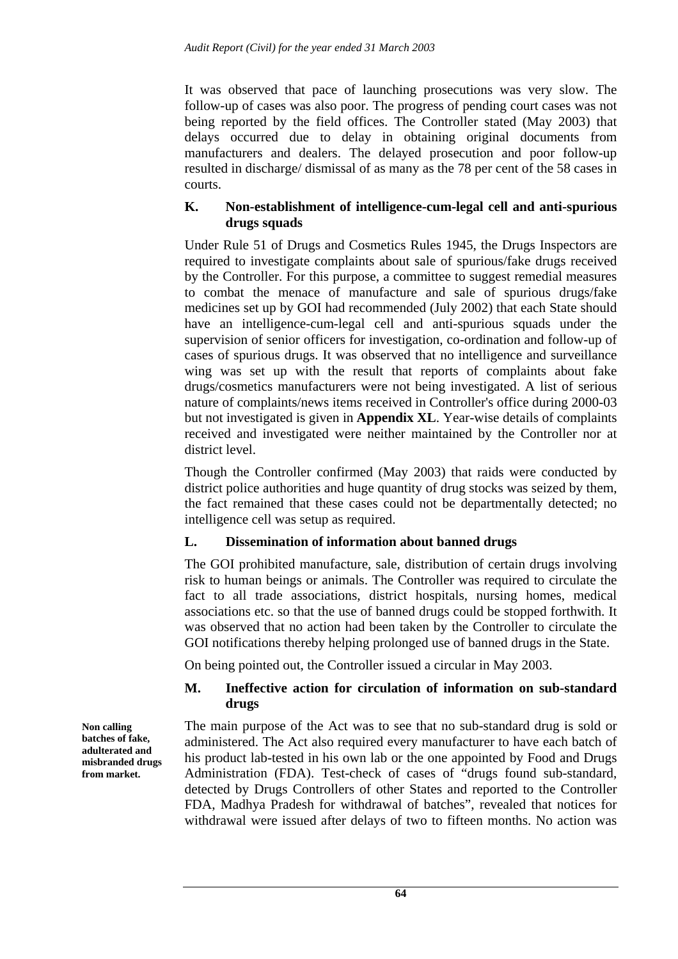It was observed that pace of launching prosecutions was very slow. The follow-up of cases was also poor. The progress of pending court cases was not being reported by the field offices. The Controller stated (May 2003) that delays occurred due to delay in obtaining original documents from manufacturers and dealers. The delayed prosecution and poor follow-up resulted in discharge/ dismissal of as many as the 78 per cent of the 58 cases in courts.

## **K. Non-establishment of intelligence-cum-legal cell and anti-spurious drugs squads**

Under Rule 51 of Drugs and Cosmetics Rules 1945, the Drugs Inspectors are required to investigate complaints about sale of spurious/fake drugs received by the Controller. For this purpose, a committee to suggest remedial measures to combat the menace of manufacture and sale of spurious drugs/fake medicines set up by GOI had recommended (July 2002) that each State should have an intelligence-cum-legal cell and anti-spurious squads under the supervision of senior officers for investigation, co-ordination and follow-up of cases of spurious drugs. It was observed that no intelligence and surveillance wing was set up with the result that reports of complaints about fake drugs/cosmetics manufacturers were not being investigated. A list of serious nature of complaints/news items received in Controller's office during 2000-03 but not investigated is given in **Appendix XL**. Year-wise details of complaints received and investigated were neither maintained by the Controller nor at district level.

Though the Controller confirmed (May 2003) that raids were conducted by district police authorities and huge quantity of drug stocks was seized by them, the fact remained that these cases could not be departmentally detected; no intelligence cell was setup as required.

# **L. Dissemination of information about banned drugs**

The GOI prohibited manufacture, sale, distribution of certain drugs involving risk to human beings or animals. The Controller was required to circulate the fact to all trade associations, district hospitals, nursing homes, medical associations etc. so that the use of banned drugs could be stopped forthwith. It was observed that no action had been taken by the Controller to circulate the GOI notifications thereby helping prolonged use of banned drugs in the State.

On being pointed out, the Controller issued a circular in May 2003.

## **M. Ineffective action for circulation of information on sub-standard drugs**

The main purpose of the Act was to see that no sub-standard drug is sold or administered. The Act also required every manufacturer to have each batch of his product lab-tested in his own lab or the one appointed by Food and Drugs Administration (FDA). Test-check of cases of "drugs found sub-standard, detected by Drugs Controllers of other States and reported to the Controller FDA, Madhya Pradesh for withdrawal of batches", revealed that notices for withdrawal were issued after delays of two to fifteen months. No action was

**Non calling batches of fake, adulterated and misbranded drugs from market.**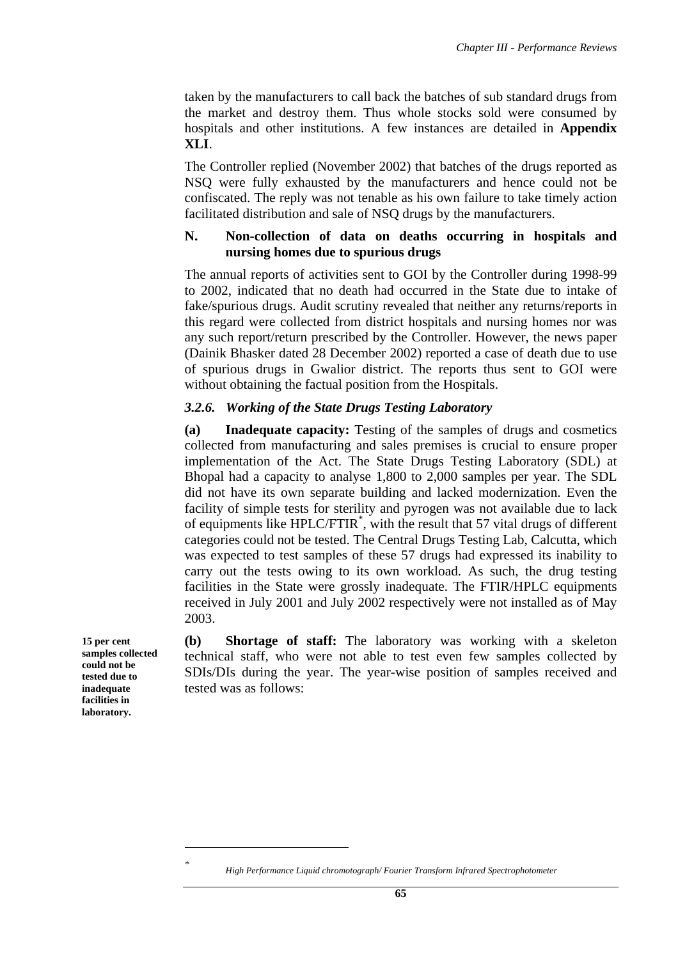taken by the manufacturers to call back the batches of sub standard drugs from the market and destroy them. Thus whole stocks sold were consumed by hospitals and other institutions. A few instances are detailed in **Appendix XLI**.

The Controller replied (November 2002) that batches of the drugs reported as NSQ were fully exhausted by the manufacturers and hence could not be confiscated. The reply was not tenable as his own failure to take timely action facilitated distribution and sale of NSQ drugs by the manufacturers.

### **N. Non-collection of data on deaths occurring in hospitals and nursing homes due to spurious drugs**

The annual reports of activities sent to GOI by the Controller during 1998-99 to 2002, indicated that no death had occurred in the State due to intake of fake/spurious drugs. Audit scrutiny revealed that neither any returns/reports in this regard were collected from district hospitals and nursing homes nor was any such report/return prescribed by the Controller. However, the news paper (Dainik Bhasker dated 28 December 2002) reported a case of death due to use of spurious drugs in Gwalior district. The reports thus sent to GOI were without obtaining the factual position from the Hospitals.

### *3.2.6. Working of the State Drugs Testing Laboratory*

**(a) Inadequate capacity:** Testing of the samples of drugs and cosmetics collected from manufacturing and sales premises is crucial to ensure proper implementation of the Act. The State Drugs Testing Laboratory (SDL) at Bhopal had a capacity to analyse 1,800 to 2,000 samples per year. The SDL did not have its own separate building and lacked modernization. Even the facility of simple tests for sterility and pyrogen was not available due to lack of equipments like HPLC/FTIR\* , with the result that 57 vital drugs of different categories could not be tested. The Central Drugs Testing Lab, Calcutta, which was expected to test samples of these 57 drugs had expressed its inability to carry out the tests owing to its own workload. As such, the drug testing facilities in the State were grossly inadequate. The FTIR/HPLC equipments received in July 2001 and July 2002 respectively were not installed as of May 2003.

**(b) Shortage of staff:** The laboratory was working with a skeleton technical staff, who were not able to test even few samples collected by SDIs/DIs during the year. The year-wise position of samples received and tested was as follows:

**15 per cent samples collected could not be tested due to inadequate facilities in laboratory.** 

 $\overline{a}$ 

*<sup>\*</sup> High Performance Liquid chromotograph/ Fourier Transform Infrared Spectrophotometer*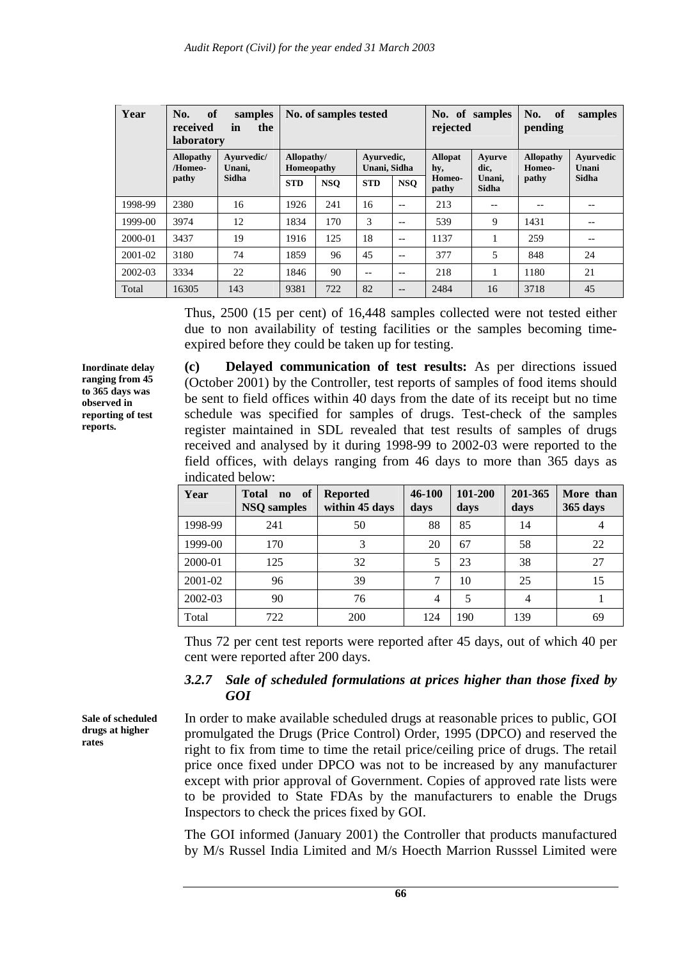| Year        | of<br>No.<br>received<br><b>laboratory</b> | samples<br>the<br>in | No. of samples tested    |            | No. of samples<br>rejected |            | of<br>No.<br>samples<br>pending |                 |                            |                    |
|-------------|--------------------------------------------|----------------------|--------------------------|------------|----------------------------|------------|---------------------------------|-----------------|----------------------------|--------------------|
|             | <b>Allopathy</b><br>/Homeo-                | Avurvedic/<br>Unani. | Allopathy/<br>Homeopathy |            | Avurvedic,<br>Unani, Sidha |            | <b>Allopat</b><br>hy,           | Avurve<br>dic,  | <b>Allopathy</b><br>Homeo- | Ayurvedic<br>Unani |
|             | pathy                                      | Sidha                | <b>STD</b>               | <b>NSO</b> | <b>STD</b>                 | <b>NSO</b> | Homeo-<br>pathy                 | Unani,<br>Sidha | pathy                      | Sidha              |
| 1998-99     | 2380                                       | 16                   | 1926                     | 241        | 16                         | $-$        | 213                             | $- -$           | --                         | --                 |
| 1999-00     | 3974                                       | 12                   | 1834                     | 170        | 3                          | --         | 539                             | 9               | 1431                       |                    |
| 2000-01     | 3437                                       | 19                   | 1916                     | 125        | 18                         | $- -$      | 1137                            | 1               | 259                        | --                 |
| $2001 - 02$ | 3180                                       | 74                   | 1859                     | 96         | 45                         | $-$        | 377                             | 5               | 848                        | 24                 |
| 2002-03     | 3334                                       | 22                   | 1846                     | 90         | --                         | $- -$      | 218                             |                 | 1180                       | 21                 |
| Total       | 16305                                      | 143                  | 9381                     | 722        | 82                         | --         | 2484                            | 16              | 3718                       | 45                 |

Thus, 2500 (15 per cent) of 16,448 samples collected were not tested either due to non availability of testing facilities or the samples becoming timeexpired before they could be taken up for testing.

**Inordinate delay ranging from 45 to 365 days was observed in reporting of test reports.** 

**(c) Delayed communication of test results:** As per directions issued (October 2001) by the Controller, test reports of samples of food items should be sent to field offices within 40 days from the date of its receipt but no time schedule was specified for samples of drugs. Test-check of the samples register maintained in SDL revealed that test results of samples of drugs received and analysed by it during 1998-99 to 2002-03 were reported to the field offices, with delays ranging from 46 days to more than 365 days as indicated below:

| Year    | of<br><b>Total</b><br>$\mathbf{n}\mathbf{o}$<br><b>NSQ</b> samples | <b>Reported</b><br>within 45 days | 46-100<br>days | 101-200<br>days | 201-365<br>days | More than<br>365 days |
|---------|--------------------------------------------------------------------|-----------------------------------|----------------|-----------------|-----------------|-----------------------|
| 1998-99 | 241                                                                | 50                                | 88             | 85              | 14              |                       |
| 1999-00 | 170                                                                | 3                                 | 20             | 67              | 58              | 22                    |
| 2000-01 | 125                                                                | 32                                |                | 23              | 38              | 27                    |
| 2001-02 | 96                                                                 | 39                                | 7              | 10              | 25              | 15                    |
| 2002-03 | 90                                                                 | 76                                | $\overline{4}$ | 5               | $\overline{4}$  |                       |
| Total   | 722                                                                | 200                               | 124            | 190             | 139             | 69                    |

Thus 72 per cent test reports were reported after 45 days, out of which 40 per cent were reported after 200 days.

## *3.2.7 Sale of scheduled formulations at prices higher than those fixed by GOI*

In order to make available scheduled drugs at reasonable prices to public, GOI promulgated the Drugs (Price Control) Order, 1995 (DPCO) and reserved the right to fix from time to time the retail price/ceiling price of drugs. The retail price once fixed under DPCO was not to be increased by any manufacturer except with prior approval of Government. Copies of approved rate lists were to be provided to State FDAs by the manufacturers to enable the Drugs Inspectors to check the prices fixed by GOI.

The GOI informed (January 2001) the Controller that products manufactured by M/s Russel India Limited and M/s Hoecth Marrion Russsel Limited were

**Sale of scheduled drugs at higher rates**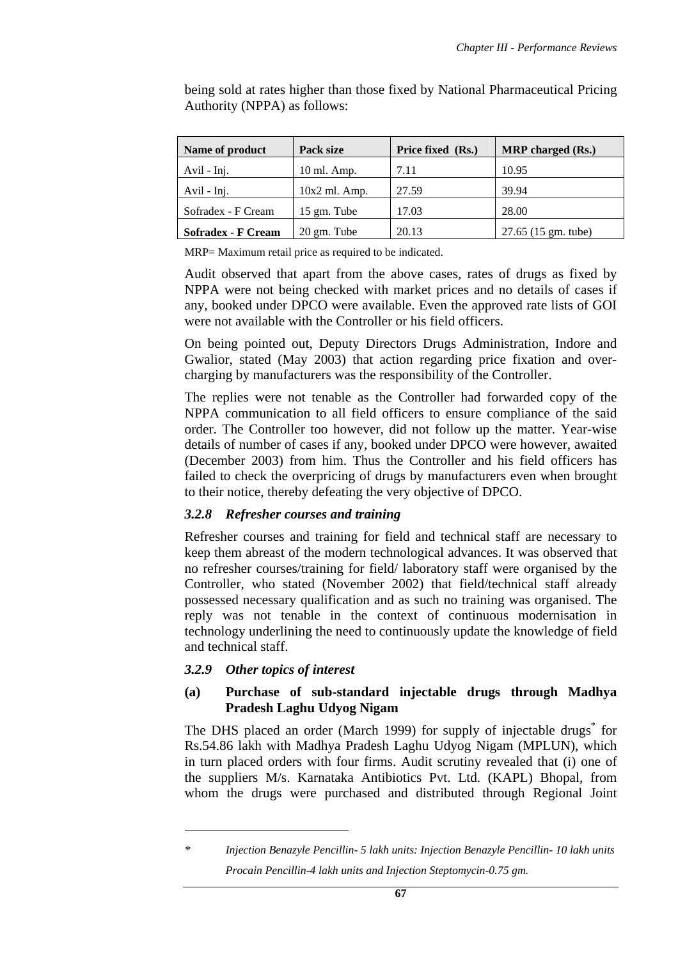| Name of product           | Pack size              | Price fixed (Rs.) | <b>MRP</b> charged (Rs.) |
|---------------------------|------------------------|-------------------|--------------------------|
| Avil - Inj.               | 10 ml. Amp.            | 7.11              | 10.95                    |
| Avil - Inj.               | $10x2$ ml. Amp.        | 27.59             | 39.94                    |
| Sofradex - F Cream        | $15 \text{ gm}$ . Tube | 17.03             | 28.00                    |
| <b>Sofradex - F Cream</b> | $20 \text{ gm}$ . Tube | 20.13             | 27.65 (15 gm. tube)      |

being sold at rates higher than those fixed by National Pharmaceutical Pricing Authority (NPPA) as follows:

MRP= Maximum retail price as required to be indicated.

Audit observed that apart from the above cases, rates of drugs as fixed by NPPA were not being checked with market prices and no details of cases if any, booked under DPCO were available. Even the approved rate lists of GOI were not available with the Controller or his field officers.

On being pointed out, Deputy Directors Drugs Administration, Indore and Gwalior, stated (May 2003) that action regarding price fixation and overcharging by manufacturers was the responsibility of the Controller.

The replies were not tenable as the Controller had forwarded copy of the NPPA communication to all field officers to ensure compliance of the said order. The Controller too however, did not follow up the matter. Year-wise details of number of cases if any, booked under DPCO were however, awaited (December 2003) from him. Thus the Controller and his field officers has failed to check the overpricing of drugs by manufacturers even when brought to their notice, thereby defeating the very objective of DPCO.

## *3.2.8 Refresher courses and training*

Refresher courses and training for field and technical staff are necessary to keep them abreast of the modern technological advances. It was observed that no refresher courses/training for field/ laboratory staff were organised by the Controller, who stated (November 2002) that field/technical staff already possessed necessary qualification and as such no training was organised. The reply was not tenable in the context of continuous modernisation in technology underlining the need to continuously update the knowledge of field and technical staff.

## *3.2.9 Other topics of interest*

 $\overline{a}$ 

## **(a) Purchase of sub-standard injectable drugs through Madhya Pradesh Laghu Udyog Nigam**

The DHS placed an order (March 1999) for supply of injectable drugs<sup>\*</sup> for Rs.54.86 lakh with Madhya Pradesh Laghu Udyog Nigam (MPLUN), which in turn placed orders with four firms. Audit scrutiny revealed that (i) one of the suppliers M/s. Karnataka Antibiotics Pvt. Ltd. (KAPL) Bhopal, from whom the drugs were purchased and distributed through Regional Joint

*<sup>\*</sup> Injection Benazyle Pencillin- 5 lakh units: Injection Benazyle Pencillin- 10 lakh units Procain Pencillin-4 lakh units and Injection Steptomycin-0.75 gm.*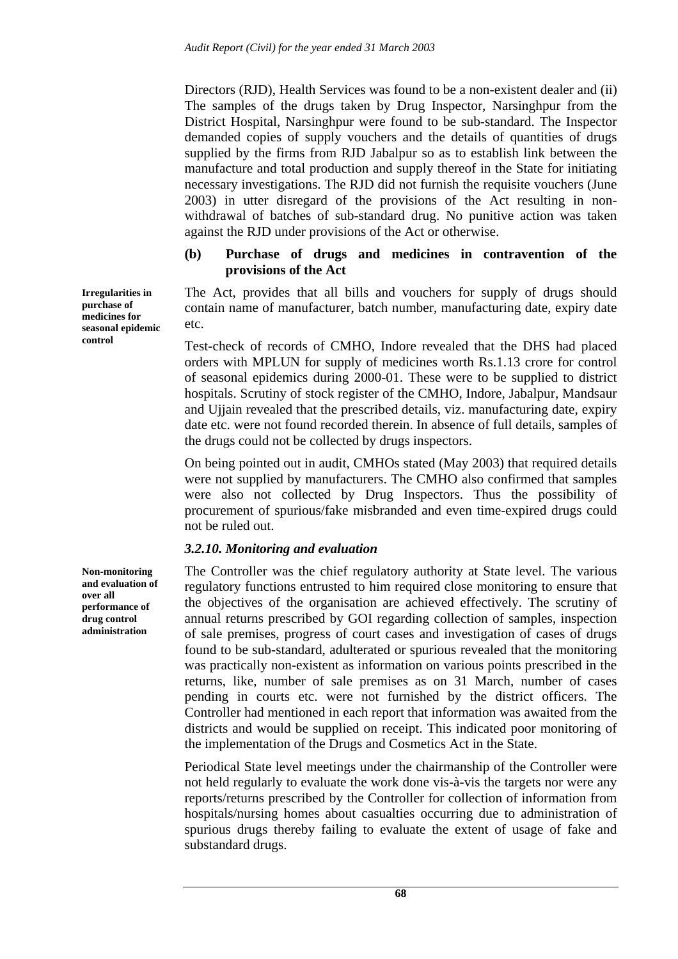Directors (RJD), Health Services was found to be a non-existent dealer and (ii) The samples of the drugs taken by Drug Inspector, Narsinghpur from the District Hospital, Narsinghpur were found to be sub-standard. The Inspector demanded copies of supply vouchers and the details of quantities of drugs supplied by the firms from RJD Jabalpur so as to establish link between the manufacture and total production and supply thereof in the State for initiating necessary investigations. The RJD did not furnish the requisite vouchers (June 2003) in utter disregard of the provisions of the Act resulting in nonwithdrawal of batches of sub-standard drug. No punitive action was taken against the RJD under provisions of the Act or otherwise.

### **(b) Purchase of drugs and medicines in contravention of the provisions of the Act**

The Act, provides that all bills and vouchers for supply of drugs should contain name of manufacturer, batch number, manufacturing date, expiry date etc.

Test-check of records of CMHO, Indore revealed that the DHS had placed orders with MPLUN for supply of medicines worth Rs.1.13 crore for control of seasonal epidemics during 2000-01. These were to be supplied to district hospitals. Scrutiny of stock register of the CMHO, Indore, Jabalpur, Mandsaur and Ujjain revealed that the prescribed details, viz. manufacturing date, expiry date etc. were not found recorded therein. In absence of full details, samples of the drugs could not be collected by drugs inspectors.

On being pointed out in audit, CMHOs stated (May 2003) that required details were not supplied by manufacturers. The CMHO also confirmed that samples were also not collected by Drug Inspectors. Thus the possibility of procurement of spurious/fake misbranded and even time-expired drugs could not be ruled out.

### *3.2.10. Monitoring and evaluation*

The Controller was the chief regulatory authority at State level. The various regulatory functions entrusted to him required close monitoring to ensure that the objectives of the organisation are achieved effectively. The scrutiny of annual returns prescribed by GOI regarding collection of samples, inspection of sale premises, progress of court cases and investigation of cases of drugs found to be sub-standard, adulterated or spurious revealed that the monitoring was practically non-existent as information on various points prescribed in the returns, like, number of sale premises as on 31 March, number of cases pending in courts etc. were not furnished by the district officers. The Controller had mentioned in each report that information was awaited from the districts and would be supplied on receipt. This indicated poor monitoring of the implementation of the Drugs and Cosmetics Act in the State.

Periodical State level meetings under the chairmanship of the Controller were not held regularly to evaluate the work done vis-à-vis the targets nor were any reports/returns prescribed by the Controller for collection of information from hospitals/nursing homes about casualties occurring due to administration of spurious drugs thereby failing to evaluate the extent of usage of fake and substandard drugs.

**Irregularities in purchase of medicines for seasonal epidemic control** 

**Non-monitoring and evaluation of over all performance of drug control administration**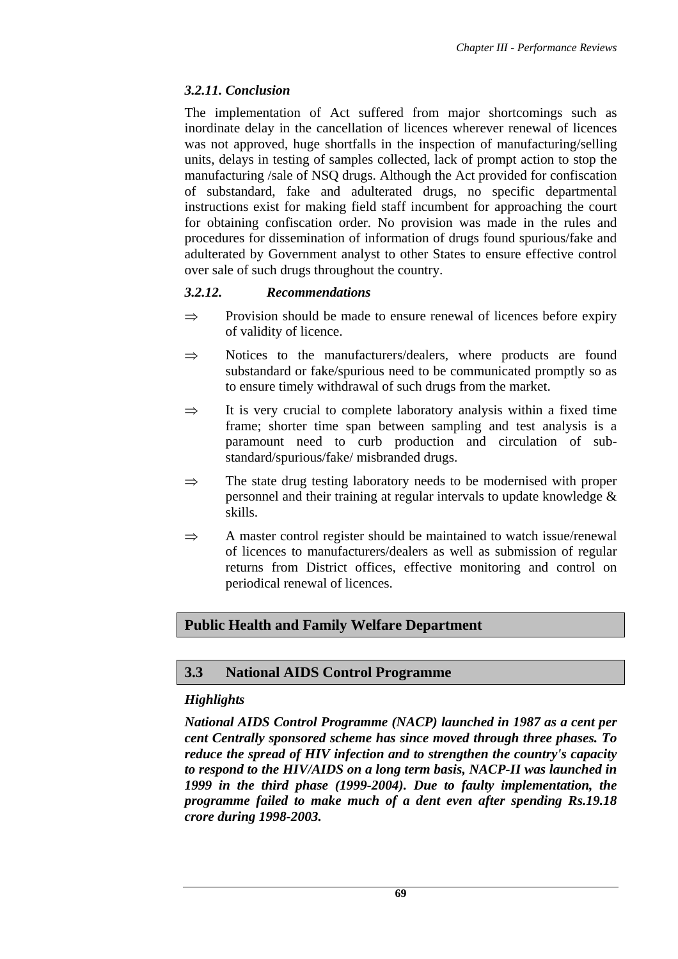# *3.2.11. Conclusion*

The implementation of Act suffered from major shortcomings such as inordinate delay in the cancellation of licences wherever renewal of licences was not approved, huge shortfalls in the inspection of manufacturing/selling units, delays in testing of samples collected, lack of prompt action to stop the manufacturing /sale of NSQ drugs. Although the Act provided for confiscation of substandard, fake and adulterated drugs, no specific departmental instructions exist for making field staff incumbent for approaching the court for obtaining confiscation order. No provision was made in the rules and procedures for dissemination of information of drugs found spurious/fake and adulterated by Government analyst to other States to ensure effective control over sale of such drugs throughout the country.

# *3.2.12. Recommendations*

- $\Rightarrow$  Provision should be made to ensure renewal of licences before expiry of validity of licence.
- $\Rightarrow$  Notices to the manufacturers/dealers, where products are found substandard or fake/spurious need to be communicated promptly so as to ensure timely withdrawal of such drugs from the market.
- $\Rightarrow$  It is very crucial to complete laboratory analysis within a fixed time frame; shorter time span between sampling and test analysis is a paramount need to curb production and circulation of substandard/spurious/fake/ misbranded drugs.
- $\Rightarrow$  The state drug testing laboratory needs to be modernised with proper personnel and their training at regular intervals to update knowledge & skills.
- $\Rightarrow$  A master control register should be maintained to watch issue/renewal of licences to manufacturers/dealers as well as submission of regular returns from District offices, effective monitoring and control on periodical renewal of licences.

# **Public Health and Family Welfare Department**

# **3.3 National AIDS Control Programme**

# *Highlights*

*National AIDS Control Programme (NACP) launched in 1987 as a cent per cent Centrally sponsored scheme has since moved through three phases. To reduce the spread of HIV infection and to strengthen the country's capacity to respond to the HIV/AIDS on a long term basis, NACP-II was launched in 1999 in the third phase (1999-2004). Due to faulty implementation, the programme failed to make much of a dent even after spending Rs.19.18 crore during 1998-2003.*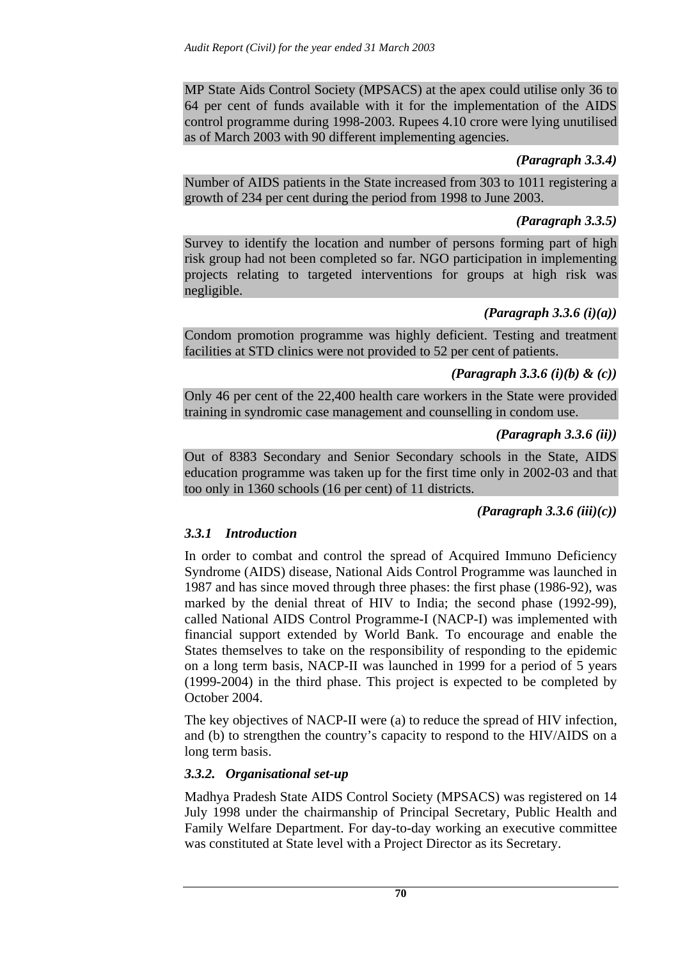MP State Aids Control Society (MPSACS) at the apex could utilise only 36 to 64 per cent of funds available with it for the implementation of the AIDS control programme during 1998-2003. Rupees 4.10 crore were lying unutilised as of March 2003 with 90 different implementing agencies.

## *(Paragraph 3.3.4)*

Number of AIDS patients in the State increased from 303 to 1011 registering a growth of 234 per cent during the period from 1998 to June 2003.

# *(Paragraph 3.3.5)*

Survey to identify the location and number of persons forming part of high risk group had not been completed so far. NGO participation in implementing projects relating to targeted interventions for groups at high risk was negligible.

# *(Paragraph 3.3.6 (i)(a))*

Condom promotion programme was highly deficient. Testing and treatment facilities at STD clinics were not provided to 52 per cent of patients.

## *(Paragraph 3.3.6 (i)(b) & (c))*

Only 46 per cent of the 22,400 health care workers in the State were provided training in syndromic case management and counselling in condom use.

## *(Paragraph 3.3.6 (ii))*

Out of 8383 Secondary and Senior Secondary schools in the State, AIDS education programme was taken up for the first time only in 2002-03 and that too only in 1360 schools (16 per cent) of 11 districts.

*(Paragraph 3.3.6 (iii)(c))* 

# *3.3.1 Introduction*

In order to combat and control the spread of Acquired Immuno Deficiency Syndrome (AIDS) disease, National Aids Control Programme was launched in 1987 and has since moved through three phases: the first phase (1986-92), was marked by the denial threat of HIV to India; the second phase (1992-99), called National AIDS Control Programme-I (NACP-I) was implemented with financial support extended by World Bank. To encourage and enable the States themselves to take on the responsibility of responding to the epidemic on a long term basis, NACP-II was launched in 1999 for a period of 5 years (1999-2004) in the third phase. This project is expected to be completed by October 2004.

The key objectives of NACP-II were (a) to reduce the spread of HIV infection, and (b) to strengthen the country's capacity to respond to the HIV/AIDS on a long term basis.

# *3.3.2. Organisational set-up*

Madhya Pradesh State AIDS Control Society (MPSACS) was registered on 14 July 1998 under the chairmanship of Principal Secretary, Public Health and Family Welfare Department. For day-to-day working an executive committee was constituted at State level with a Project Director as its Secretary.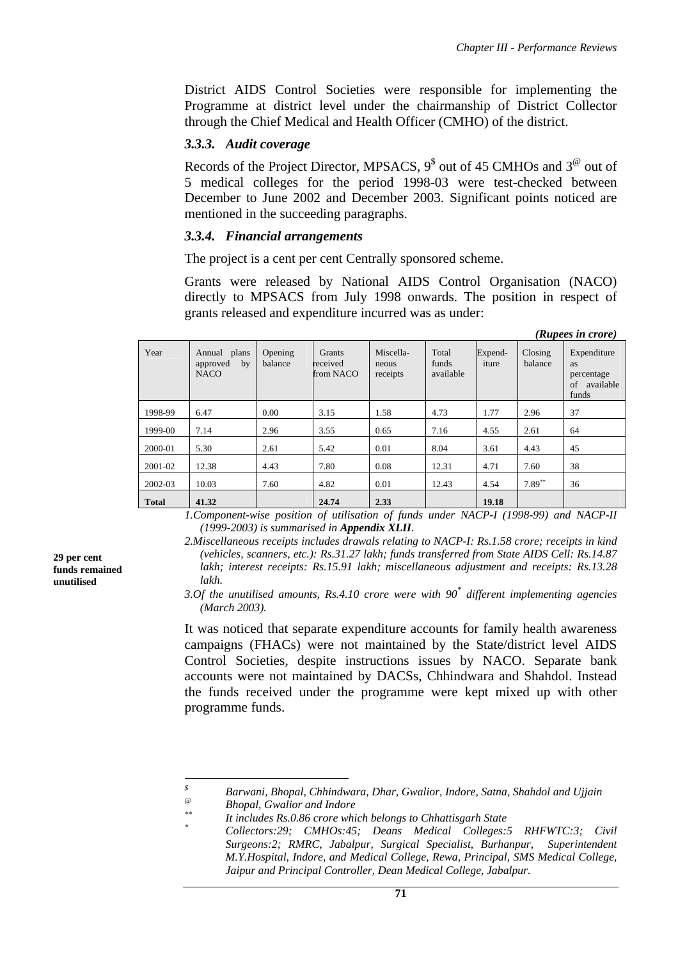District AIDS Control Societies were responsible for implementing the Programme at district level under the chairmanship of District Collector through the Chief Medical and Health Officer (CMHO) of the district.

## *3.3.3. Audit coverage*

Records of the Project Director, MPSACS,  $9^{\$}$  out of 45 CMHOs and  $3^{\circ}$  out of 5 medical colleges for the period 1998-03 were test-checked between December to June 2002 and December 2003. Significant points noticed are mentioned in the succeeding paragraphs.

## *3.3.4. Financial arrangements*

The project is a cent per cent Centrally sponsored scheme.

Grants were released by National AIDS Control Organisation (NACO) directly to MPSACS from July 1998 onwards. The position in respect of grants released and expenditure incurred was as under:

|              |                                               |                    |                                 |                                |                             |                  |                    | (Rupees in crore)                                                  |
|--------------|-----------------------------------------------|--------------------|---------------------------------|--------------------------------|-----------------------------|------------------|--------------------|--------------------------------------------------------------------|
| Year         | Annual plans<br>approved<br>by<br><b>NACO</b> | Opening<br>balance | Grants<br>received<br>from NACO | Miscella-<br>neous<br>receipts | Total<br>funds<br>available | Expend-<br>iture | Closing<br>balance | Expenditure<br><b>as</b><br>percentage<br>available<br>of<br>funds |
| 1998-99      | 6.47                                          | 0.00               | 3.15                            | 1.58                           | 4.73                        | 1.77             | 2.96               | 37                                                                 |
| 1999-00      | 7.14                                          | 2.96               | 3.55                            | 0.65                           | 7.16                        | 4.55             | 2.61               | 64                                                                 |
| 2000-01      | 5.30                                          | 2.61               | 5.42                            | 0.01                           | 8.04                        | 3.61             | 4.43               | 45                                                                 |
| 2001-02      | 12.38                                         | 4.43               | 7.80                            | 0.08                           | 12.31                       | 4.71             | 7.60               | 38                                                                 |
| 2002-03      | 10.03                                         | 7.60               | 4.82                            | 0.01                           | 12.43                       | 4.54             | $7.89**$           | 36                                                                 |
| <b>Total</b> | 41.32                                         |                    | 24.74                           | 2.33                           |                             | 19.18            |                    |                                                                    |

*1.Component-wise position of utilisation of funds under NACP-I (1998-99) and NACP-II (1999-2003) is summarised in Appendix XLII.* 

It was noticed that separate expenditure accounts for family health awareness campaigns (FHACs) were not maintained by the State/district level AIDS Control Societies, despite instructions issues by NACO. Separate bank accounts were not maintained by DACSs, Chhindwara and Shahdol. Instead the funds received under the programme were kept mixed up with other programme funds.

**29 per cent funds remained unutilised** 

*<sup>2.</sup>Miscellaneous receipts includes drawals relating to NACP-I: Rs.1.58 crore; receipts in kind (vehicles, scanners, etc.): Rs.31.27 lakh; funds transferred from State AIDS Cell: Rs.14.87 lakh; interest receipts: Rs.15.91 lakh; miscellaneous adjustment and receipts: Rs.13.28 lakh.* 

*<sup>3.</sup>Of the unutilised amounts, Rs.4.10 crore were with 90\* different implementing agencies (March 2003).*

 *\$ Barwani, Bhopal, Chhindwara, Dhar, Gwalior, Indore, Satna, Shahdol and Ujjain* 

*<sup>@</sup> Bhopal, Gwalior and Indore* 

*<sup>\*\*</sup> It includes Rs.0.86 crore which belongs to Chhattisgarh State* 

*<sup>\*</sup> Collectors:29; CMHOs:45; Deans Medical Colleges:5 RHFWTC:3; Civil Surgeons:2; RMRC, Jabalpur, Surgical Specialist, Burhanpur, Superintendent M.Y.Hospital, Indore, and Medical College, Rewa, Principal, SMS Medical College, Jaipur and Principal Controller, Dean Medical College, Jabalpur.*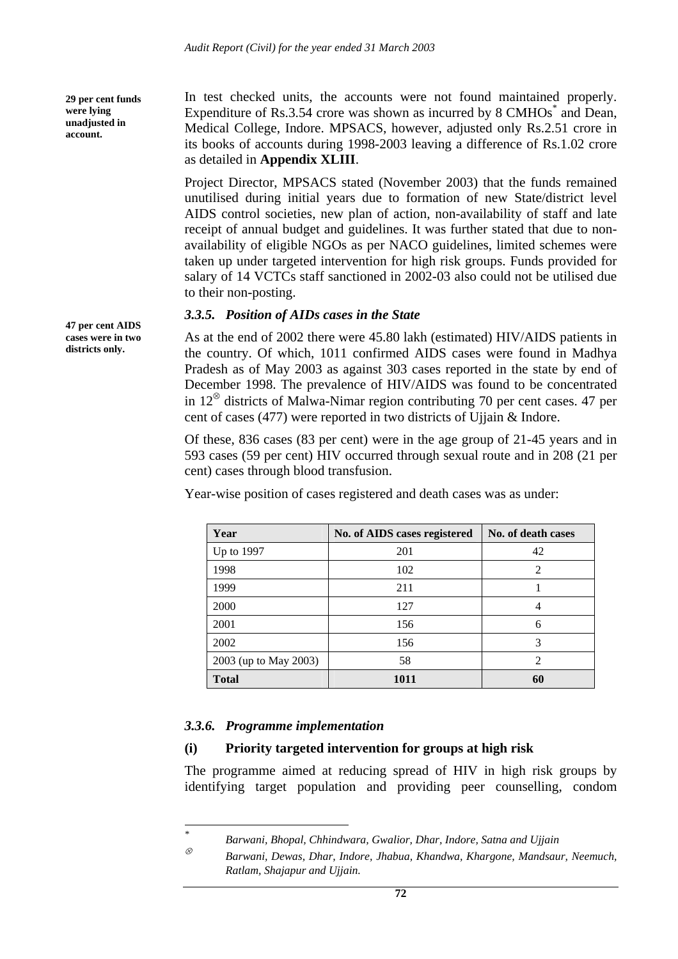**29 per cent funds were lying unadjusted in account.** 

In test checked units, the accounts were not found maintained properly. Expenditure of Rs.3.54 crore was shown as incurred by 8 CMHOs $^*$  and Dean, Medical College, Indore. MPSACS, however, adjusted only Rs.2.51 crore in its books of accounts during 1998-2003 leaving a difference of Rs.1.02 crore as detailed in **Appendix XLIII**.

Project Director, MPSACS stated (November 2003) that the funds remained unutilised during initial years due to formation of new State/district level AIDS control societies, new plan of action, non-availability of staff and late receipt of annual budget and guidelines. It was further stated that due to nonavailability of eligible NGOs as per NACO guidelines, limited schemes were taken up under targeted intervention for high risk groups. Funds provided for salary of 14 VCTCs staff sanctioned in 2002-03 also could not be utilised due to their non-posting.

## *3.3.5. Position of AIDs cases in the State*

As at the end of 2002 there were 45.80 lakh (estimated) HIV/AIDS patients in the country. Of which, 1011 confirmed AIDS cases were found in Madhya Pradesh as of May 2003 as against 303 cases reported in the state by end of December 1998. The prevalence of HIV/AIDS was found to be concentrated in  $12^{\circ}$  districts of Malwa-Nimar region contributing 70 per cent cases. 47 per cent of cases (477) were reported in two districts of Ujjain & Indore.

Of these, 836 cases (83 per cent) were in the age group of 21-45 years and in 593 cases (59 per cent) HIV occurred through sexual route and in 208 (21 per cent) cases through blood transfusion.

|  |  | Year-wise position of cases registered and death cases was as under: |  |  |
|--|--|----------------------------------------------------------------------|--|--|
|  |  |                                                                      |  |  |

| Year                  | No. of AIDS cases registered | No. of death cases |
|-----------------------|------------------------------|--------------------|
| Up to 1997            | 201                          | 42                 |
| 1998                  | 102                          | 2                  |
| 1999                  | 211                          |                    |
| 2000                  | 127                          |                    |
| 2001                  | 156                          | 6                  |
| 2002                  | 156                          | 3                  |
| 2003 (up to May 2003) | 58                           | っ                  |
| <b>Total</b>          | 1011                         | 60                 |

## *3.3.6. Programme implementation*

## **(i) Priority targeted intervention for groups at high risk**

The programme aimed at reducing spread of HIV in high risk groups by identifying target population and providing peer counselling, condom

**47 per cent AIDS cases were in two districts only.** 

 *\* Barwani, Bhopal, Chhindwara, Gwalior, Dhar, Indore, Satna and Ujjain*

<sup>⊗</sup> *Barwani, Dewas, Dhar, Indore, Jhabua, Khandwa, Khargone, Mandsaur, Neemuch, Ratlam, Shajapur and Ujjain.*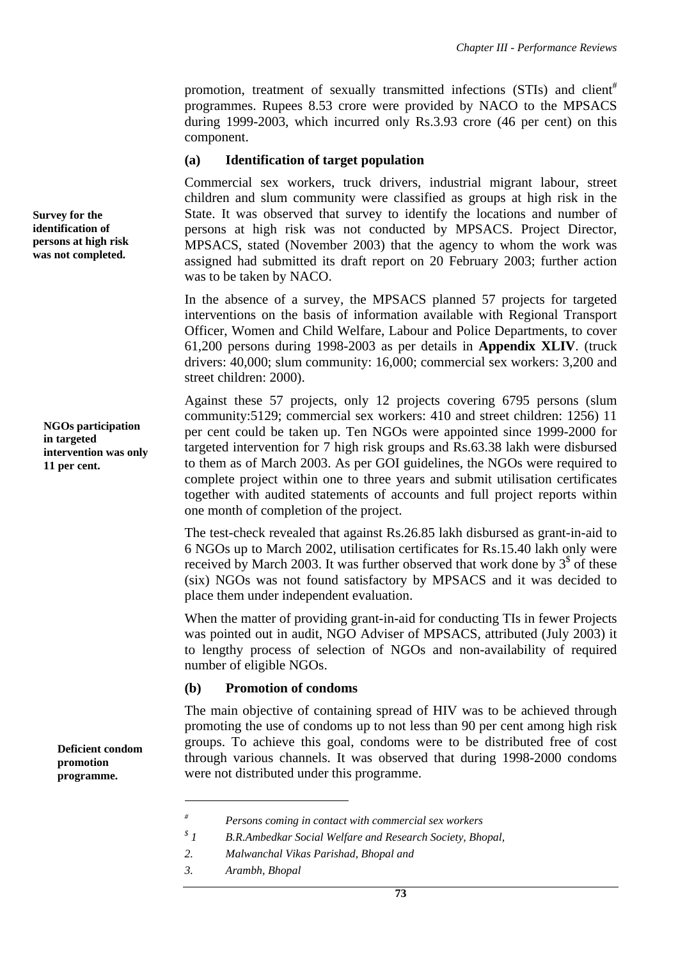promotion, treatment of sexually transmitted infections (STIs) and client<sup>#</sup> programmes. Rupees 8.53 crore were provided by NACO to the MPSACS during 1999-2003, which incurred only Rs.3.93 crore (46 per cent) on this component.

#### **(a) Identification of target population**

Commercial sex workers, truck drivers, industrial migrant labour, street children and slum community were classified as groups at high risk in the State. It was observed that survey to identify the locations and number of persons at high risk was not conducted by MPSACS. Project Director, MPSACS, stated (November 2003) that the agency to whom the work was assigned had submitted its draft report on 20 February 2003; further action was to be taken by NACO.

In the absence of a survey, the MPSACS planned 57 projects for targeted interventions on the basis of information available with Regional Transport Officer, Women and Child Welfare, Labour and Police Departments, to cover 61,200 persons during 1998-2003 as per details in **Appendix XLIV**. (truck drivers: 40,000; slum community: 16,000; commercial sex workers: 3,200 and street children: 2000).

Against these 57 projects, only 12 projects covering 6795 persons (slum community:5129; commercial sex workers: 410 and street children: 1256) 11 per cent could be taken up. Ten NGOs were appointed since 1999-2000 for targeted intervention for 7 high risk groups and Rs.63.38 lakh were disbursed to them as of March 2003. As per GOI guidelines, the NGOs were required to complete project within one to three years and submit utilisation certificates together with audited statements of accounts and full project reports within one month of completion of the project.

The test-check revealed that against Rs.26.85 lakh disbursed as grant-in-aid to 6 NGOs up to March 2002, utilisation certificates for Rs.15.40 lakh only were received by March 2003. It was further observed that work done by  $3<sup>§</sup>$  of these (six) NGOs was not found satisfactory by MPSACS and it was decided to place them under independent evaluation.

When the matter of providing grant-in-aid for conducting TIs in fewer Projects was pointed out in audit, NGO Adviser of MPSACS, attributed (July 2003) it to lengthy process of selection of NGOs and non-availability of required number of eligible NGOs.

### **(b) Promotion of condoms**

The main objective of containing spread of HIV was to be achieved through promoting the use of condoms up to not less than 90 per cent among high risk groups. To achieve this goal, condoms were to be distributed free of cost through various channels. It was observed that during 1998-2000 condoms were not distributed under this programme.

 $\overline{a}$ 

**Survey for the identification of persons at high risk was not completed.** 

> **NGOs participation in targeted intervention was only 11 per cent.**

> > **Deficient condom promotion programme.**

*<sup>#</sup> Persons coming in contact with commercial sex workers* 

*<sup>\$</sup> 1 B.R.Ambedkar Social Welfare and Research Society, Bhopal,* 

*<sup>2.</sup> Malwanchal Vikas Parishad, Bhopal and* 

*<sup>3.</sup> Arambh, Bhopal*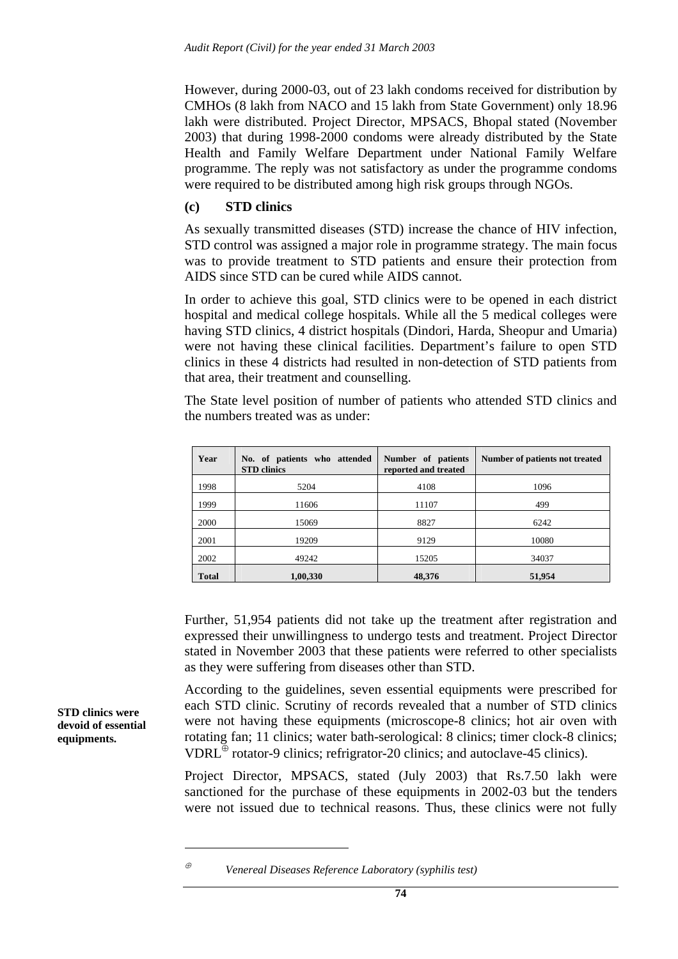However, during 2000-03, out of 23 lakh condoms received for distribution by CMHOs (8 lakh from NACO and 15 lakh from State Government) only 18.96 lakh were distributed. Project Director, MPSACS, Bhopal stated (November 2003) that during 1998-2000 condoms were already distributed by the State Health and Family Welfare Department under National Family Welfare programme. The reply was not satisfactory as under the programme condoms were required to be distributed among high risk groups through NGOs.

### **(c) STD clinics**

As sexually transmitted diseases (STD) increase the chance of HIV infection, STD control was assigned a major role in programme strategy. The main focus was to provide treatment to STD patients and ensure their protection from AIDS since STD can be cured while AIDS cannot.

In order to achieve this goal, STD clinics were to be opened in each district hospital and medical college hospitals. While all the 5 medical colleges were having STD clinics, 4 district hospitals (Dindori, Harda, Sheopur and Umaria) were not having these clinical facilities. Department's failure to open STD clinics in these 4 districts had resulted in non-detection of STD patients from that area, their treatment and counselling.

The State level position of number of patients who attended STD clinics and the numbers treated was as under:

| Year         | No. of patients who attended<br><b>STD</b> clinics | Number of patients<br>reported and treated | Number of patients not treated |
|--------------|----------------------------------------------------|--------------------------------------------|--------------------------------|
| 1998         | 5204                                               | 4108                                       | 1096                           |
| 1999         | 11606                                              | 11107                                      | 499                            |
| 2000         | 15069                                              | 8827                                       | 6242                           |
| 2001         | 19209                                              | 9129                                       |                                |
| 2002         | 49242                                              | 15205                                      | 34037                          |
| <b>Total</b> | 1,00,330                                           | 48,376                                     | 51,954                         |

Further, 51,954 patients did not take up the treatment after registration and expressed their unwillingness to undergo tests and treatment. Project Director stated in November 2003 that these patients were referred to other specialists as they were suffering from diseases other than STD.

According to the guidelines, seven essential equipments were prescribed for each STD clinic. Scrutiny of records revealed that a number of STD clinics were not having these equipments (microscope-8 clinics; hot air oven with rotating fan; 11 clinics; water bath-serological: 8 clinics; timer clock-8 clinics; VDRL $^{\oplus}$  rotator-9 clinics; refrigrator-20 clinics; and autoclave-45 clinics).

Project Director, MPSACS, stated (July 2003) that Rs.7.50 lakh were sanctioned for the purchase of these equipments in 2002-03 but the tenders were not issued due to technical reasons. Thus, these clinics were not fully

**STD clinics were devoid of essential equipments.** 

 $\overline{a}$ 

<sup>⊕</sup> *Venereal Diseases Reference Laboratory (syphilis test)*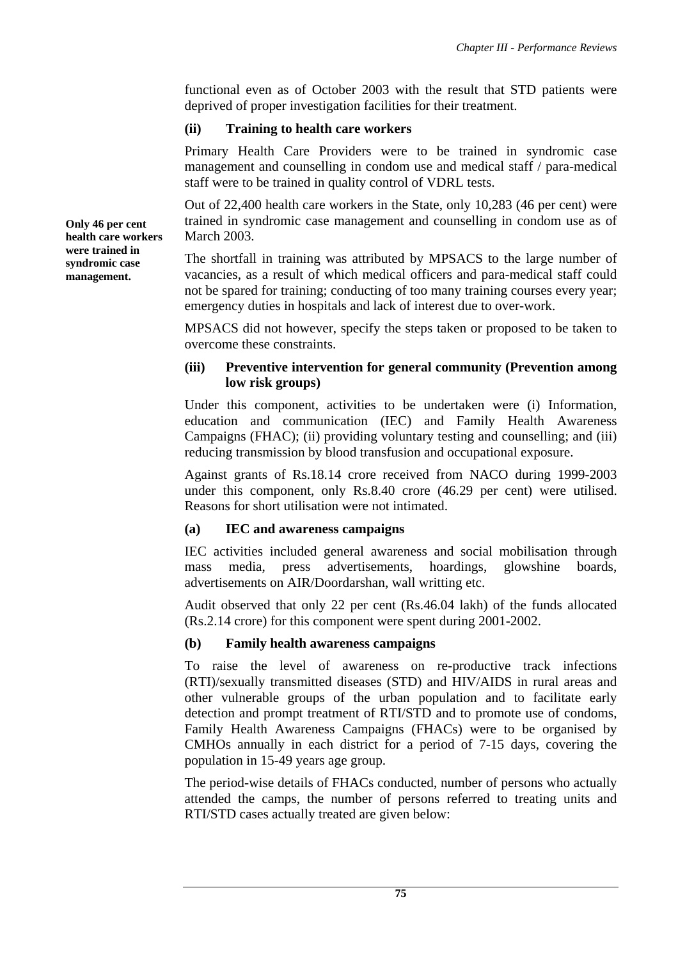functional even as of October 2003 with the result that STD patients were deprived of proper investigation facilities for their treatment.

## **(ii) Training to health care workers**

Primary Health Care Providers were to be trained in syndromic case management and counselling in condom use and medical staff / para-medical staff were to be trained in quality control of VDRL tests.

Out of 22,400 health care workers in the State, only 10,283 (46 per cent) were trained in syndromic case management and counselling in condom use as of March 2003.

The shortfall in training was attributed by MPSACS to the large number of vacancies, as a result of which medical officers and para-medical staff could not be spared for training; conducting of too many training courses every year; emergency duties in hospitals and lack of interest due to over-work.

MPSACS did not however, specify the steps taken or proposed to be taken to overcome these constraints.

## **(iii) Preventive intervention for general community (Prevention among low risk groups)**

Under this component, activities to be undertaken were (i) Information, education and communication (IEC) and Family Health Awareness Campaigns (FHAC); (ii) providing voluntary testing and counselling; and (iii) reducing transmission by blood transfusion and occupational exposure.

Against grants of Rs.18.14 crore received from NACO during 1999-2003 under this component, only Rs.8.40 crore (46.29 per cent) were utilised. Reasons for short utilisation were not intimated.

## **(a) IEC and awareness campaigns**

IEC activities included general awareness and social mobilisation through mass media, press advertisements, hoardings, glowshine boards, advertisements on AIR/Doordarshan, wall writting etc.

Audit observed that only 22 per cent (Rs.46.04 lakh) of the funds allocated (Rs.2.14 crore) for this component were spent during 2001-2002.

# **(b) Family health awareness campaigns**

To raise the level of awareness on re-productive track infections (RTI)/sexually transmitted diseases (STD) and HIV/AIDS in rural areas and other vulnerable groups of the urban population and to facilitate early detection and prompt treatment of RTI/STD and to promote use of condoms, Family Health Awareness Campaigns (FHACs) were to be organised by CMHOs annually in each district for a period of 7-15 days, covering the population in 15-49 years age group.

The period-wise details of FHACs conducted, number of persons who actually attended the camps, the number of persons referred to treating units and RTI/STD cases actually treated are given below:

**Only 46 per cent health care workers were trained in syndromic case management.**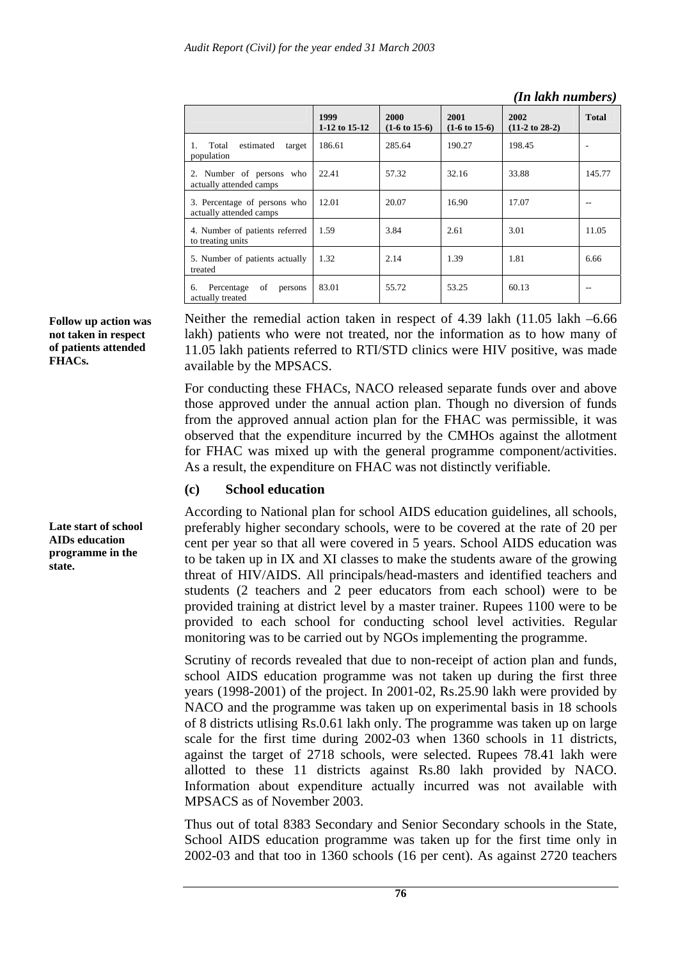| rii uunii iluliloofsi                                   |                       |                                  |                                  |                                   |              |  |  |  |
|---------------------------------------------------------|-----------------------|----------------------------------|----------------------------------|-----------------------------------|--------------|--|--|--|
|                                                         | 1999<br>1-12 to 15-12 | 2000<br>$(1-6 \text{ to } 15-6)$ | 2001<br>$(1-6 \text{ to } 15-6)$ | 2002<br>$(11-2 \text{ to } 28-2)$ | <b>Total</b> |  |  |  |
| estimated<br>Total<br>target<br>population              | 186.61                | 285.64                           | 190.27                           | 198.45                            |              |  |  |  |
| 2. Number of persons who<br>actually attended camps     | 22.41                 | 57.32                            | 32.16                            | 33.88                             | 145.77       |  |  |  |
| 3. Percentage of persons who<br>actually attended camps | 12.01                 | 20.07                            | 16.90                            | 17.07                             |              |  |  |  |
| 4. Number of patients referred<br>to treating units     | 1.59                  |                                  | 2.61                             | 3.01                              | 11.05        |  |  |  |
| 5. Number of patients actually<br>treated               | 1.32                  |                                  | 1.39                             | 1.81                              | 6.66         |  |  |  |
| of<br>Percentage<br>persons<br>6.<br>actually treated   | 83.01                 | 55.72                            | 53.25                            | 60.13                             |              |  |  |  |

*(In lakh numbers)*

**Follow up action was not taken in respect of patients attended FHACs.** 

**Late start of school AIDs education programme in the state.** 

Neither the remedial action taken in respect of 4.39 lakh (11.05 lakh –6.66) lakh) patients who were not treated, nor the information as to how many of 11.05 lakh patients referred to RTI/STD clinics were HIV positive, was made available by the MPSACS.

For conducting these FHACs, NACO released separate funds over and above those approved under the annual action plan. Though no diversion of funds from the approved annual action plan for the FHAC was permissible, it was observed that the expenditure incurred by the CMHOs against the allotment for FHAC was mixed up with the general programme component/activities. As a result, the expenditure on FHAC was not distinctly verifiable.

### **(c) School education**

According to National plan for school AIDS education guidelines, all schools, preferably higher secondary schools, were to be covered at the rate of 20 per cent per year so that all were covered in 5 years. School AIDS education was to be taken up in IX and XI classes to make the students aware of the growing threat of HIV/AIDS. All principals/head-masters and identified teachers and students (2 teachers and 2 peer educators from each school) were to be provided training at district level by a master trainer. Rupees 1100 were to be provided to each school for conducting school level activities. Regular monitoring was to be carried out by NGOs implementing the programme.

Scrutiny of records revealed that due to non-receipt of action plan and funds, school AIDS education programme was not taken up during the first three years (1998-2001) of the project. In 2001-02, Rs.25.90 lakh were provided by NACO and the programme was taken up on experimental basis in 18 schools of 8 districts utlising Rs.0.61 lakh only. The programme was taken up on large scale for the first time during 2002-03 when 1360 schools in 11 districts, against the target of 2718 schools, were selected. Rupees 78.41 lakh were allotted to these 11 districts against Rs.80 lakh provided by NACO. Information about expenditure actually incurred was not available with MPSACS as of November 2003.

Thus out of total 8383 Secondary and Senior Secondary schools in the State, School AIDS education programme was taken up for the first time only in 2002-03 and that too in 1360 schools (16 per cent). As against 2720 teachers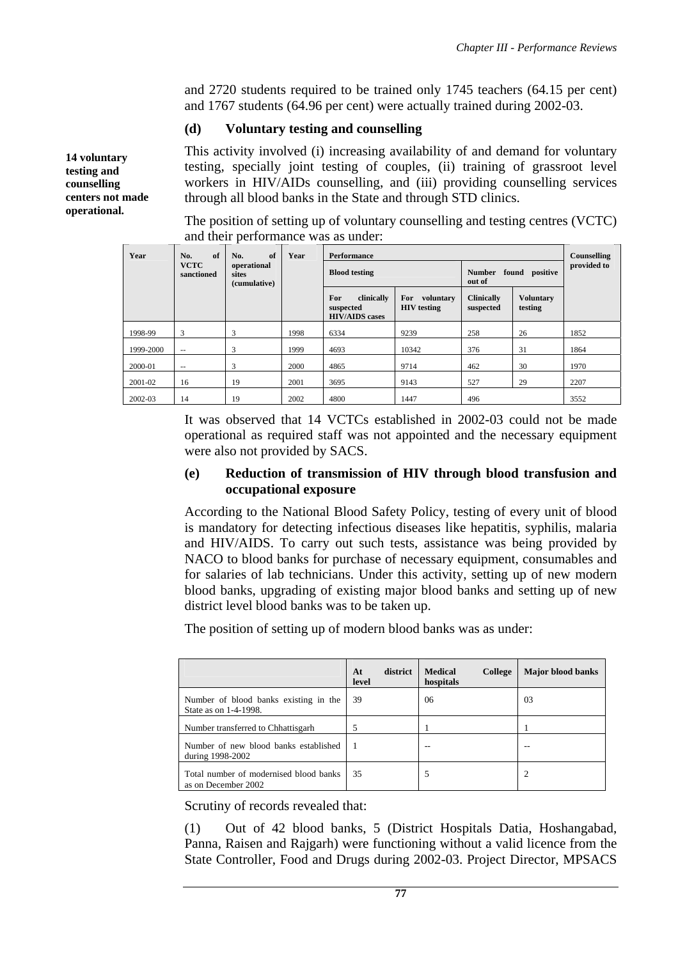and 2720 students required to be trained only 1745 teachers (64.15 per cent) and 1767 students (64.96 per cent) were actually trained during 2002-03.

#### **(d) Voluntary testing and counselling**

This activity involved (i) increasing availability of and demand for voluntary testing, specially joint testing of couples, (ii) training of grassroot level workers in HIV/AIDs counselling, and (iii) providing counselling services through all blood banks in the State and through STD clinics.

The position of setting up of voluntary counselling and testing centres (VCTC) and their performance was as under:

| Year      | of<br>No.                 | of<br>No.                            | Year | <b>Performance</b>                                      |                                        |                                           |                             |      |  |  |  |
|-----------|---------------------------|--------------------------------------|------|---------------------------------------------------------|----------------------------------------|-------------------------------------------|-----------------------------|------|--|--|--|
|           | <b>VCTC</b><br>sanctioned | operational<br>sites<br>(cumulative) |      | <b>Blood testing</b>                                    |                                        | found positive<br><b>Number</b><br>out of | provided to                 |      |  |  |  |
|           |                           |                                      |      | For<br>clinically<br>suspected<br><b>HIV/AIDS</b> cases | For<br>voluntary<br><b>HIV</b> testing | <b>Clinically</b><br>suspected            | <b>Voluntary</b><br>testing |      |  |  |  |
| 1998-99   | 3                         | 3                                    | 1998 | 6334                                                    | 9239                                   | 258                                       | 26                          | 1852 |  |  |  |
| 1999-2000 | $- -$                     | 3                                    | 1999 | 4693                                                    | 10342                                  | 376                                       | 31                          | 1864 |  |  |  |
| 2000-01   | $- -$                     | 3                                    | 2000 | 4865                                                    | 9714                                   | 462                                       | 30                          | 1970 |  |  |  |
| 2001-02   | 16                        | 19                                   | 2001 | 3695                                                    | 9143                                   | 527                                       | 29                          | 2207 |  |  |  |
| 2002-03   | 14                        | 19                                   | 2002 | 4800                                                    | 1447                                   | 496                                       |                             | 3552 |  |  |  |

It was observed that 14 VCTCs established in 2002-03 could not be made operational as required staff was not appointed and the necessary equipment were also not provided by SACS.

#### **(e) Reduction of transmission of HIV through blood transfusion and occupational exposure**

According to the National Blood Safety Policy, testing of every unit of blood is mandatory for detecting infectious diseases like hepatitis, syphilis, malaria and HIV/AIDS. To carry out such tests, assistance was being provided by NACO to blood banks for purchase of necessary equipment, consumables and for salaries of lab technicians. Under this activity, setting up of new modern blood banks, upgrading of existing major blood banks and setting up of new district level blood banks was to be taken up.

The position of setting up of modern blood banks was as under:

|                                                                | district<br>At<br>level | <b>Medical</b><br>College<br>hospitals | <b>Major blood banks</b> |
|----------------------------------------------------------------|-------------------------|----------------------------------------|--------------------------|
| Number of blood banks existing in the<br>State as on 1-4-1998. | 39                      | 06                                     | 03                       |
| Number transferred to Chhattisgarh                             |                         |                                        |                          |
| Number of new blood banks established<br>during 1998-2002      |                         |                                        | --                       |
| Total number of modernised blood banks<br>as on December 2002  | 35                      |                                        |                          |

Scrutiny of records revealed that:

(1) Out of 42 blood banks, 5 (District Hospitals Datia, Hoshangabad, Panna, Raisen and Rajgarh) were functioning without a valid licence from the State Controller, Food and Drugs during 2002-03. Project Director, MPSACS

**14 voluntary testing and counselling centers not made operational.**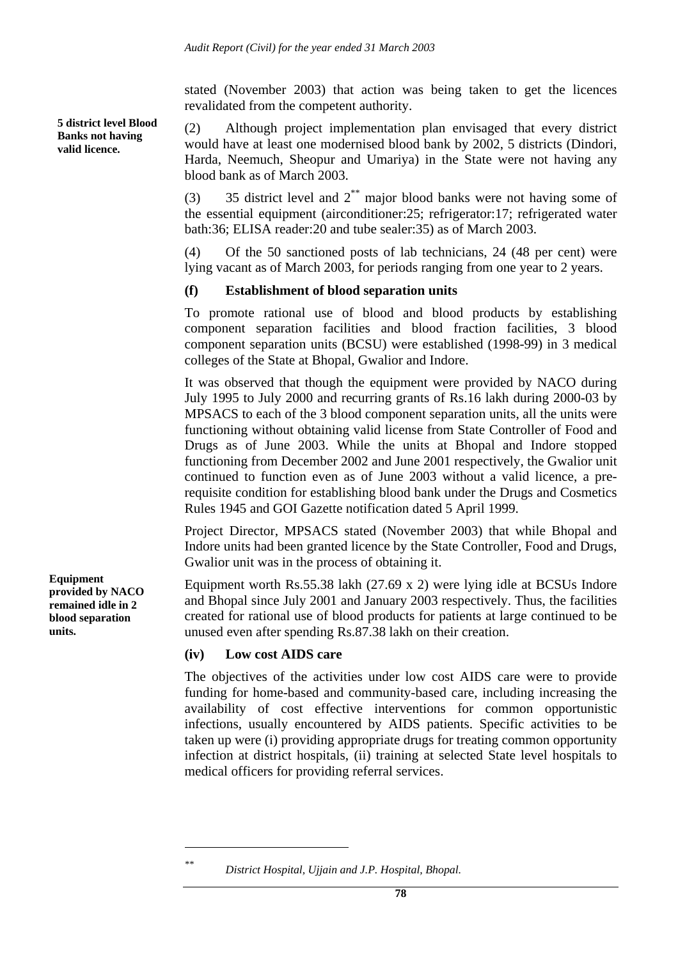stated (November 2003) that action was being taken to get the licences revalidated from the competent authority.

(2) Although project implementation plan envisaged that every district would have at least one modernised blood bank by 2002, 5 districts (Dindori, Harda, Neemuch, Sheopur and Umariya) in the State were not having any blood bank as of March 2003.

(3) 35 district level and 2\*\* major blood banks were not having some of the essential equipment (airconditioner:25; refrigerator:17; refrigerated water bath:36; ELISA reader:20 and tube sealer:35) as of March 2003.

(4) Of the 50 sanctioned posts of lab technicians, 24 (48 per cent) were lying vacant as of March 2003, for periods ranging from one year to 2 years.

### **(f) Establishment of blood separation units**

To promote rational use of blood and blood products by establishing component separation facilities and blood fraction facilities, 3 blood component separation units (BCSU) were established (1998-99) in 3 medical colleges of the State at Bhopal, Gwalior and Indore.

It was observed that though the equipment were provided by NACO during July 1995 to July 2000 and recurring grants of Rs.16 lakh during 2000-03 by MPSACS to each of the 3 blood component separation units, all the units were functioning without obtaining valid license from State Controller of Food and Drugs as of June 2003. While the units at Bhopal and Indore stopped functioning from December 2002 and June 2001 respectively, the Gwalior unit continued to function even as of June 2003 without a valid licence, a prerequisite condition for establishing blood bank under the Drugs and Cosmetics Rules 1945 and GOI Gazette notification dated 5 April 1999.

Project Director, MPSACS stated (November 2003) that while Bhopal and Indore units had been granted licence by the State Controller, Food and Drugs, Gwalior unit was in the process of obtaining it.

Equipment worth Rs.55.38 lakh (27.69 x 2) were lying idle at BCSUs Indore and Bhopal since July 2001 and January 2003 respectively. Thus, the facilities created for rational use of blood products for patients at large continued to be unused even after spending Rs.87.38 lakh on their creation.

### **(iv) Low cost AIDS care**

The objectives of the activities under low cost AIDS care were to provide funding for home-based and community-based care, including increasing the availability of cost effective interventions for common opportunistic infections, usually encountered by AIDS patients. Specific activities to be taken up were (i) providing appropriate drugs for treating common opportunity infection at district hospitals, (ii) training at selected State level hospitals to medical officers for providing referral services.

**5 district level Blood Banks not having valid licence.** 

**Equipment provided by NACO remained idle in 2 blood separation units.** 

 $\overline{a}$ 

*<sup>\*\*</sup> District Hospital, Ujjain and J.P. Hospital, Bhopal.*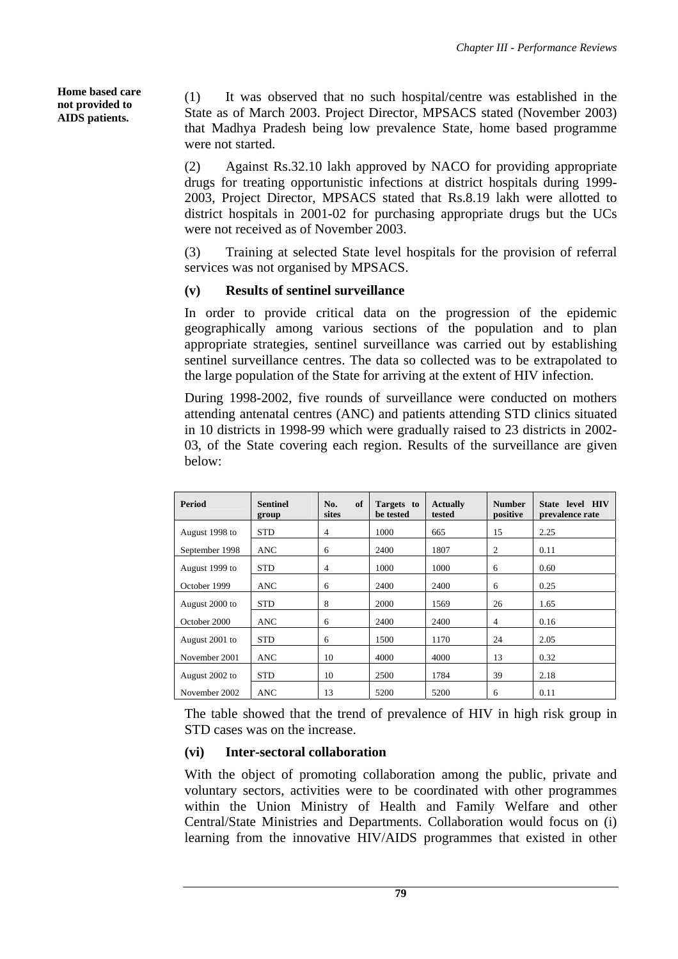**Home based care not provided to AIDS patients.** 

(1) It was observed that no such hospital/centre was established in the State as of March 2003. Project Director, MPSACS stated (November 2003) that Madhya Pradesh being low prevalence State, home based programme were not started.

(2) Against Rs.32.10 lakh approved by NACO for providing appropriate drugs for treating opportunistic infections at district hospitals during 1999- 2003, Project Director, MPSACS stated that Rs.8.19 lakh were allotted to district hospitals in 2001-02 for purchasing appropriate drugs but the UCs were not received as of November 2003.

(3) Training at selected State level hospitals for the provision of referral services was not organised by MPSACS.

# **(v) Results of sentinel surveillance**

In order to provide critical data on the progression of the epidemic geographically among various sections of the population and to plan appropriate strategies, sentinel surveillance was carried out by establishing sentinel surveillance centres. The data so collected was to be extrapolated to the large population of the State for arriving at the extent of HIV infection.

During 1998-2002, five rounds of surveillance were conducted on mothers attending antenatal centres (ANC) and patients attending STD clinics situated in 10 districts in 1998-99 which were gradually raised to 23 districts in 2002- 03, of the State covering each region. Results of the surveillance are given below:

| Period         | <b>Sentinel</b><br>group | of<br>No.<br>sites | Targets to<br>be tested | <b>Actually</b><br>tested | <b>Number</b><br>positive | State level HIV<br>prevalence rate |
|----------------|--------------------------|--------------------|-------------------------|---------------------------|---------------------------|------------------------------------|
| August 1998 to | <b>STD</b>               | 4                  | 1000                    | 665                       | 15                        | 2.25                               |
| September 1998 | ANC                      | 6                  | 2400                    | 1807                      | $\overline{2}$            | 0.11                               |
| August 1999 to | <b>STD</b>               | $\overline{4}$     | 1000                    | 1000                      | 6                         | 0.60                               |
| October 1999   | ANC                      | 6                  | 2400                    | 2400                      | 6                         | 0.25                               |
| August 2000 to | <b>STD</b>               | 8                  | 2000                    | 1569                      | 26                        | 1.65                               |
| October 2000   | <b>ANC</b>               | 6                  | 2400                    | 2400                      | 4                         | 0.16                               |
| August 2001 to | <b>STD</b>               | 6                  | 1500                    | 1170                      | 24                        | 2.05                               |
| November 2001  | <b>ANC</b>               | 10                 | 4000                    | 4000                      | 13                        | 0.32                               |
| August 2002 to | <b>STD</b>               | 10                 | 2500                    | 1784                      | 39                        | 2.18                               |
| November 2002  | ANC                      | 13                 | 5200                    | 5200                      | 6                         | 0.11                               |

The table showed that the trend of prevalence of HIV in high risk group in STD cases was on the increase.

# **(vi) Inter-sectoral collaboration**

With the object of promoting collaboration among the public, private and voluntary sectors, activities were to be coordinated with other programmes within the Union Ministry of Health and Family Welfare and other Central/State Ministries and Departments. Collaboration would focus on (i) learning from the innovative HIV/AIDS programmes that existed in other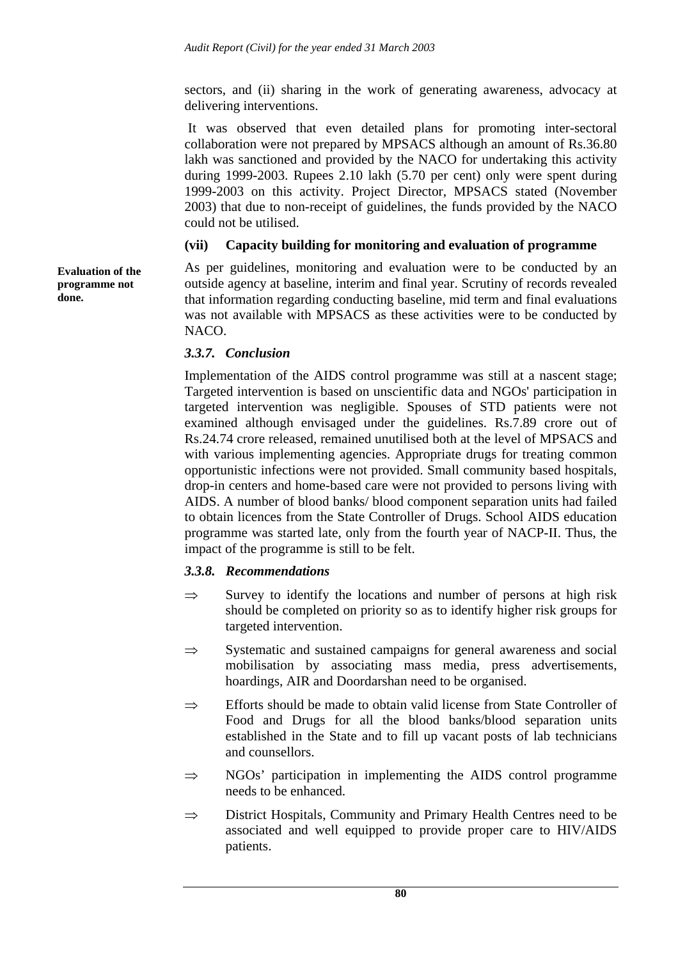sectors, and (ii) sharing in the work of generating awareness, advocacy at delivering interventions.

 It was observed that even detailed plans for promoting inter-sectoral collaboration were not prepared by MPSACS although an amount of Rs.36.80 lakh was sanctioned and provided by the NACO for undertaking this activity during 1999-2003. Rupees 2.10 lakh (5.70 per cent) only were spent during 1999-2003 on this activity. Project Director, MPSACS stated (November 2003) that due to non-receipt of guidelines, the funds provided by the NACO could not be utilised.

## **(vii) Capacity building for monitoring and evaluation of programme**

As per guidelines, monitoring and evaluation were to be conducted by an outside agency at baseline, interim and final year. Scrutiny of records revealed that information regarding conducting baseline, mid term and final evaluations was not available with MPSACS as these activities were to be conducted by NACO.

# *3.3.7. Conclusion*

Implementation of the AIDS control programme was still at a nascent stage; Targeted intervention is based on unscientific data and NGOs' participation in targeted intervention was negligible. Spouses of STD patients were not examined although envisaged under the guidelines. Rs.7.89 crore out of Rs.24.74 crore released, remained unutilised both at the level of MPSACS and with various implementing agencies. Appropriate drugs for treating common opportunistic infections were not provided. Small community based hospitals, drop-in centers and home-based care were not provided to persons living with AIDS. A number of blood banks/ blood component separation units had failed to obtain licences from the State Controller of Drugs. School AIDS education programme was started late, only from the fourth year of NACP-II. Thus, the impact of the programme is still to be felt.

# *3.3.8. Recommendations*

- $\Rightarrow$  Survey to identify the locations and number of persons at high risk should be completed on priority so as to identify higher risk groups for targeted intervention.
- $\Rightarrow$  Systematic and sustained campaigns for general awareness and social mobilisation by associating mass media, press advertisements, hoardings, AIR and Doordarshan need to be organised.
- ⇒ Efforts should be made to obtain valid license from State Controller of Food and Drugs for all the blood banks/blood separation units established in the State and to fill up vacant posts of lab technicians and counsellors.
- $\Rightarrow$  NGOs' participation in implementing the AIDS control programme needs to be enhanced.
- ⇒ District Hospitals, Community and Primary Health Centres need to be associated and well equipped to provide proper care to HIV/AIDS patients.

**Evaluation of the programme not done.**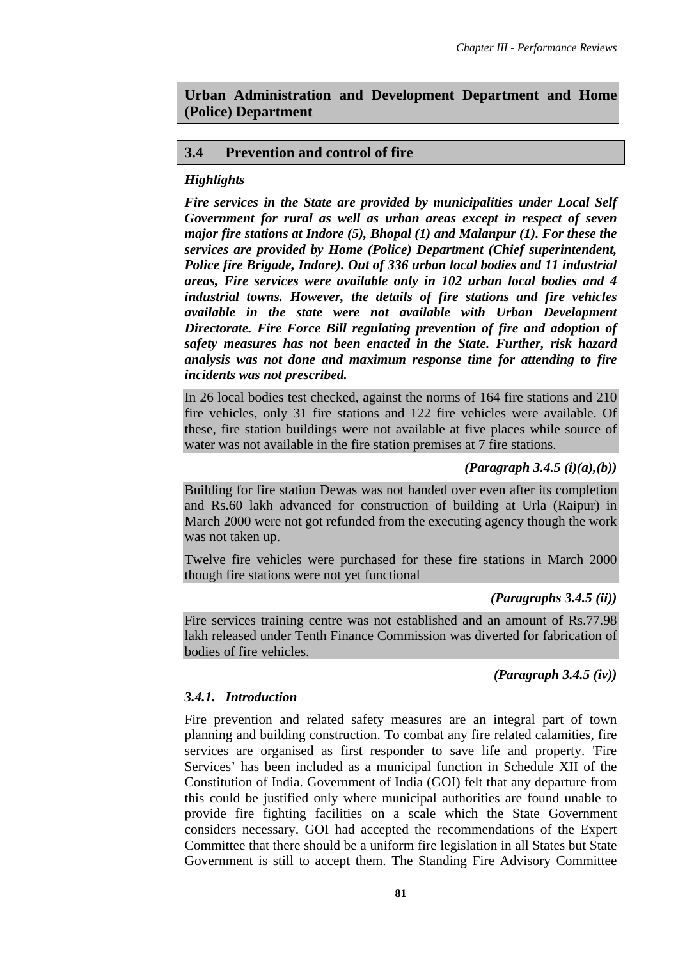**Urban Administration and Development Department and Home (Police) Department** 

## **3.4 Prevention and control of fire**

## *Highlights*

*Fire services in the State are provided by municipalities under Local Self Government for rural as well as urban areas except in respect of seven major fire stations at Indore (5), Bhopal (1) and Malanpur (1). For these the services are provided by Home (Police) Department (Chief superintendent, Police fire Brigade, Indore). Out of 336 urban local bodies and 11 industrial areas, Fire services were available only in 102 urban local bodies and 4 industrial towns. However, the details of fire stations and fire vehicles available in the state were not available with Urban Development Directorate. Fire Force Bill regulating prevention of fire and adoption of safety measures has not been enacted in the State. Further, risk hazard analysis was not done and maximum response time for attending to fire incidents was not prescribed.* 

In 26 local bodies test checked, against the norms of 164 fire stations and 210 fire vehicles, only 31 fire stations and 122 fire vehicles were available. Of these, fire station buildings were not available at five places while source of water was not available in the fire station premises at 7 fire stations.

### *(Paragraph 3.4.5 (i)(a),(b))*

Building for fire station Dewas was not handed over even after its completion and Rs.60 lakh advanced for construction of building at Urla (Raipur) in March 2000 were not got refunded from the executing agency though the work was not taken up.

Twelve fire vehicles were purchased for these fire stations in March 2000 though fire stations were not yet functional

### *(Paragraphs 3.4.5 (ii))*

Fire services training centre was not established and an amount of Rs.77.98 lakh released under Tenth Finance Commission was diverted for fabrication of bodies of fire vehicles.

*(Paragraph 3.4.5 (iv))* 

### *3.4.1. Introduction*

Fire prevention and related safety measures are an integral part of town planning and building construction. To combat any fire related calamities, fire services are organised as first responder to save life and property. 'Fire Services' has been included as a municipal function in Schedule XII of the Constitution of India. Government of India (GOI) felt that any departure from this could be justified only where municipal authorities are found unable to provide fire fighting facilities on a scale which the State Government considers necessary. GOI had accepted the recommendations of the Expert Committee that there should be a uniform fire legislation in all States but State Government is still to accept them. The Standing Fire Advisory Committee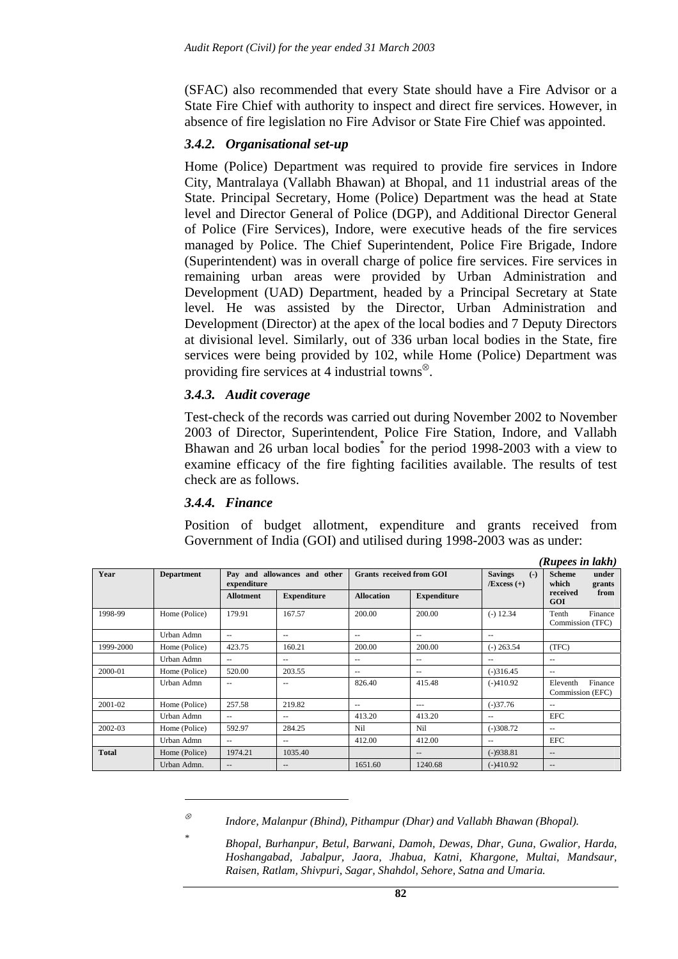(SFAC) also recommended that every State should have a Fire Advisor or a State Fire Chief with authority to inspect and direct fire services. However, in absence of fire legislation no Fire Advisor or State Fire Chief was appointed.

### *3.4.2. Organisational set-up*

Home (Police) Department was required to provide fire services in Indore City, Mantralaya (Vallabh Bhawan) at Bhopal, and 11 industrial areas of the State. Principal Secretary, Home (Police) Department was the head at State level and Director General of Police (DGP), and Additional Director General of Police (Fire Services), Indore, were executive heads of the fire services managed by Police. The Chief Superintendent, Police Fire Brigade, Indore (Superintendent) was in overall charge of police fire services. Fire services in remaining urban areas were provided by Urban Administration and Development (UAD) Department, headed by a Principal Secretary at State level. He was assisted by the Director, Urban Administration and Development (Director) at the apex of the local bodies and 7 Deputy Directors at divisional level. Similarly, out of 336 urban local bodies in the State, fire services were being provided by 102, while Home (Police) Department was providing fire services at 4 industrial towns<sup>⊗</sup>.

### *3.4.3. Audit coverage*

Test-check of the records was carried out during November 2002 to November 2003 of Director, Superintendent, Police Fire Station, Indore, and Vallabh Bhawan and 26 urban local bodies<sup>\*</sup> for the period 1998-2003 with a view to examine efficacy of the fire fighting facilities available. The results of test check are as follows.

### *3.4.4. Finance*

 $\overline{a}$ 

*\**

Position of budget allotment, expenditure and grants received from Government of India (GOI) and utilised during 1998-2003 was as under:

|              |                   |                          |                              |                                 |                    |                                          | (Rupees in lakh)                          |
|--------------|-------------------|--------------------------|------------------------------|---------------------------------|--------------------|------------------------------------------|-------------------------------------------|
| Year         | <b>Department</b> | expenditure              | Pay and allowances and other | <b>Grants</b> received from GOI |                    | <b>Savings</b><br>$(-)$<br>$/Excess (+)$ | <b>Scheme</b><br>under<br>which<br>grants |
|              |                   | <b>Allotment</b>         | <b>Expenditure</b>           | <b>Allocation</b>               | <b>Expenditure</b> |                                          | received<br>from<br>GOI                   |
| 1998-99      | Home (Police)     | 179.91                   | 167.57                       | 200.00                          | 200.00             | $(-) 12.34$                              | Tenth<br>Finance<br>Commission (TFC)      |
|              | Urban Admn        | $- -$                    | $\sim$ $\sim$                | $\sim$ $\sim$                   | $-$                | $\sim$ $\sim$                            |                                           |
| 1999-2000    | Home (Police)     | 423.75                   | 160.21                       | 200.00                          | 200.00             | $(-)$ 263.54                             | (TFC)                                     |
|              | Urban Admn        | $- -$                    | $- -$                        | $\sim$ $\sim$                   | $-$                | $\qquad \qquad -$                        | $\sim$ $-$                                |
| 2000-01      | Home (Police)     | 520.00                   | 203.55                       | $-$                             | $-$                | $(-)316.45$                              | $- -$                                     |
|              | Urban Admn        | $-$                      | $-$                          | 826.40                          | 415.48             | $(-)410.92$                              | Finance<br>Eleventh<br>Commission (EFC)   |
| 2001-02      | Home (Police)     | 257.58                   | 219.82                       | $\frac{1}{2}$                   | $---$              | $(-)37.76$                               | $\qquad \qquad -$                         |
|              | Urban Admn        | $\overline{\phantom{a}}$ | $- -$                        | 413.20                          | 413.20             | $\qquad \qquad -$                        | <b>EFC</b>                                |
| 2002-03      | Home (Police)     | 592.97                   | 284.25                       | Ni1                             | Nil                | $(-)308.72$                              | $\overline{\phantom{m}}$                  |
|              | Urban Admn        | $\qquad \qquad -$        | $\sim$ $\sim$                | 412.00                          | 412.00             | $\overline{\phantom{a}}$                 | <b>EFC</b>                                |
| <b>Total</b> | Home (Police)     | 1974.21                  | 1035.40                      |                                 | $\qquad \qquad -$  | $(-)938.81$                              | $\qquad \qquad -$                         |
|              | Urban Admn.       | $- -$                    | $- -$                        | 1651.60                         | 1240.68            | $(-)410.92$                              | $\qquad \qquad -$                         |

<sup>⊗</sup> *Indore, Malanpur (Bhind), Pithampur (Dhar) and Vallabh Bhawan (Bhopal).* 

*Bhopal, Burhanpur, Betul, Barwani, Damoh, Dewas, Dhar, Guna, Gwalior, Harda, Hoshangabad, Jabalpur, Jaora, Jhabua, Katni, Khargone, Multai, Mandsaur, Raisen, Ratlam, Shivpuri, Sagar, Shahdol, Sehore, Satna and Umaria.*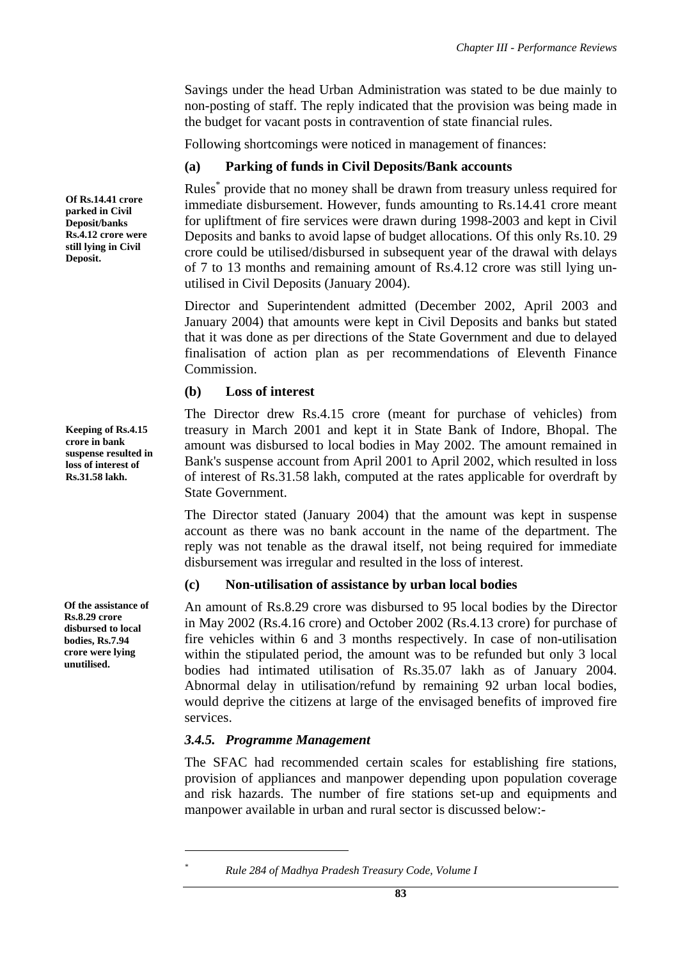Savings under the head Urban Administration was stated to be due mainly to non-posting of staff. The reply indicated that the provision was being made in the budget for vacant posts in contravention of state financial rules.

Following shortcomings were noticed in management of finances:

# **(a) Parking of funds in Civil Deposits/Bank accounts**

Rules\* provide that no money shall be drawn from treasury unless required for immediate disbursement. However, funds amounting to Rs.14.41 crore meant for upliftment of fire services were drawn during 1998-2003 and kept in Civil Deposits and banks to avoid lapse of budget allocations. Of this only Rs.10. 29 crore could be utilised/disbursed in subsequent year of the drawal with delays of 7 to 13 months and remaining amount of Rs.4.12 crore was still lying unutilised in Civil Deposits (January 2004).

Director and Superintendent admitted (December 2002, April 2003 and January 2004) that amounts were kept in Civil Deposits and banks but stated that it was done as per directions of the State Government and due to delayed finalisation of action plan as per recommendations of Eleventh Finance Commission.

# **(b) Loss of interest**

The Director drew Rs.4.15 crore (meant for purchase of vehicles) from treasury in March 2001 and kept it in State Bank of Indore, Bhopal. The amount was disbursed to local bodies in May 2002. The amount remained in Bank's suspense account from April 2001 to April 2002, which resulted in loss of interest of Rs.31.58 lakh, computed at the rates applicable for overdraft by State Government.

The Director stated (January 2004) that the amount was kept in suspense account as there was no bank account in the name of the department. The reply was not tenable as the drawal itself, not being required for immediate disbursement was irregular and resulted in the loss of interest.

# **(c) Non-utilisation of assistance by urban local bodies**

An amount of Rs.8.29 crore was disbursed to 95 local bodies by the Director in May 2002 (Rs.4.16 crore) and October 2002 (Rs.4.13 crore) for purchase of fire vehicles within 6 and 3 months respectively. In case of non-utilisation within the stipulated period, the amount was to be refunded but only 3 local bodies had intimated utilisation of Rs.35.07 lakh as of January 2004. Abnormal delay in utilisation/refund by remaining 92 urban local bodies, would deprive the citizens at large of the envisaged benefits of improved fire services.

# *3.4.5. Programme Management*

 $\overline{a}$ *\**

The SFAC had recommended certain scales for establishing fire stations, provision of appliances and manpower depending upon population coverage and risk hazards. The number of fire stations set-up and equipments and manpower available in urban and rural sector is discussed below:-

**Of Rs.14.41 crore parked in Civil Deposit/banks Rs.4.12 crore were still lying in Civil Deposit.** 

**Keeping of Rs.4.15 crore in bank suspense resulted in loss of interest of Rs.31.58 lakh.** 

**Of the assistance of Rs.8.29 crore disbursed to local bodies, Rs.7.94 crore were lying unutilised.** 

*Rule 284 of Madhya Pradesh Treasury Code, Volume I*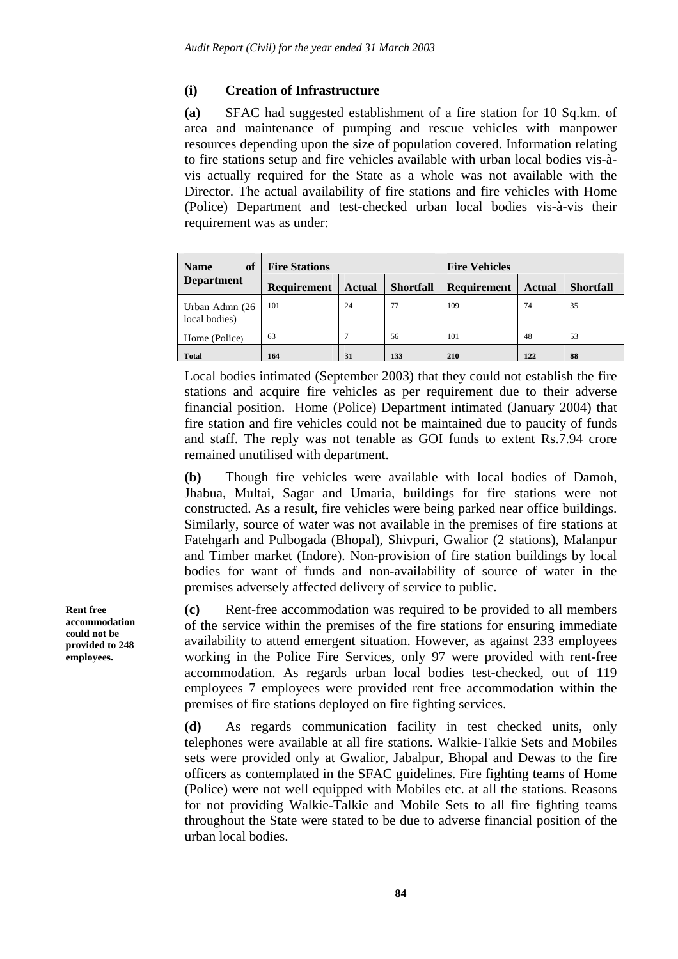# **(i) Creation of Infrastructure**

**(a)** SFAC had suggested establishment of a fire station for 10 Sq.km. of area and maintenance of pumping and rescue vehicles with manpower resources depending upon the size of population covered. Information relating to fire stations setup and fire vehicles available with urban local bodies vis-àvis actually required for the State as a whole was not available with the Director. The actual availability of fire stations and fire vehicles with Home (Police) Department and test-checked urban local bodies vis-à-vis their requirement was as under:

| of<br><b>Name</b>               | <b>Fire Stations</b> |               |                  | <b>Fire Vehicles</b> |               |                  |  |
|---------------------------------|----------------------|---------------|------------------|----------------------|---------------|------------------|--|
| <b>Department</b>               | <b>Requirement</b>   | <b>Actual</b> | <b>Shortfall</b> | <b>Requirement</b>   | <b>Actual</b> | <b>Shortfall</b> |  |
| Urban Admn (26<br>local bodies) | 101                  | 24            | 77               | 109                  | 74            | 35               |  |
| Home (Police)                   | 63                   |               | 56               | 101                  | 48            | 53               |  |
| <b>Total</b>                    | 164                  | 31            | 133              | 210                  | 122           | 88               |  |

Local bodies intimated (September 2003) that they could not establish the fire stations and acquire fire vehicles as per requirement due to their adverse financial position. Home (Police) Department intimated (January 2004) that fire station and fire vehicles could not be maintained due to paucity of funds and staff. The reply was not tenable as GOI funds to extent Rs.7.94 crore remained unutilised with department.

**(b)** Though fire vehicles were available with local bodies of Damoh, Jhabua, Multai, Sagar and Umaria, buildings for fire stations were not constructed. As a result, fire vehicles were being parked near office buildings. Similarly, source of water was not available in the premises of fire stations at Fatehgarh and Pulbogada (Bhopal), Shivpuri, Gwalior (2 stations), Malanpur and Timber market (Indore). Non-provision of fire station buildings by local bodies for want of funds and non-availability of source of water in the premises adversely affected delivery of service to public.

**(c)** Rent-free accommodation was required to be provided to all members of the service within the premises of the fire stations for ensuring immediate availability to attend emergent situation. However, as against 233 employees working in the Police Fire Services, only 97 were provided with rent-free accommodation. As regards urban local bodies test-checked, out of 119 employees 7 employees were provided rent free accommodation within the premises of fire stations deployed on fire fighting services.

**(d)** As regards communication facility in test checked units, only telephones were available at all fire stations. Walkie-Talkie Sets and Mobiles sets were provided only at Gwalior, Jabalpur, Bhopal and Dewas to the fire officers as contemplated in the SFAC guidelines. Fire fighting teams of Home (Police) were not well equipped with Mobiles etc. at all the stations. Reasons for not providing Walkie-Talkie and Mobile Sets to all fire fighting teams throughout the State were stated to be due to adverse financial position of the urban local bodies.

**Rent free accommodation could not be provided to 248 employees.**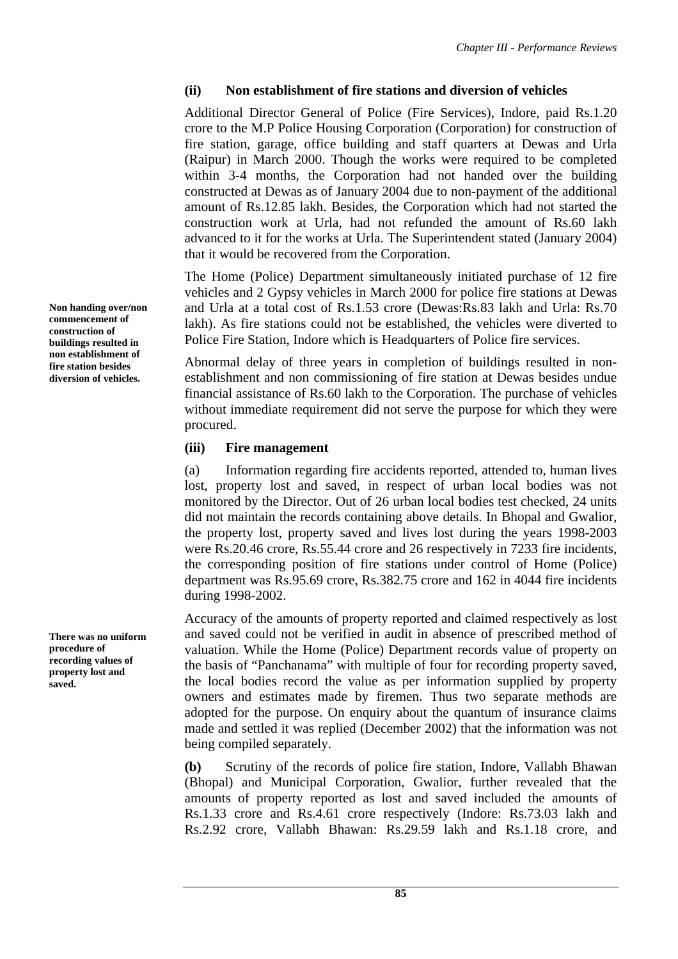# **(ii) Non establishment of fire stations and diversion of vehicles**

Additional Director General of Police (Fire Services), Indore, paid Rs.1.20 crore to the M.P Police Housing Corporation (Corporation) for construction of fire station, garage, office building and staff quarters at Dewas and Urla (Raipur) in March 2000. Though the works were required to be completed within 3-4 months, the Corporation had not handed over the building constructed at Dewas as of January 2004 due to non-payment of the additional amount of Rs.12.85 lakh. Besides, the Corporation which had not started the construction work at Urla, had not refunded the amount of Rs.60 lakh advanced to it for the works at Urla. The Superintendent stated (January 2004) that it would be recovered from the Corporation.

The Home (Police) Department simultaneously initiated purchase of 12 fire vehicles and 2 Gypsy vehicles in March 2000 for police fire stations at Dewas and Urla at a total cost of Rs.1.53 crore (Dewas:Rs.83 lakh and Urla: Rs.70 lakh). As fire stations could not be established, the vehicles were diverted to Police Fire Station, Indore which is Headquarters of Police fire services.

Abnormal delay of three years in completion of buildings resulted in nonestablishment and non commissioning of fire station at Dewas besides undue financial assistance of Rs.60 lakh to the Corporation. The purchase of vehicles without immediate requirement did not serve the purpose for which they were procured.

## **(iii) Fire management**

(a) Information regarding fire accidents reported, attended to, human lives lost, property lost and saved, in respect of urban local bodies was not monitored by the Director. Out of 26 urban local bodies test checked, 24 units did not maintain the records containing above details. In Bhopal and Gwalior, the property lost, property saved and lives lost during the years 1998-2003 were Rs.20.46 crore, Rs.55.44 crore and 26 respectively in 7233 fire incidents, the corresponding position of fire stations under control of Home (Police) department was Rs.95.69 crore, Rs.382.75 crore and 162 in 4044 fire incidents during 1998-2002.

Accuracy of the amounts of property reported and claimed respectively as lost and saved could not be verified in audit in absence of prescribed method of valuation. While the Home (Police) Department records value of property on the basis of "Panchanama" with multiple of four for recording property saved, the local bodies record the value as per information supplied by property owners and estimates made by firemen. Thus two separate methods are adopted for the purpose. On enquiry about the quantum of insurance claims made and settled it was replied (December 2002) that the information was not being compiled separately.

**(b)** Scrutiny of the records of police fire station, Indore, Vallabh Bhawan (Bhopal) and Municipal Corporation, Gwalior, further revealed that the amounts of property reported as lost and saved included the amounts of Rs.1.33 crore and Rs.4.61 crore respectively (Indore: Rs.73.03 lakh and Rs.2.92 crore, Vallabh Bhawan: Rs.29.59 lakh and Rs.1.18 crore, and

**Non handing over/non commencement of construction of buildings resulted in non establishment of fire station besides diversion of vehicles.** 

**There was no uniform procedure of recording values of property lost and saved.**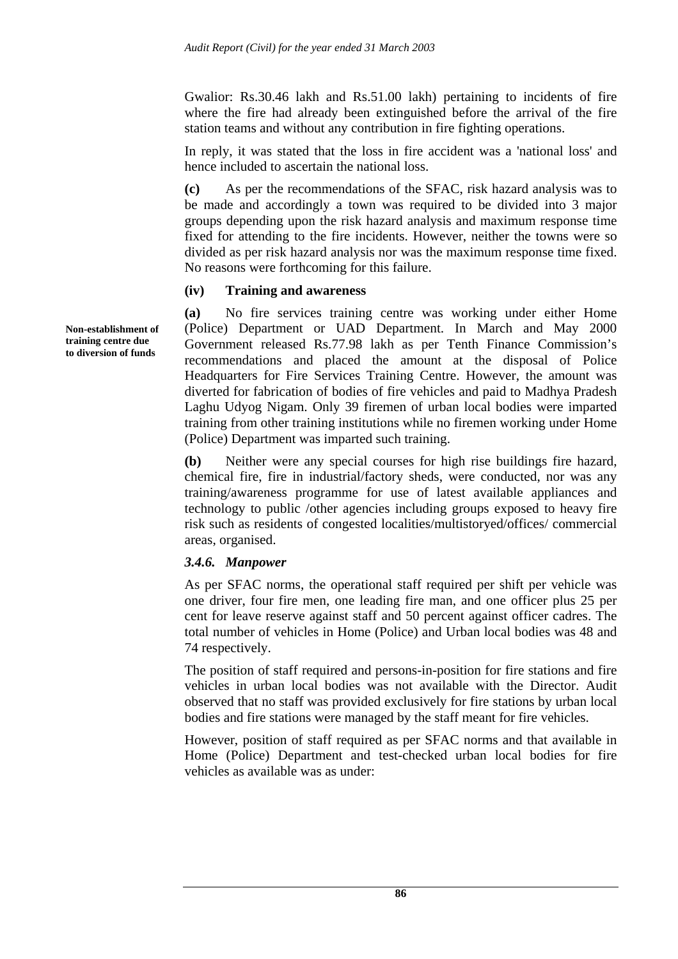Gwalior: Rs.30.46 lakh and Rs.51.00 lakh) pertaining to incidents of fire where the fire had already been extinguished before the arrival of the fire station teams and without any contribution in fire fighting operations.

In reply, it was stated that the loss in fire accident was a 'national loss' and hence included to ascertain the national loss.

**(c)** As per the recommendations of the SFAC, risk hazard analysis was to be made and accordingly a town was required to be divided into 3 major groups depending upon the risk hazard analysis and maximum response time fixed for attending to the fire incidents. However, neither the towns were so divided as per risk hazard analysis nor was the maximum response time fixed. No reasons were forthcoming for this failure.

### **(iv) Training and awareness**

**(a)** No fire services training centre was working under either Home (Police) Department or UAD Department. In March and May 2000 Government released Rs.77.98 lakh as per Tenth Finance Commission's recommendations and placed the amount at the disposal of Police Headquarters for Fire Services Training Centre. However, the amount was diverted for fabrication of bodies of fire vehicles and paid to Madhya Pradesh Laghu Udyog Nigam. Only 39 firemen of urban local bodies were imparted training from other training institutions while no firemen working under Home (Police) Department was imparted such training.

**(b)** Neither were any special courses for high rise buildings fire hazard, chemical fire, fire in industrial/factory sheds, were conducted, nor was any training/awareness programme for use of latest available appliances and technology to public /other agencies including groups exposed to heavy fire risk such as residents of congested localities/multistoryed/offices/ commercial areas, organised.

### *3.4.6. Manpower*

As per SFAC norms, the operational staff required per shift per vehicle was one driver, four fire men, one leading fire man, and one officer plus 25 per cent for leave reserve against staff and 50 percent against officer cadres. The total number of vehicles in Home (Police) and Urban local bodies was 48 and 74 respectively.

The position of staff required and persons-in-position for fire stations and fire vehicles in urban local bodies was not available with the Director. Audit observed that no staff was provided exclusively for fire stations by urban local bodies and fire stations were managed by the staff meant for fire vehicles.

However, position of staff required as per SFAC norms and that available in Home (Police) Department and test-checked urban local bodies for fire vehicles as available was as under:

**Non-establishment of training centre due to diversion of funds**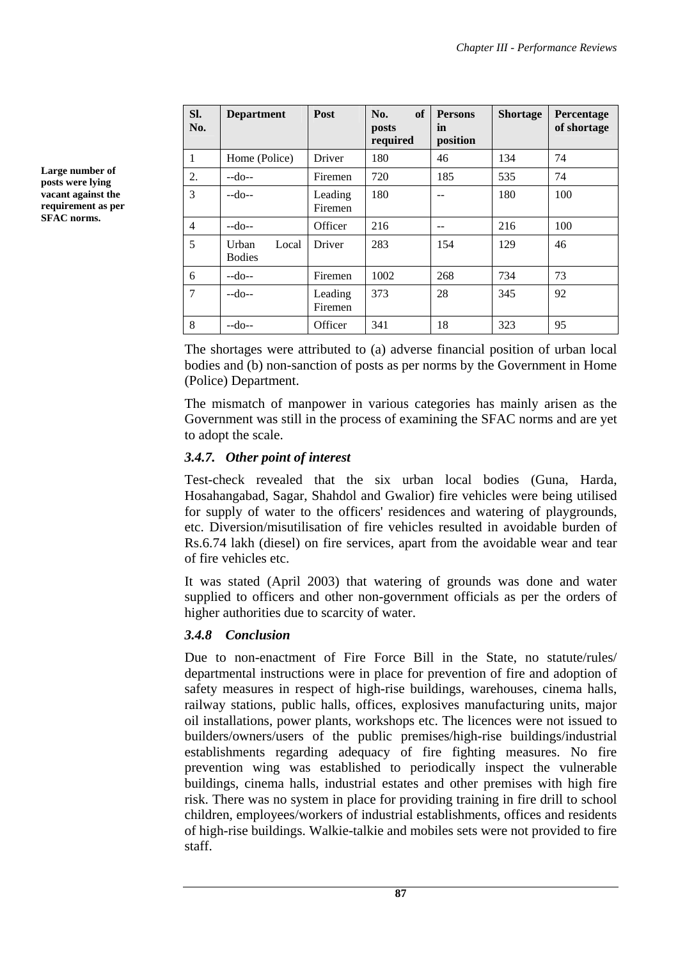| SI.<br>No.     | <b>Department</b>               | Post               | <b>of</b><br>No.<br>posts<br>required | <b>Persons</b><br>in<br>position | <b>Shortage</b> | Percentage<br>of shortage |
|----------------|---------------------------------|--------------------|---------------------------------------|----------------------------------|-----------------|---------------------------|
| 1              | Home (Police)                   | Driver             | 180                                   | 46                               | 134             | 74                        |
| 2.             | $-do-$                          | Firemen            | 720                                   | 185                              | 535             | 74                        |
| 3              | $-do-$                          | Leading<br>Firemen | 180                                   |                                  | 180             | 100                       |
| $\overline{4}$ | $-do-$                          | Officer            | 216                                   | --                               | 216             | 100                       |
| 5              | Urban<br>Local<br><b>Bodies</b> | Driver             | 283                                   | 154                              | 129             | 46                        |
| 6              | $-do-$                          | Firemen            | 1002                                  | 268                              | 734             | 73                        |
| 7              | $-do-$                          | Leading<br>Firemen | 373                                   | 28                               | 345             | 92                        |
| 8              | $-do-$                          | Officer            | 341                                   | 18                               | 323             | 95                        |

The shortages were attributed to (a) adverse financial position of urban local bodies and (b) non-sanction of posts as per norms by the Government in Home (Police) Department.

The mismatch of manpower in various categories has mainly arisen as the Government was still in the process of examining the SFAC norms and are yet to adopt the scale.

# *3.4.7. Other point of interest*

Test-check revealed that the six urban local bodies (Guna, Harda, Hosahangabad, Sagar, Shahdol and Gwalior) fire vehicles were being utilised for supply of water to the officers' residences and watering of playgrounds, etc. Diversion/misutilisation of fire vehicles resulted in avoidable burden of Rs.6.74 lakh (diesel) on fire services, apart from the avoidable wear and tear of fire vehicles etc.

It was stated (April 2003) that watering of grounds was done and water supplied to officers and other non-government officials as per the orders of higher authorities due to scarcity of water.

# *3.4.8 Conclusion*

Due to non-enactment of Fire Force Bill in the State, no statute/rules/ departmental instructions were in place for prevention of fire and adoption of safety measures in respect of high-rise buildings, warehouses, cinema halls, railway stations, public halls, offices, explosives manufacturing units, major oil installations, power plants, workshops etc. The licences were not issued to builders/owners/users of the public premises/high-rise buildings/industrial establishments regarding adequacy of fire fighting measures. No fire prevention wing was established to periodically inspect the vulnerable buildings, cinema halls, industrial estates and other premises with high fire risk. There was no system in place for providing training in fire drill to school children, employees/workers of industrial establishments, offices and residents of high-rise buildings. Walkie-talkie and mobiles sets were not provided to fire staff.

**Large number of posts were lying vacant against the requirement as per SFAC norms.**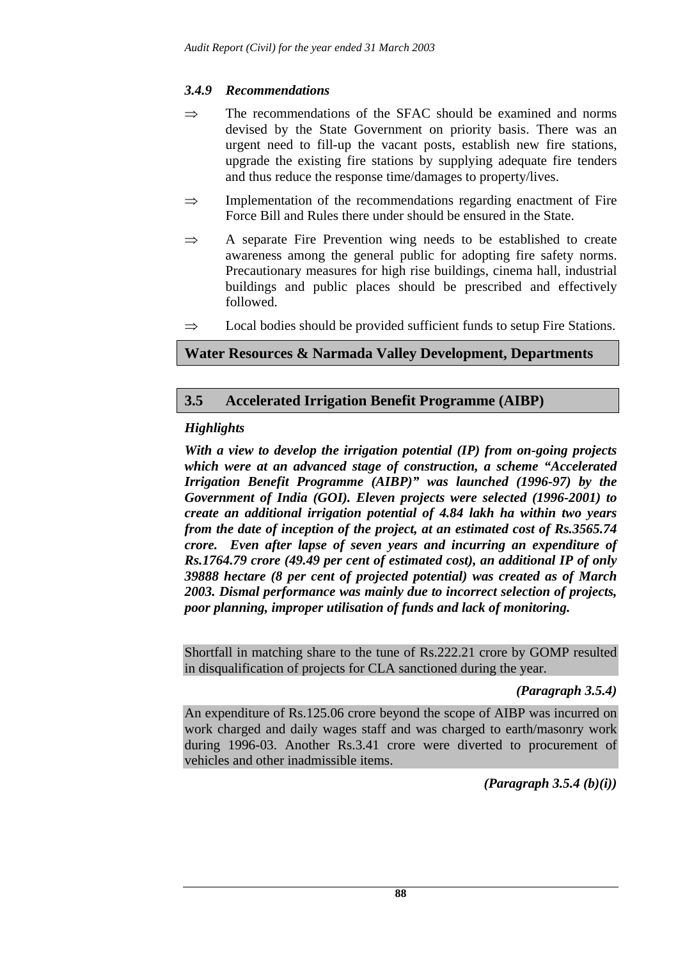# *3.4.9 Recommendations*

- $\Rightarrow$  The recommendations of the SFAC should be examined and norms devised by the State Government on priority basis. There was an urgent need to fill-up the vacant posts, establish new fire stations, upgrade the existing fire stations by supplying adequate fire tenders and thus reduce the response time/damages to property/lives.
- $\Rightarrow$  Implementation of the recommendations regarding enactment of Fire Force Bill and Rules there under should be ensured in the State.
- ⇒ A separate Fire Prevention wing needs to be established to create awareness among the general public for adopting fire safety norms. Precautionary measures for high rise buildings, cinema hall, industrial buildings and public places should be prescribed and effectively followed.
- $\Rightarrow$  Local bodies should be provided sufficient funds to setup Fire Stations.

# **Water Resources & Narmada Valley Development, Departments**

# **3.5 Accelerated Irrigation Benefit Programme (AIBP)**

# *Highlights*

*With a view to develop the irrigation potential (IP) from on-going projects which were at an advanced stage of construction, a scheme "Accelerated Irrigation Benefit Programme (AIBP)" was launched (1996-97) by the Government of India (GOI). Eleven projects were selected (1996-2001) to create an additional irrigation potential of 4.84 lakh ha within two years from the date of inception of the project, at an estimated cost of Rs.3565.74 crore. Even after lapse of seven years and incurring an expenditure of Rs.1764.79 crore (49.49 per cent of estimated cost), an additional IP of only 39888 hectare (8 per cent of projected potential) was created as of March 2003. Dismal performance was mainly due to incorrect selection of projects, poor planning, improper utilisation of funds and lack of monitoring.* 

Shortfall in matching share to the tune of Rs.222.21 crore by GOMP resulted in disqualification of projects for CLA sanctioned during the year.

## *(Paragraph 3.5.4)*

An expenditure of Rs.125.06 crore beyond the scope of AIBP was incurred on work charged and daily wages staff and was charged to earth/masonry work during 1996-03. Another Rs.3.41 crore were diverted to procurement of vehicles and other inadmissible items.

*(Paragraph 3.5.4 (b)(i))*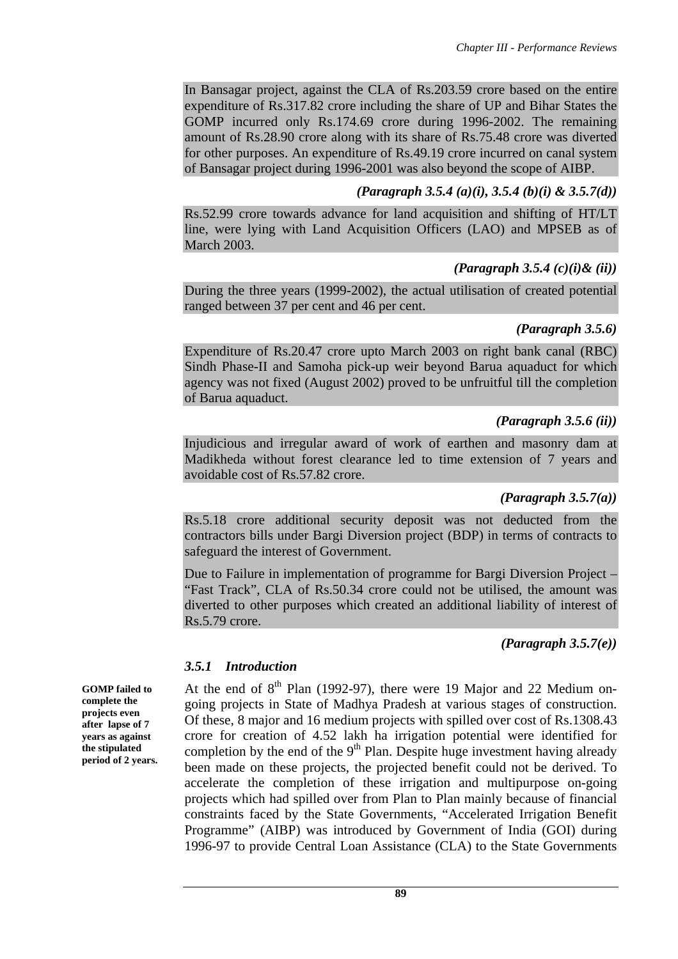In Bansagar project, against the CLA of Rs.203.59 crore based on the entire expenditure of Rs.317.82 crore including the share of UP and Bihar States the GOMP incurred only Rs.174.69 crore during 1996-2002. The remaining amount of Rs.28.90 crore along with its share of Rs.75.48 crore was diverted for other purposes. An expenditure of Rs.49.19 crore incurred on canal system of Bansagar project during 1996-2001 was also beyond the scope of AIBP.

## *(Paragraph 3.5.4 (a)(i), 3.5.4 (b)(i) & 3.5.7(d))*

Rs.52.99 crore towards advance for land acquisition and shifting of HT/LT line, were lying with Land Acquisition Officers (LAO) and MPSEB as of March 2003.

### *(Paragraph 3.5.4 (c)(i)& (ii))*

During the three years (1999-2002), the actual utilisation of created potential ranged between 37 per cent and 46 per cent.

### *(Paragraph 3.5.6)*

Expenditure of Rs.20.47 crore upto March 2003 on right bank canal (RBC) Sindh Phase-II and Samoha pick-up weir beyond Barua aquaduct for which agency was not fixed (August 2002) proved to be unfruitful till the completion of Barua aquaduct.

### *(Paragraph 3.5.6 (ii))*

Injudicious and irregular award of work of earthen and masonry dam at Madikheda without forest clearance led to time extension of 7 years and avoidable cost of Rs.57.82 crore.

### *(Paragraph 3.5.7(a))*

Rs.5.18 crore additional security deposit was not deducted from the contractors bills under Bargi Diversion project (BDP) in terms of contracts to safeguard the interest of Government.

Due to Failure in implementation of programme for Bargi Diversion Project – "Fast Track", CLA of Rs.50.34 crore could not be utilised, the amount was diverted to other purposes which created an additional liability of interest of Rs.5.79 crore.

*(Paragraph 3.5.7(e))* 

## *3.5.1 Introduction*

At the end of  $8<sup>th</sup>$  Plan (1992-97), there were 19 Major and 22 Medium ongoing projects in State of Madhya Pradesh at various stages of construction. Of these, 8 major and 16 medium projects with spilled over cost of Rs.1308.43 crore for creation of 4.52 lakh ha irrigation potential were identified for completion by the end of the  $9<sup>th</sup>$  Plan. Despite huge investment having already been made on these projects, the projected benefit could not be derived. To accelerate the completion of these irrigation and multipurpose on-going projects which had spilled over from Plan to Plan mainly because of financial constraints faced by the State Governments, "Accelerated Irrigation Benefit Programme" (AIBP) was introduced by Government of India (GOI) during 1996-97 to provide Central Loan Assistance (CLA) to the State Governments

**GOMP failed to complete the projects even after lapse of 7 years as against the stipulated period of 2 years.**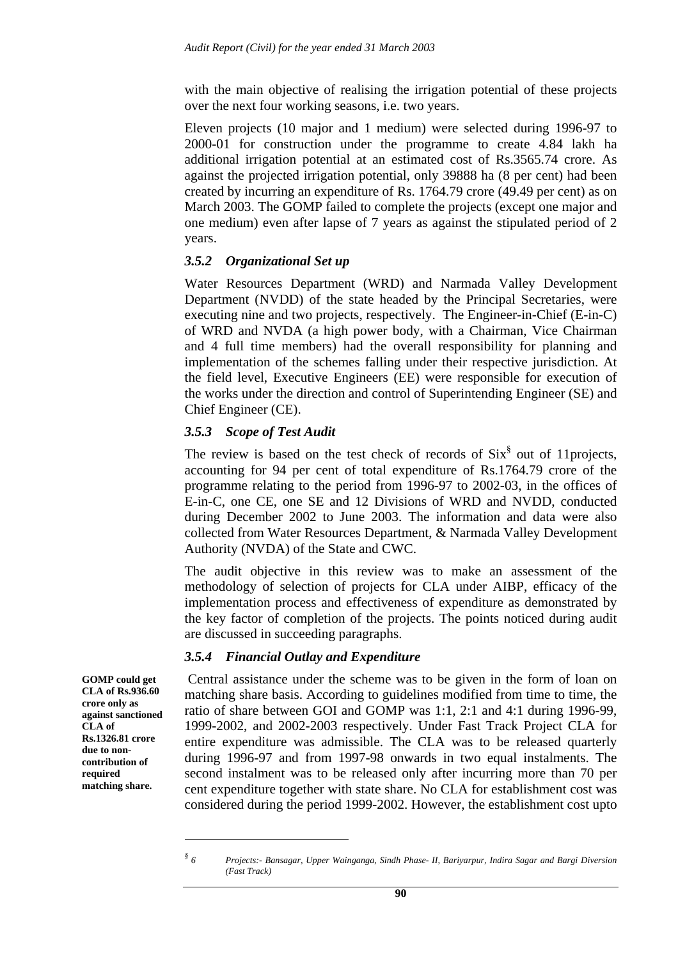with the main objective of realising the irrigation potential of these projects over the next four working seasons, i.e. two years.

Eleven projects (10 major and 1 medium) were selected during 1996-97 to 2000-01 for construction under the programme to create 4.84 lakh ha additional irrigation potential at an estimated cost of Rs.3565.74 crore. As against the projected irrigation potential, only 39888 ha (8 per cent) had been created by incurring an expenditure of Rs. 1764.79 crore (49.49 per cent) as on March 2003. The GOMP failed to complete the projects (except one major and one medium) even after lapse of 7 years as against the stipulated period of 2 years.

### *3.5.2 Organizational Set up*

Water Resources Department (WRD) and Narmada Valley Development Department (NVDD) of the state headed by the Principal Secretaries, were executing nine and two projects, respectively. The Engineer-in-Chief (E-in-C) of WRD and NVDA (a high power body, with a Chairman, Vice Chairman and 4 full time members) had the overall responsibility for planning and implementation of the schemes falling under their respective jurisdiction. At the field level, Executive Engineers (EE) were responsible for execution of the works under the direction and control of Superintending Engineer (SE) and Chief Engineer (CE).

### *3.5.3 Scope of Test Audit*

The review is based on the test check of records of  $\text{Six}^{\$}$  out of 11projects, accounting for 94 per cent of total expenditure of Rs.1764.79 crore of the programme relating to the period from 1996-97 to 2002-03, in the offices of E-in-C, one CE, one SE and 12 Divisions of WRD and NVDD, conducted during December 2002 to June 2003. The information and data were also collected from Water Resources Department, & Narmada Valley Development Authority (NVDA) of the State and CWC.

The audit objective in this review was to make an assessment of the methodology of selection of projects for CLA under AIBP, efficacy of the implementation process and effectiveness of expenditure as demonstrated by the key factor of completion of the projects. The points noticed during audit are discussed in succeeding paragraphs.

### *3.5.4 Financial Outlay and Expenditure*

 Central assistance under the scheme was to be given in the form of loan on matching share basis. According to guidelines modified from time to time, the ratio of share between GOI and GOMP was 1:1, 2:1 and 4:1 during 1996-99, 1999-2002, and 2002-2003 respectively. Under Fast Track Project CLA for entire expenditure was admissible. The CLA was to be released quarterly during 1996-97 and from 1997-98 onwards in two equal instalments. The second instalment was to be released only after incurring more than 70 per cent expenditure together with state share. No CLA for establishment cost was considered during the period 1999-2002. However, the establishment cost upto

 $\overline{a}$ 

**GOMP could get CLA of Rs.936.60 crore only as against sanctioned CLA of Rs.1326.81 crore due to noncontribution of required matching share.** 

*<sup>§</sup> 6 Projects:- Bansagar, Upper Wainganga, Sindh Phase- II, Bariyarpur, Indira Sagar and Bargi Diversion (Fast Track)*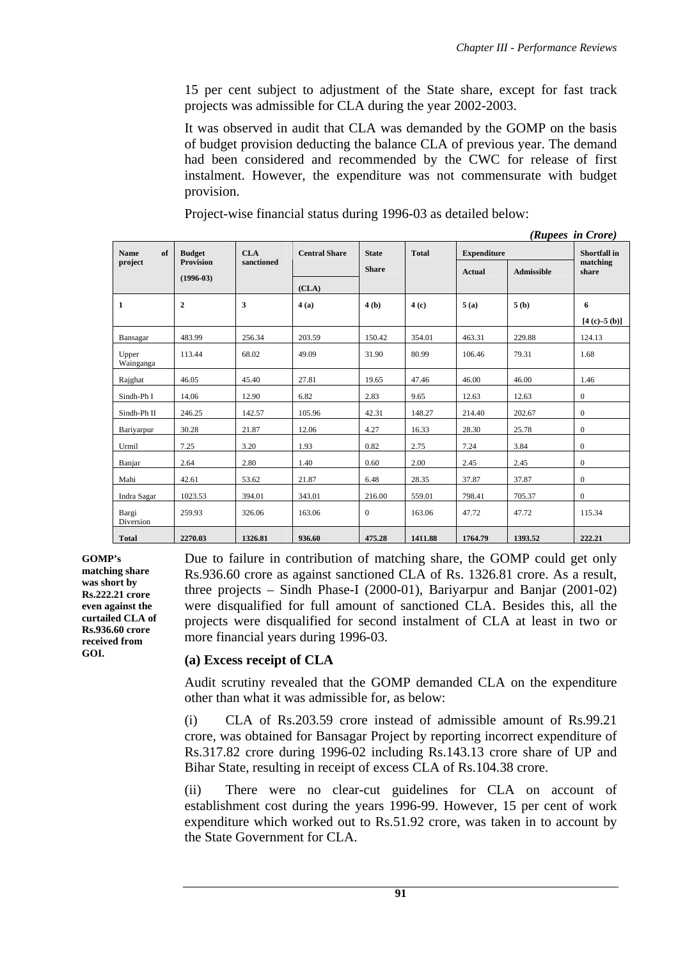15 per cent subject to adjustment of the State share, except for fast track projects was admissible for CLA during the year 2002-2003.

It was observed in audit that CLA was demanded by the GOMP on the basis of budget provision deducting the balance CLA of previous year. The demand had been considered and recommended by the CWC for release of first instalment. However, the expenditure was not commensurate with budget provision.

Project-wise financial status during 1996-03 as detailed below:

|                    |                  |            |                      |              |              |                    |                   | (Rupees in Crore)   |
|--------------------|------------------|------------|----------------------|--------------|--------------|--------------------|-------------------|---------------------|
| of<br><b>Name</b>  | <b>Budget</b>    | CLA        | <b>Central Share</b> | <b>State</b> | <b>Total</b> | <b>Expenditure</b> |                   | <b>Shortfall</b> in |
| project            | <b>Provision</b> | sanctioned |                      | <b>Share</b> |              | <b>Actual</b>      | <b>Admissible</b> | matching<br>share   |
|                    | $(1996-03)$      |            | (CLA)                |              |              |                    |                   |                     |
| 1                  | $\overline{2}$   | 3          | 4(a)                 | 4(b)         | 4(c)         | 5(a)               | 5(b)              | 6                   |
|                    |                  |            |                      |              |              |                    |                   | $[4 (c) - 5 (b)]$   |
| Bansagar           | 483.99           | 256.34     | 203.59               | 150.42       | 354.01       | 463.31             | 229.88            | 124.13              |
| Upper<br>Wainganga | 113.44           | 68.02      | 49.09                | 31.90        | 80.99        | 106.46             | 79.31             | 1.68                |
| Rajghat            | 46.05            | 45.40      | 27.81                | 19.65        | 47.46        | 46.00              | 46.00             | 1.46                |
| Sindh-Ph I         | 14.06            | 12.90      | 6.82                 | 2.83         | 9.65         | 12.63              | 12.63             | $\boldsymbol{0}$    |
| Sindh-Ph II        | 246.25           | 142.57     | 105.96               | 42.31        | 148.27       | 214.40             | 202.67            | $\boldsymbol{0}$    |
| Bariyarpur         | 30.28            | 21.87      | 12.06                | 4.27         | 16.33        | 28.30              | 25.78             | $\boldsymbol{0}$    |
| Urmil              | 7.25             | 3.20       | 1.93                 | 0.82         | 2.75         | 7.24               | 3.84              | $\boldsymbol{0}$    |
| Banjar             | 2.64             | 2.80       | 1.40                 | 0.60         | 2.00         | 2.45               | 2.45              | $\boldsymbol{0}$    |
| Mahi               | 42.61            | 53.62      | 21.87                | 6.48         | 28.35        | 37.87              | 37.87             | $\mathbf{0}$        |
| Indra Sagar        | 1023.53          | 394.01     | 343.01               | 216.00       | 559.01       | 798.41             | 705.37            | $\mathbf{0}$        |
| Bargi<br>Diversion | 259.93           | 326.06     | 163.06               | $\theta$     | 163.06       | 47.72              | 47.72             | 115.34              |
| <b>Total</b>       | 2270.03          | 1326.81    | 936.60               | 475.28       | 1411.88      | 1764.79            | 1393.52           | 222.21              |

**GOMP's matching share was short by Rs.222.21 crore even against the curtailed CLA of Rs.936.60 crore received from GOI.** 

Due to failure in contribution of matching share, the GOMP could get only Rs.936.60 crore as against sanctioned CLA of Rs. 1326.81 crore. As a result, three projects – Sindh Phase-I (2000-01), Bariyarpur and Banjar (2001-02) were disqualified for full amount of sanctioned CLA. Besides this, all the projects were disqualified for second instalment of CLA at least in two or more financial years during 1996-03.

### **(a) Excess receipt of CLA**

Audit scrutiny revealed that the GOMP demanded CLA on the expenditure other than what it was admissible for, as below:

(i) CLA of Rs.203.59 crore instead of admissible amount of Rs.99.21 crore, was obtained for Bansagar Project by reporting incorrect expenditure of Rs.317.82 crore during 1996-02 including Rs.143.13 crore share of UP and Bihar State, resulting in receipt of excess CLA of Rs.104.38 crore.

(ii) There were no clear-cut guidelines for CLA on account of establishment cost during the years 1996-99. However, 15 per cent of work expenditure which worked out to Rs.51.92 crore, was taken in to account by the State Government for CLA.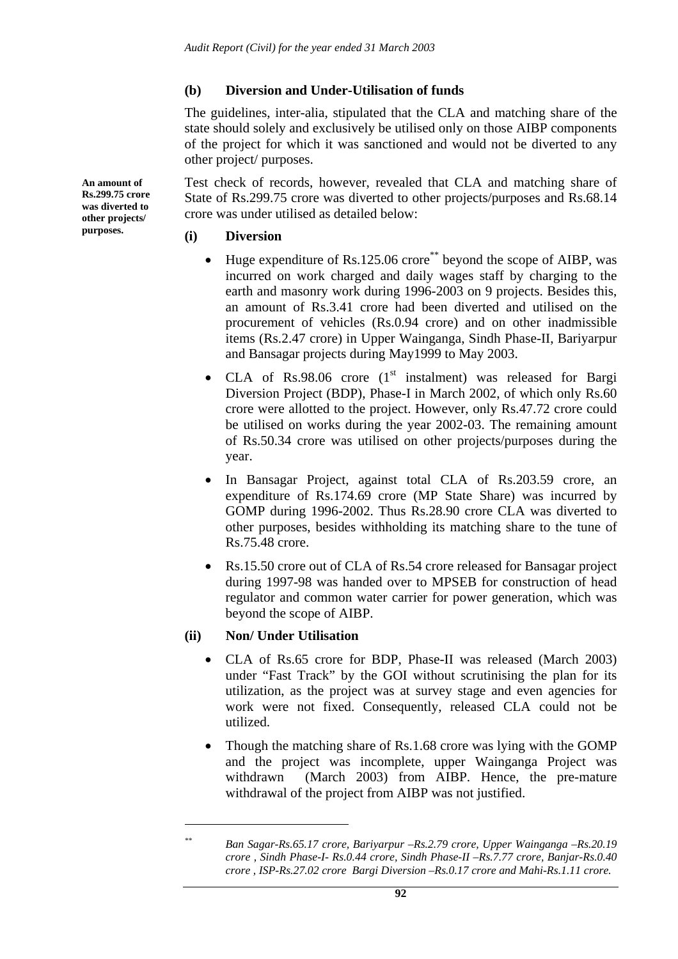### **(b) Diversion and Under-Utilisation of funds**

The guidelines, inter-alia, stipulated that the CLA and matching share of the state should solely and exclusively be utilised only on those AIBP components of the project for which it was sanctioned and would not be diverted to any other project/ purposes.

Test check of records, however, revealed that CLA and matching share of State of Rs.299.75 crore was diverted to other projects/purposes and Rs.68.14 crore was under utilised as detailed below:

### **(i) Diversion**

- Huge expenditure of Rs.125.06 crore\*\* beyond the scope of AIBP, was incurred on work charged and daily wages staff by charging to the earth and masonry work during 1996-2003 on 9 projects. Besides this, an amount of Rs.3.41 crore had been diverted and utilised on the procurement of vehicles (Rs.0.94 crore) and on other inadmissible items (Rs.2.47 crore) in Upper Wainganga, Sindh Phase-II, Bariyarpur and Bansagar projects during May1999 to May 2003.
- CLA of Rs.98.06 crore  $(1<sup>st</sup>$  instalment) was released for Bargi Diversion Project (BDP), Phase-I in March 2002, of which only Rs.60 crore were allotted to the project. However, only Rs.47.72 crore could be utilised on works during the year 2002-03. The remaining amount of Rs.50.34 crore was utilised on other projects/purposes during the year.
- In Bansagar Project, against total CLA of Rs.203.59 crore, an expenditure of Rs.174.69 crore (MP State Share) was incurred by GOMP during 1996-2002. Thus Rs.28.90 crore CLA was diverted to other purposes, besides withholding its matching share to the tune of Rs.75.48 crore.
- Rs.15.50 crore out of CLA of Rs.54 crore released for Bansagar project during 1997-98 was handed over to MPSEB for construction of head regulator and common water carrier for power generation, which was beyond the scope of AIBP.

## **(ii) Non/ Under Utilisation**

 $\overline{a}$ 

- CLA of Rs.65 crore for BDP, Phase-II was released (March 2003) under "Fast Track" by the GOI without scrutinising the plan for its utilization, as the project was at survey stage and even agencies for work were not fixed. Consequently, released CLA could not be utilized.
- Though the matching share of Rs.1.68 crore was lying with the GOMP and the project was incomplete, upper Wainganga Project was withdrawn (March 2003) from AIBP. Hence, the pre-mature withdrawal of the project from AIBP was not justified.

**An amount of Rs.299.75 crore was diverted to other projects/ purposes.** 

*<sup>\*\*</sup> Ban Sagar-Rs.65.17 crore, Bariyarpur –Rs.2.79 crore, Upper Wainganga –Rs.20.19 crore , Sindh Phase-I- Rs.0.44 crore, Sindh Phase-II –Rs.7.77 crore, Banjar-Rs.0.40 crore , ISP-Rs.27.02 crore Bargi Diversion –Rs.0.17 crore and Mahi-Rs.1.11 crore.*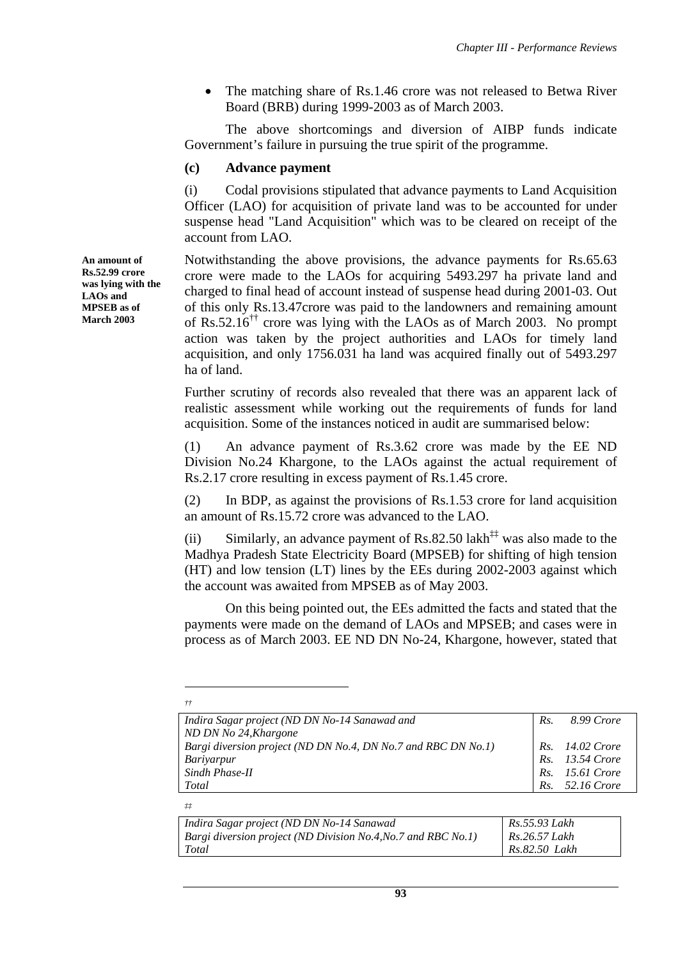The matching share of Rs.1.46 crore was not released to Betwa River Board (BRB) during 1999-2003 as of March 2003.

 The above shortcomings and diversion of AIBP funds indicate Government's failure in pursuing the true spirit of the programme.

### **(c) Advance payment**

(i) Codal provisions stipulated that advance payments to Land Acquisition Officer (LAO) for acquisition of private land was to be accounted for under suspense head "Land Acquisition" which was to be cleared on receipt of the account from LAO.

Notwithstanding the above provisions, the advance payments for Rs.65.63 crore were made to the LAOs for acquiring 5493.297 ha private land and charged to final head of account instead of suspense head during 2001-03. Out of this only Rs.13.47crore was paid to the landowners and remaining amount of Rs.52.16<sup> $\dagger\ddagger$ </sup> crore was lying with the LAOs as of March 2003. No prompt action was taken by the project authorities and LAOs for timely land acquisition, and only 1756.031 ha land was acquired finally out of 5493.297 ha of land.

Further scrutiny of records also revealed that there was an apparent lack of realistic assessment while working out the requirements of funds for land acquisition. Some of the instances noticed in audit are summarised below:

(1) An advance payment of Rs.3.62 crore was made by the EE ND Division No.24 Khargone, to the LAOs against the actual requirement of Rs.2.17 crore resulting in excess payment of Rs.1.45 crore.

(2) In BDP, as against the provisions of Rs.1.53 crore for land acquisition an amount of Rs.15.72 crore was advanced to the LAO.

(ii) Similarly, an advance payment of Rs.82.50 lakh<sup>‡‡</sup> was also made to the Madhya Pradesh State Electricity Board (MPSEB) for shifting of high tension (HT) and low tension (LT) lines by the EEs during 2002-2003 against which the account was awaited from MPSEB as of May 2003.

 On this being pointed out, the EEs admitted the facts and stated that the payments were made on the demand of LAOs and MPSEB; and cases were in process as of March 2003. EE ND DN No-24, Khargone, however, stated that

| Indira Sagar project (ND DN No-14 Sanawad and                 | Rs. | 8.99 Crore      |
|---------------------------------------------------------------|-----|-----------------|
| ND DN No 24, Khargone                                         |     |                 |
| Bargi diversion project (ND DN No.4, DN No.7 and RBC DN No.1) |     | Rs. 14.02 Crore |
| Bariyarpur                                                    |     | Rs. 13.54 Crore |
| Sindh Phase-II                                                |     | Rs. 15.61 Crore |
| Total                                                         |     | Rs. 52.16 Crore |

*‡‡* 

 $\overline{a}$ *††* 

| Indira Sagar project (ND DN No-14 Sanawad                     | Rs.55.93 Lakh |
|---------------------------------------------------------------|---------------|
| Bargi diversion project (ND Division No.4, No.7 and RBC No.1) | Rs.26.57 Lakh |
| Total                                                         | Rs.82.50 Lakh |

**An amount of Rs.52.99 crore was lying with the LAOs and MPSEB as of March 2003**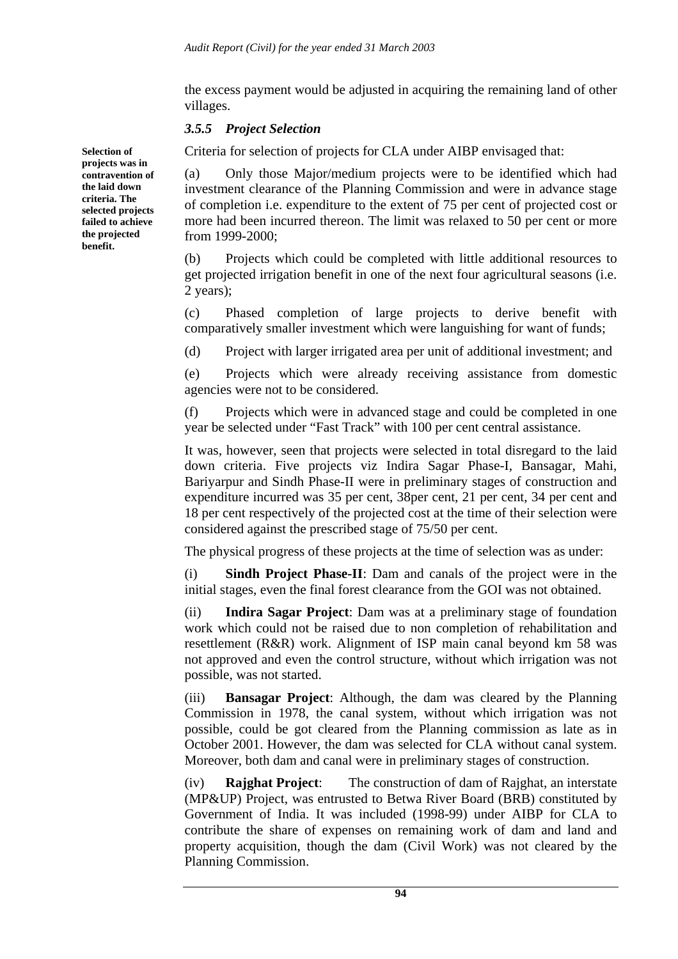the excess payment would be adjusted in acquiring the remaining land of other villages.

### *3.5.5 Project Selection*

Criteria for selection of projects for CLA under AIBP envisaged that:

(a) Only those Major/medium projects were to be identified which had investment clearance of the Planning Commission and were in advance stage of completion i.e. expenditure to the extent of 75 per cent of projected cost or more had been incurred thereon. The limit was relaxed to 50 per cent or more from 1999-2000;

(b) Projects which could be completed with little additional resources to get projected irrigation benefit in one of the next four agricultural seasons (i.e. 2 years);

(c) Phased completion of large projects to derive benefit with comparatively smaller investment which were languishing for want of funds;

(d) Project with larger irrigated area per unit of additional investment; and

(e) Projects which were already receiving assistance from domestic agencies were not to be considered.

(f) Projects which were in advanced stage and could be completed in one year be selected under "Fast Track" with 100 per cent central assistance.

It was, however, seen that projects were selected in total disregard to the laid down criteria. Five projects viz Indira Sagar Phase-I, Bansagar, Mahi, Bariyarpur and Sindh Phase-II were in preliminary stages of construction and expenditure incurred was 35 per cent, 38per cent, 21 per cent, 34 per cent and 18 per cent respectively of the projected cost at the time of their selection were considered against the prescribed stage of 75/50 per cent.

The physical progress of these projects at the time of selection was as under:

(i) **Sindh Project Phase-II**: Dam and canals of the project were in the initial stages, even the final forest clearance from the GOI was not obtained.

(ii) **Indira Sagar Project**: Dam was at a preliminary stage of foundation work which could not be raised due to non completion of rehabilitation and resettlement (R&R) work. Alignment of ISP main canal beyond km 58 was not approved and even the control structure, without which irrigation was not possible, was not started.

(iii) **Bansagar Project**: Although, the dam was cleared by the Planning Commission in 1978, the canal system, without which irrigation was not possible, could be got cleared from the Planning commission as late as in October 2001. However, the dam was selected for CLA without canal system. Moreover, both dam and canal were in preliminary stages of construction.

(iv) **Rajghat Project**: The construction of dam of Rajghat, an interstate (MP&UP) Project, was entrusted to Betwa River Board (BRB) constituted by Government of India. It was included (1998-99) under AIBP for CLA to contribute the share of expenses on remaining work of dam and land and property acquisition, though the dam (Civil Work) was not cleared by the Planning Commission.

**Selection of projects was in contravention of the laid down criteria. The selected projects failed to achieve the projected benefit.**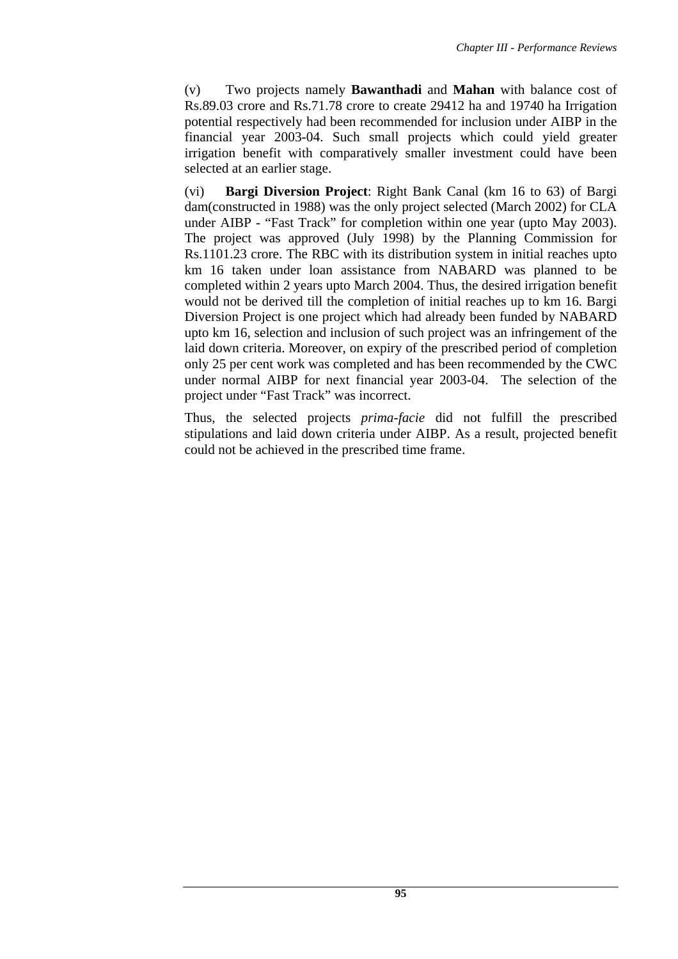(v) Two projects namely **Bawanthadi** and **Mahan** with balance cost of Rs.89.03 crore and Rs.71.78 crore to create 29412 ha and 19740 ha Irrigation potential respectively had been recommended for inclusion under AIBP in the financial year 2003-04. Such small projects which could yield greater irrigation benefit with comparatively smaller investment could have been selected at an earlier stage.

(vi) **Bargi Diversion Project**: Right Bank Canal (km 16 to 63) of Bargi dam(constructed in 1988) was the only project selected (March 2002) for CLA under AIBP - "Fast Track" for completion within one year (upto May 2003). The project was approved (July 1998) by the Planning Commission for Rs.1101.23 crore. The RBC with its distribution system in initial reaches upto km 16 taken under loan assistance from NABARD was planned to be completed within 2 years upto March 2004. Thus, the desired irrigation benefit would not be derived till the completion of initial reaches up to km 16. Bargi Diversion Project is one project which had already been funded by NABARD upto km 16, selection and inclusion of such project was an infringement of the laid down criteria. Moreover, on expiry of the prescribed period of completion only 25 per cent work was completed and has been recommended by the CWC under normal AIBP for next financial year 2003-04. The selection of the project under "Fast Track" was incorrect.

Thus, the selected projects *prima-facie* did not fulfill the prescribed stipulations and laid down criteria under AIBP. As a result, projected benefit could not be achieved in the prescribed time frame.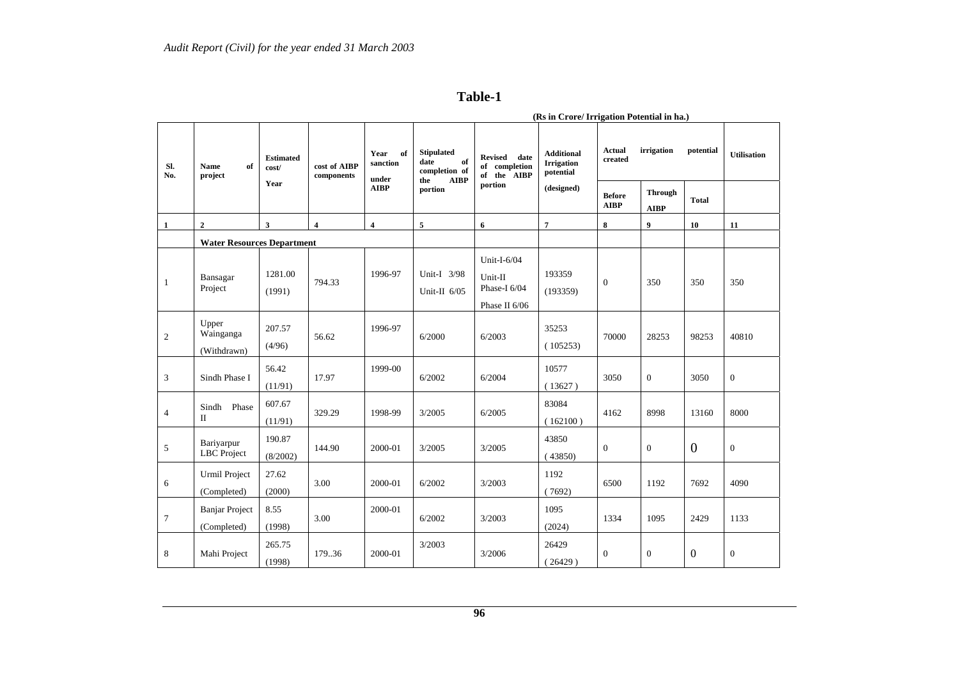#### **Table-1**

| Sl.<br>No.     | <b>Name</b><br>of<br>project         | <b>Estimated</b><br>cost/<br>Year | cost of AIBP<br>components | Year<br>of<br>sanction<br>under<br><b>AIBP</b> | <b>Stipulated</b><br>of<br>date<br>completion of<br>${\bf AIBP}$<br>the | <b>Revised</b><br>date<br>of completion<br>of the AIBP  | <b>Additional</b><br><b>Irrigation</b><br>potential | irrigation<br><b>Actual</b><br>created |                               | potential      | <b>Utilisation</b> |
|----------------|--------------------------------------|-----------------------------------|----------------------------|------------------------------------------------|-------------------------------------------------------------------------|---------------------------------------------------------|-----------------------------------------------------|----------------------------------------|-------------------------------|----------------|--------------------|
|                |                                      |                                   |                            |                                                | portion                                                                 | portion                                                 | (designed)                                          | <b>Before</b><br><b>AIBP</b>           | <b>Through</b><br><b>AIBP</b> | <b>Total</b>   |                    |
| 1              | $\mathbf{2}$                         | $\mathbf{3}$                      | $\overline{\mathbf{4}}$    | $\overline{4}$                                 | 5                                                                       | 6                                                       | $\overline{7}$                                      | 8                                      | $\boldsymbol{9}$              | 10             | 11                 |
|                | <b>Water Resources Department</b>    |                                   |                            |                                                |                                                                         |                                                         |                                                     |                                        |                               |                |                    |
| $\overline{1}$ | Bansagar<br>Project                  | 1281.00<br>(1991)                 | 794.33                     | 1996-97                                        | Unit-I 3/98<br>Unit-II $6/05$                                           | Unit-I-6/04<br>Unit-II<br>Phase-I 6/04<br>Phase II 6/06 | 193359<br>(193359)                                  | $\mathbf{0}$                           | 350                           | 350            | 350                |
| 2              | Upper<br>Wainganga<br>(Withdrawn)    | 207.57<br>(4/96)                  | 56.62                      | 1996-97                                        | 6/2000                                                                  | 6/2003                                                  | 35253<br>(105253)                                   | 70000                                  | 28253                         | 98253          | 40810              |
| 3              | Sindh Phase I                        | 56.42<br>(11/91)                  | 17.97                      | 1999-00                                        | 6/2002                                                                  | 6/2004                                                  | 10577<br>(13627)                                    | 3050                                   | $\overline{0}$                | 3050           | $\boldsymbol{0}$   |
| $\overline{4}$ | Sindh Phase<br>$\mathbf{I}$          | 607.67<br>(11/91)                 | 329.29                     | 1998-99                                        | 3/2005                                                                  | 6/2005                                                  | 83084<br>(162100)                                   | 4162                                   | 8998                          | 13160          | 8000               |
| 5              | Bariyarpur<br><b>LBC</b> Project     | 190.87<br>(8/2002)                | 144.90                     | 2000-01                                        | 3/2005                                                                  | 3/2005                                                  | 43850<br>(43850)                                    | $\Omega$                               | $\Omega$                      | $\overline{0}$ | $\theta$           |
| 6              | <b>Urmil Project</b><br>(Completed)  | 27.62<br>(2000)                   | 3.00                       | 2000-01                                        | 6/2002                                                                  | 3/2003                                                  | 1192<br>(7692)                                      | 6500                                   | 1192                          | 7692           | 4090               |
| $\overline{7}$ | <b>Banjar Project</b><br>(Completed) | 8.55<br>(1998)                    | 3.00                       | 2000-01                                        | 6/2002                                                                  | 3/2003                                                  | 1095<br>(2024)                                      | 1334                                   | 1095                          | 2429           | 1133               |
| 8              | Mahi Project                         | 265.75<br>(1998)                  | 179.36                     | 2000-01                                        | 3/2003                                                                  | 3/2006                                                  | 26429<br>(26429)                                    | $\Omega$                               | $\Omega$                      | $\Omega$       | $\theta$           |

 **(Rs in Crore/ Irrigation Potential in ha.)**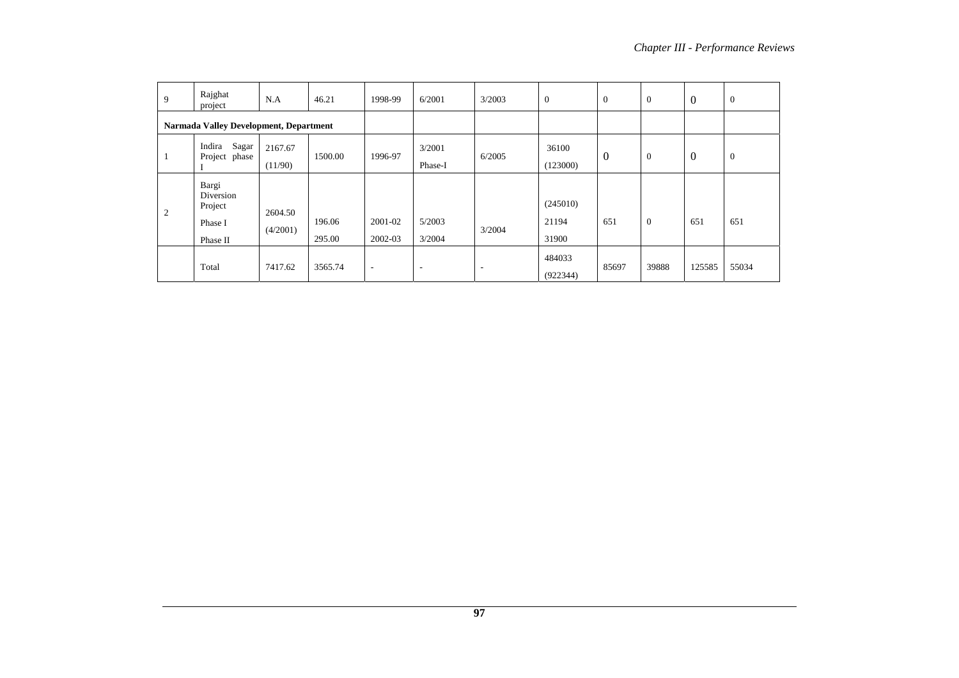| 9                                             | Rajghat<br>project                                   | N.A                 | 46.21            | 1998-99                  | 6/2001                   | 3/2003 | $\overline{0}$             | $\theta$ | $\theta$       | $\mathbf{0}$ | $\boldsymbol{0}$ |
|-----------------------------------------------|------------------------------------------------------|---------------------|------------------|--------------------------|--------------------------|--------|----------------------------|----------|----------------|--------------|------------------|
| <b>Narmada Valley Development, Department</b> |                                                      |                     |                  |                          |                          |        |                            |          |                |              |                  |
| $\mathbf{1}$                                  | Sagar<br>Indira<br>Project phase                     | 2167.67<br>(11/90)  | 1500.00          | 1996-97                  | 3/2001<br>Phase-I        | 6/2005 | 36100<br>(123000)          | $\Omega$ | $\mathbf{0}$   | $\mathbf{0}$ | $\boldsymbol{0}$ |
| 2                                             | Bargi<br>Diversion<br>Project<br>Phase I<br>Phase II | 2604.50<br>(4/2001) | 196.06<br>295.00 | 2001-02<br>2002-03       | 5/2003<br>3/2004         | 3/2004 | (245010)<br>21194<br>31900 | 651      | $\overline{0}$ | 651          | 651              |
|                                               | Total                                                | 7417.62             | 3565.74          | $\overline{\phantom{a}}$ | $\overline{\phantom{a}}$ |        | 484033<br>(922344)         | 85697    | 39888          | 125585       | 55034            |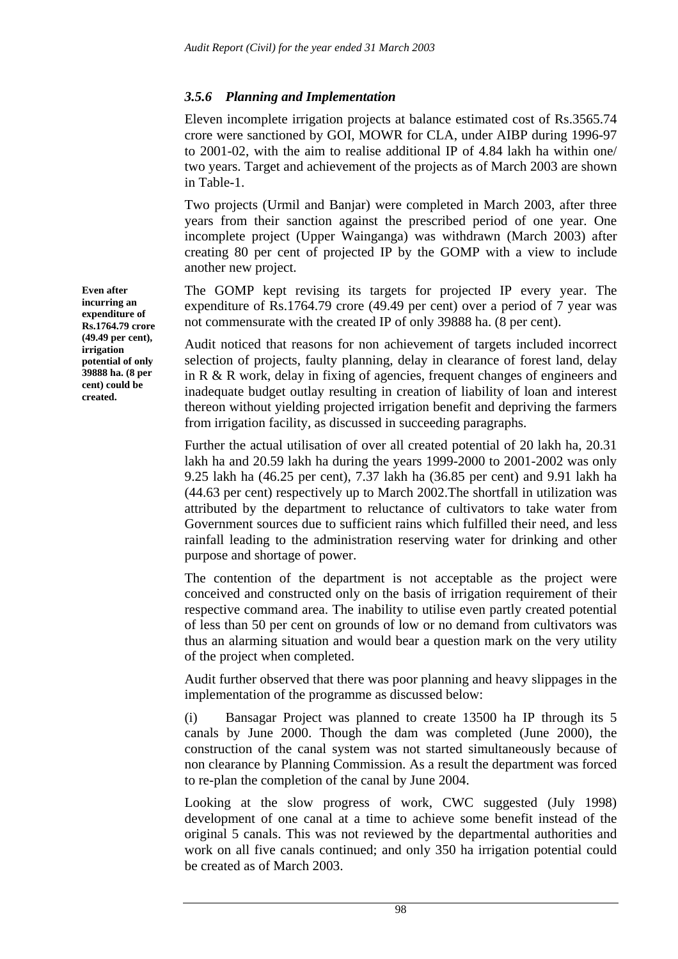## *3.5.6 Planning and Implementation*

Eleven incomplete irrigation projects at balance estimated cost of Rs.3565.74 crore were sanctioned by GOI, MOWR for CLA, under AIBP during 1996-97 to 2001-02, with the aim to realise additional IP of 4.84 lakh ha within one/ two years. Target and achievement of the projects as of March 2003 are shown in Table-1.

Two projects (Urmil and Banjar) were completed in March 2003, after three years from their sanction against the prescribed period of one year. One incomplete project (Upper Wainganga) was withdrawn (March 2003) after creating 80 per cent of projected IP by the GOMP with a view to include another new project.

The GOMP kept revising its targets for projected IP every year. The expenditure of Rs.1764.79 crore (49.49 per cent) over a period of 7 year was not commensurate with the created IP of only 39888 ha. (8 per cent).

Audit noticed that reasons for non achievement of targets included incorrect selection of projects, faulty planning, delay in clearance of forest land, delay in R & R work, delay in fixing of agencies, frequent changes of engineers and inadequate budget outlay resulting in creation of liability of loan and interest thereon without yielding projected irrigation benefit and depriving the farmers from irrigation facility, as discussed in succeeding paragraphs.

Further the actual utilisation of over all created potential of 20 lakh ha, 20.31 lakh ha and 20.59 lakh ha during the years 1999-2000 to 2001-2002 was only 9.25 lakh ha (46.25 per cent), 7.37 lakh ha (36.85 per cent) and 9.91 lakh ha (44.63 per cent) respectively up to March 2002.The shortfall in utilization was attributed by the department to reluctance of cultivators to take water from Government sources due to sufficient rains which fulfilled their need, and less rainfall leading to the administration reserving water for drinking and other purpose and shortage of power.

The contention of the department is not acceptable as the project were conceived and constructed only on the basis of irrigation requirement of their respective command area. The inability to utilise even partly created potential of less than 50 per cent on grounds of low or no demand from cultivators was thus an alarming situation and would bear a question mark on the very utility of the project when completed.

Audit further observed that there was poor planning and heavy slippages in the implementation of the programme as discussed below:

(i) Bansagar Project was planned to create 13500 ha IP through its 5 canals by June 2000. Though the dam was completed (June 2000), the construction of the canal system was not started simultaneously because of non clearance by Planning Commission. As a result the department was forced to re-plan the completion of the canal by June 2004.

Looking at the slow progress of work, CWC suggested (July 1998) development of one canal at a time to achieve some benefit instead of the original 5 canals. This was not reviewed by the departmental authorities and work on all five canals continued; and only 350 ha irrigation potential could be created as of March 2003.

**Even after incurring an expenditure of Rs.1764.79 crore (49.49 per cent), irrigation potential of only 39888 ha. (8 per cent) could be created.**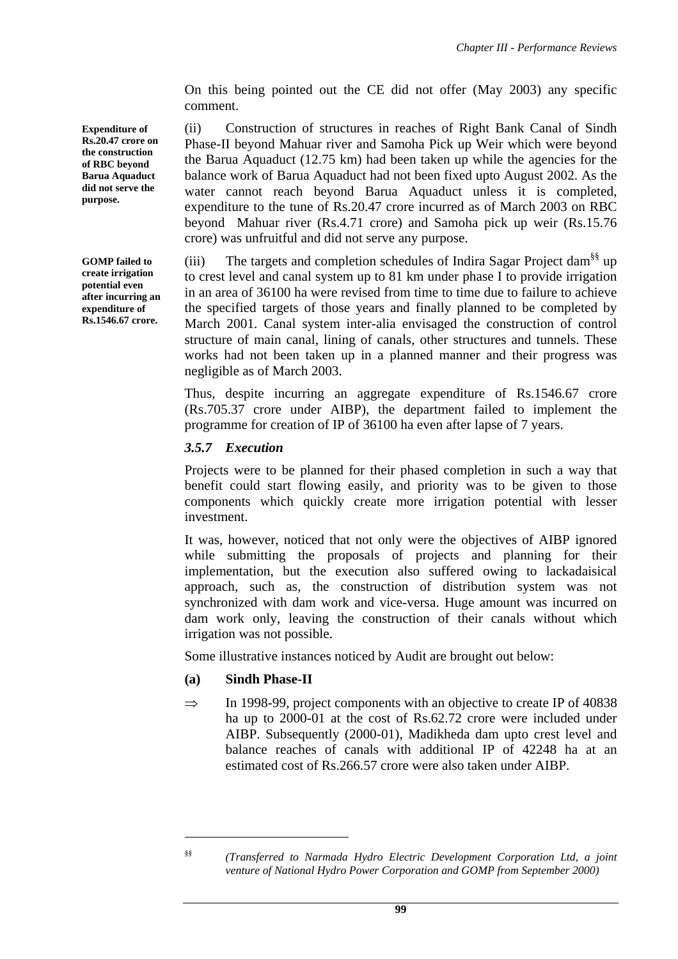On this being pointed out the CE did not offer (May 2003) any specific comment.

(ii) Construction of structures in reaches of Right Bank Canal of Sindh Phase-II beyond Mahuar river and Samoha Pick up Weir which were beyond the Barua Aquaduct (12.75 km) had been taken up while the agencies for the balance work of Barua Aquaduct had not been fixed upto August 2002. As the water cannot reach beyond Barua Aquaduct unless it is completed, expenditure to the tune of Rs.20.47 crore incurred as of March 2003 on RBC beyond Mahuar river (Rs.4.71 crore) and Samoha pick up weir (Rs.15.76 crore) was unfruitful and did not serve any purpose.

(iii) The targets and completion schedules of Indira Sagar Project dam<sup>§§</sup> up to crest level and canal system up to 81 km under phase I to provide irrigation in an area of 36100 ha were revised from time to time due to failure to achieve the specified targets of those years and finally planned to be completed by March 2001. Canal system inter-alia envisaged the construction of control structure of main canal, lining of canals, other structures and tunnels. These works had not been taken up in a planned manner and their progress was negligible as of March 2003.

Thus, despite incurring an aggregate expenditure of Rs.1546.67 crore (Rs.705.37 crore under AIBP), the department failed to implement the programme for creation of IP of 36100 ha even after lapse of 7 years.

## *3.5.7 Execution*

Projects were to be planned for their phased completion in such a way that benefit could start flowing easily, and priority was to be given to those components which quickly create more irrigation potential with lesser investment.

It was, however, noticed that not only were the objectives of AIBP ignored while submitting the proposals of projects and planning for their implementation, but the execution also suffered owing to lackadaisical approach, such as, the construction of distribution system was not synchronized with dam work and vice-versa. Huge amount was incurred on dam work only, leaving the construction of their canals without which irrigation was not possible.

Some illustrative instances noticed by Audit are brought out below:

# **(a) Sindh Phase-II**

 $\Rightarrow$  In 1998-99, project components with an objective to create IP of 40838 ha up to 2000-01 at the cost of Rs.62.72 crore were included under AIBP. Subsequently (2000-01), Madikheda dam upto crest level and balance reaches of canals with additional IP of 42248 ha at an estimated cost of Rs.266.57 crore were also taken under AIBP.

**Expenditure of Rs.20.47 crore on the construction of RBC beyond Barua Aquaduct did not serve the purpose.** 

**GOMP failed to create irrigation potential even after incurring an expenditure of Rs.1546.67 crore.** 

 $\overline{a}$ 

*<sup>§§ (</sup>Transferred to Narmada Hydro Electric Development Corporation Ltd, a joint venture of National Hydro Power Corporation and GOMP from September 2000)*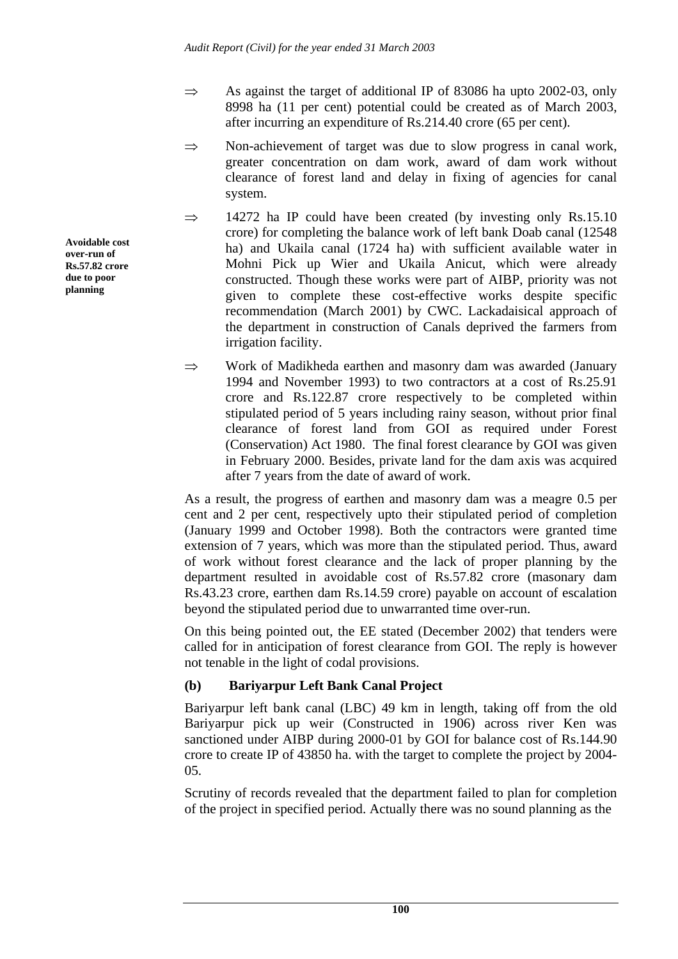- $\Rightarrow$  As against the target of additional IP of 83086 ha upto 2002-03, only 8998 ha (11 per cent) potential could be created as of March 2003, after incurring an expenditure of Rs.214.40 crore (65 per cent).
- $\Rightarrow$  Non-achievement of target was due to slow progress in canal work, greater concentration on dam work, award of dam work without clearance of forest land and delay in fixing of agencies for canal system.
- $\Rightarrow$  14272 ha IP could have been created (by investing only Rs.15.10) crore) for completing the balance work of left bank Doab canal (12548 ha) and Ukaila canal (1724 ha) with sufficient available water in Mohni Pick up Wier and Ukaila Anicut, which were already constructed. Though these works were part of AIBP, priority was not given to complete these cost-effective works despite specific recommendation (March 2001) by CWC. Lackadaisical approach of the department in construction of Canals deprived the farmers from irrigation facility.
- ⇒ Work of Madikheda earthen and masonry dam was awarded (January 1994 and November 1993) to two contractors at a cost of Rs.25.91 crore and Rs.122.87 crore respectively to be completed within stipulated period of 5 years including rainy season, without prior final clearance of forest land from GOI as required under Forest (Conservation) Act 1980. The final forest clearance by GOI was given in February 2000. Besides, private land for the dam axis was acquired after 7 years from the date of award of work.

As a result, the progress of earthen and masonry dam was a meagre 0.5 per cent and 2 per cent, respectively upto their stipulated period of completion (January 1999 and October 1998). Both the contractors were granted time extension of 7 years, which was more than the stipulated period. Thus, award of work without forest clearance and the lack of proper planning by the department resulted in avoidable cost of Rs.57.82 crore (masonary dam Rs.43.23 crore, earthen dam Rs.14.59 crore) payable on account of escalation beyond the stipulated period due to unwarranted time over-run.

On this being pointed out, the EE stated (December 2002) that tenders were called for in anticipation of forest clearance from GOI. The reply is however not tenable in the light of codal provisions.

# **(b) Bariyarpur Left Bank Canal Project**

Bariyarpur left bank canal (LBC) 49 km in length, taking off from the old Bariyarpur pick up weir (Constructed in 1906) across river Ken was sanctioned under AIBP during 2000-01 by GOI for balance cost of Rs.144.90 crore to create IP of 43850 ha. with the target to complete the project by 2004- 05.

Scrutiny of records revealed that the department failed to plan for completion of the project in specified period. Actually there was no sound planning as the

**Avoidable cost over-run of Rs.57.82 crore due to poor planning**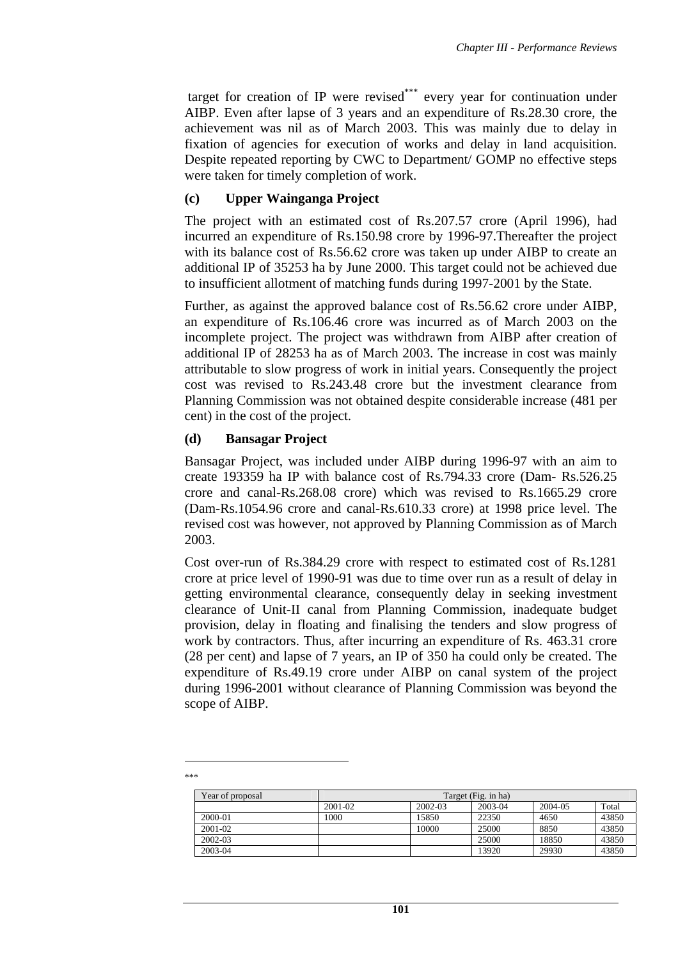target for creation of IP were revised<sup>\*\*\*</sup> every year for continuation under AIBP. Even after lapse of 3 years and an expenditure of Rs.28.30 crore, the achievement was nil as of March 2003. This was mainly due to delay in fixation of agencies for execution of works and delay in land acquisition. Despite repeated reporting by CWC to Department/ GOMP no effective steps were taken for timely completion of work.

### **(c) Upper Wainganga Project**

The project with an estimated cost of Rs.207.57 crore (April 1996), had incurred an expenditure of Rs.150.98 crore by 1996-97.Thereafter the project with its balance cost of Rs.56.62 crore was taken up under AIBP to create an additional IP of 35253 ha by June 2000. This target could not be achieved due to insufficient allotment of matching funds during 1997-2001 by the State.

Further, as against the approved balance cost of Rs.56.62 crore under AIBP, an expenditure of Rs.106.46 crore was incurred as of March 2003 on the incomplete project. The project was withdrawn from AIBP after creation of additional IP of 28253 ha as of March 2003. The increase in cost was mainly attributable to slow progress of work in initial years. Consequently the project cost was revised to Rs.243.48 crore but the investment clearance from Planning Commission was not obtained despite considerable increase (481 per cent) in the cost of the project.

### **(d) Bansagar Project**

Bansagar Project, was included under AIBP during 1996-97 with an aim to create 193359 ha IP with balance cost of Rs.794.33 crore (Dam- Rs.526.25 crore and canal-Rs.268.08 crore) which was revised to Rs.1665.29 crore (Dam-Rs.1054.96 crore and canal-Rs.610.33 crore) at 1998 price level. The revised cost was however, not approved by Planning Commission as of March 2003.

Cost over-run of Rs.384.29 crore with respect to estimated cost of Rs.1281 crore at price level of 1990-91 was due to time over run as a result of delay in getting environmental clearance, consequently delay in seeking investment clearance of Unit-II canal from Planning Commission, inadequate budget provision, delay in floating and finalising the tenders and slow progress of work by contractors. Thus, after incurring an expenditure of Rs. 463.31 crore (28 per cent) and lapse of 7 years, an IP of 350 ha could only be created. The expenditure of Rs.49.19 crore under AIBP on canal system of the project during 1996-2001 without clearance of Planning Commission was beyond the scope of AIBP.

| Year of proposal |         | Target (Fig. in ha) |         |         |       |  |
|------------------|---------|---------------------|---------|---------|-------|--|
|                  | 2001-02 | 2002-03             | 2003-04 | 2004-05 | Total |  |
| 2000-01          | 1000    | 15850               | 22350   | 4650    | 43850 |  |
| 2001-02          |         | 10000               | 25000   | 8850    | 43850 |  |
| 2002-03          |         |                     | 25000   | 18850   | 43850 |  |
| 2003-04          |         |                     | 13920   | 29930   | 43850 |  |

 $\overline{a}$ \*\*\*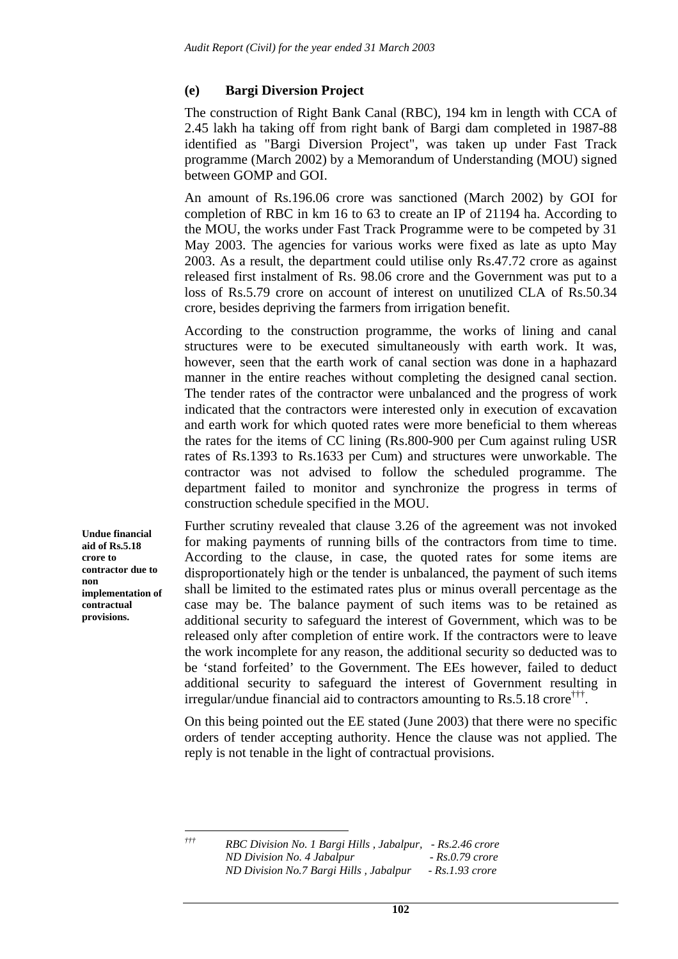### **(e) Bargi Diversion Project**

The construction of Right Bank Canal (RBC), 194 km in length with CCA of 2.45 lakh ha taking off from right bank of Bargi dam completed in 1987-88 identified as "Bargi Diversion Project", was taken up under Fast Track programme (March 2002) by a Memorandum of Understanding (MOU) signed between GOMP and GOI.

An amount of Rs.196.06 crore was sanctioned (March 2002) by GOI for completion of RBC in km 16 to 63 to create an IP of 21194 ha. According to the MOU, the works under Fast Track Programme were to be competed by 31 May 2003. The agencies for various works were fixed as late as upto May 2003. As a result, the department could utilise only Rs.47.72 crore as against released first instalment of Rs. 98.06 crore and the Government was put to a loss of Rs.5.79 crore on account of interest on unutilized CLA of Rs.50.34 crore, besides depriving the farmers from irrigation benefit.

According to the construction programme, the works of lining and canal structures were to be executed simultaneously with earth work. It was, however, seen that the earth work of canal section was done in a haphazard manner in the entire reaches without completing the designed canal section. The tender rates of the contractor were unbalanced and the progress of work indicated that the contractors were interested only in execution of excavation and earth work for which quoted rates were more beneficial to them whereas the rates for the items of CC lining (Rs.800-900 per Cum against ruling USR rates of Rs.1393 to Rs.1633 per Cum) and structures were unworkable. The contractor was not advised to follow the scheduled programme. The department failed to monitor and synchronize the progress in terms of construction schedule specified in the MOU.

Further scrutiny revealed that clause 3.26 of the agreement was not invoked for making payments of running bills of the contractors from time to time. According to the clause, in case, the quoted rates for some items are disproportionately high or the tender is unbalanced, the payment of such items shall be limited to the estimated rates plus or minus overall percentage as the case may be. The balance payment of such items was to be retained as additional security to safeguard the interest of Government, which was to be released only after completion of entire work. If the contractors were to leave the work incomplete for any reason, the additional security so deducted was to be 'stand forfeited' to the Government. The EEs however, failed to deduct additional security to safeguard the interest of Government resulting in irregular/undue financial aid to contractors amounting to Rs.5.18 crore†††.

On this being pointed out the EE stated (June 2003) that there were no specific orders of tender accepting authority. Hence the clause was not applied. The reply is not tenable in the light of contractual provisions.

 $\dot{\tau}\dot{\tau}\dot{\tau}$ 

**Undue financial aid of Rs.5.18 crore to contractor due to non implementation of contractual provisions.**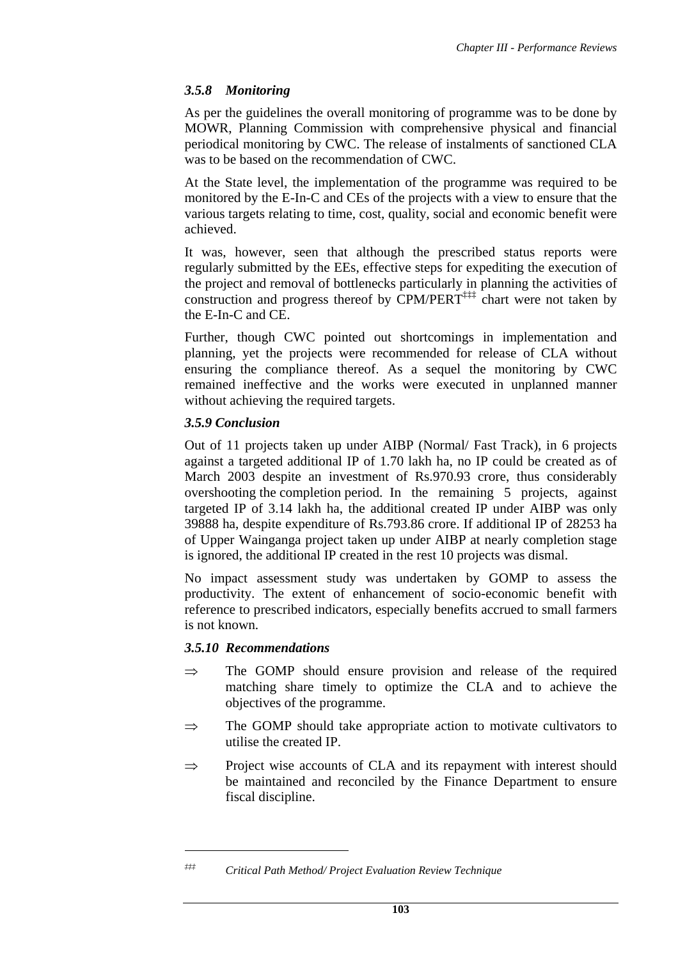### *3.5.8 Monitoring*

As per the guidelines the overall monitoring of programme was to be done by MOWR, Planning Commission with comprehensive physical and financial periodical monitoring by CWC. The release of instalments of sanctioned CLA was to be based on the recommendation of CWC.

At the State level, the implementation of the programme was required to be monitored by the E-In-C and CEs of the projects with a view to ensure that the various targets relating to time, cost, quality, social and economic benefit were achieved.

It was, however, seen that although the prescribed status reports were regularly submitted by the EEs, effective steps for expediting the execution of the project and removal of bottlenecks particularly in planning the activities of construction and progress thereof by  $CPM/PERT^{\ddagger\ddagger\ddagger}$  chart were not taken by the E-In-C and CE.

Further, though CWC pointed out shortcomings in implementation and planning, yet the projects were recommended for release of CLA without ensuring the compliance thereof. As a sequel the monitoring by CWC remained ineffective and the works were executed in unplanned manner without achieving the required targets.

### *3.5.9 Conclusion*

Out of 11 projects taken up under AIBP (Normal/ Fast Track), in 6 projects against a targeted additional IP of 1.70 lakh ha, no IP could be created as of March 2003 despite an investment of Rs.970.93 crore, thus considerably overshooting the completion period. In the remaining 5 projects, against targeted IP of 3.14 lakh ha, the additional created IP under AIBP was only 39888 ha, despite expenditure of Rs.793.86 crore. If additional IP of 28253 ha of Upper Wainganga project taken up under AIBP at nearly completion stage is ignored, the additional IP created in the rest 10 projects was dismal.

No impact assessment study was undertaken by GOMP to assess the productivity. The extent of enhancement of socio-economic benefit with reference to prescribed indicators, especially benefits accrued to small farmers is not known.

### *3.5.10 Recommendations*

 $\overline{a}$ 

- $\Rightarrow$  The GOMP should ensure provision and release of the required matching share timely to optimize the CLA and to achieve the objectives of the programme.
- $\Rightarrow$  The GOMP should take appropriate action to motivate cultivators to utilise the created IP.
- ⇒ Project wise accounts of CLA and its repayment with interest should be maintained and reconciled by the Finance Department to ensure fiscal discipline.

*<sup>‡‡‡</sup> Critical Path Method/ Project Evaluation Review Technique*